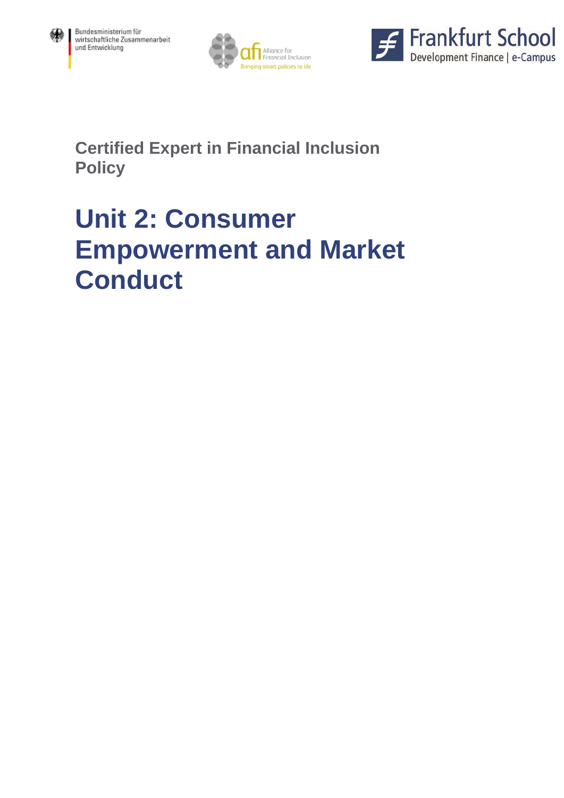





**Certified Expert in Financial Inclusion Policy** 

# **Unit 2: Consumer Empowerment and Market Conduct**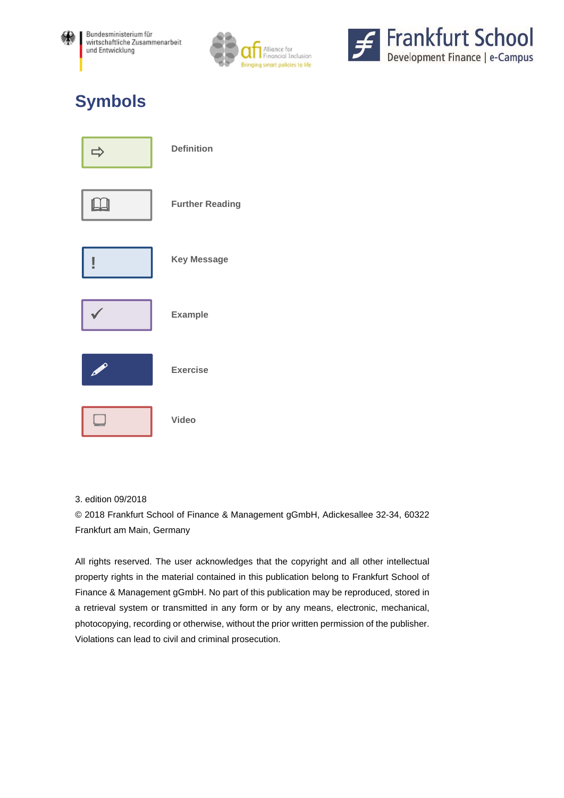





## **Symbols**

| $\Box$         | <b>Definition</b>      |
|----------------|------------------------|
|                | <b>Further Reading</b> |
| ļ              | <b>Key Message</b>     |
|                | <b>Example</b>         |
| <b>Comment</b> | <b>Exercise</b>        |
|                | <b>Video</b>           |

3. edition 09/2018

© 2018 Frankfurt School of Finance & Management gGmbH, Adickesallee 32-34, 60322 Frankfurt am Main, Germany

All rights reserved. The user acknowledges that the copyright and all other intellectual property rights in the material contained in this publication belong to Frankfurt School of Finance & Management gGmbH. No part of this publication may be reproduced, stored in a retrieval system or transmitted in any form or by any means, electronic, mechanical, photocopying, recording or otherwise, without the prior written permission of the publisher. Violations can lead to civil and criminal prosecution.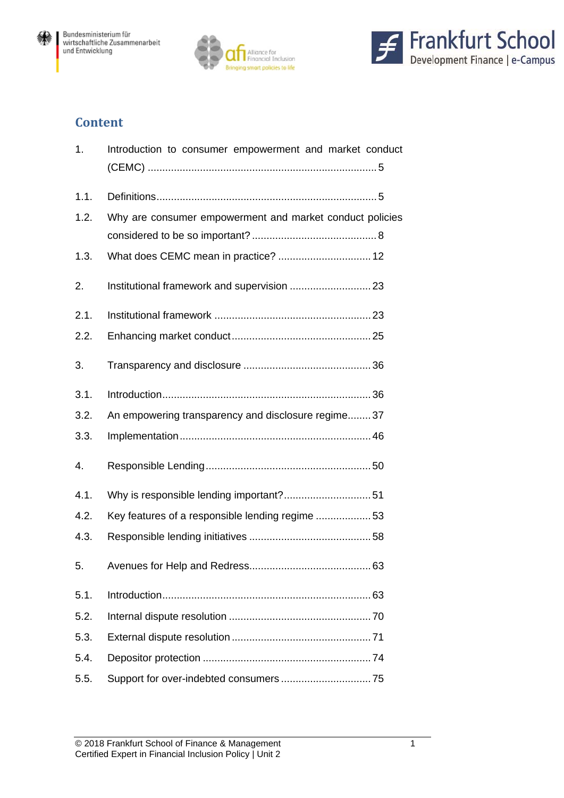





## **Content**

| 1.   | Introduction to consumer empowerment and market conduct  |
|------|----------------------------------------------------------|
| 1.1. |                                                          |
| 1.2. | Why are consumer empowerment and market conduct policies |
| 1.3. |                                                          |
| 2.   |                                                          |
| 2.1. |                                                          |
| 2.2. |                                                          |
| 3.   |                                                          |
| 3.1. |                                                          |
| 3.2. | An empowering transparency and disclosure regime 37      |
| 3.3. |                                                          |
| 4.   |                                                          |
| 4.1. |                                                          |
| 4.2. | Key features of a responsible lending regime 53          |
| 4.3. |                                                          |
| 5.   |                                                          |
| 5.1. |                                                          |
| 5.2. |                                                          |
| 5.3. |                                                          |
| 5.4. |                                                          |
| 5.5. |                                                          |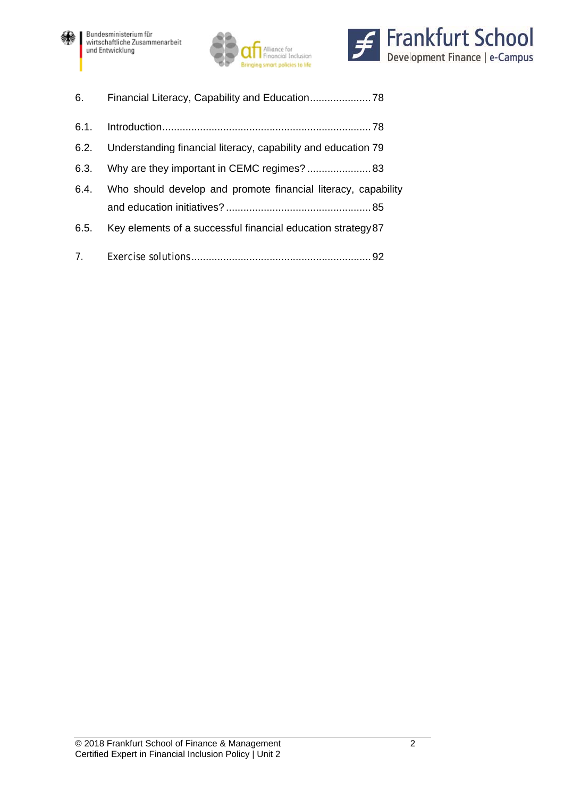





| 6.   | Financial Literacy, Capability and Education 78                    |
|------|--------------------------------------------------------------------|
| 6.1. |                                                                    |
|      | 6.2. Understanding financial literacy, capability and education 79 |
|      |                                                                    |
| 6.4. | Who should develop and promote financial literacy, capability      |
| 6.5. | Key elements of a successful financial education strategy 87       |
|      |                                                                    |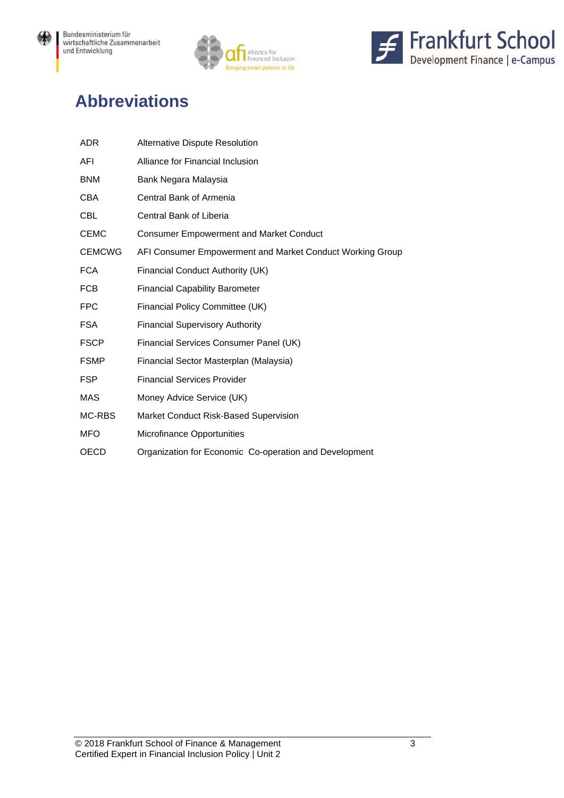纝





## **Abbreviations**

| <b>ADR</b>    | Alternative Dispute Resolution                            |
|---------------|-----------------------------------------------------------|
| AFI           | Alliance for Financial Inclusion                          |
| <b>BNM</b>    | Bank Negara Malaysia                                      |
| <b>CBA</b>    | Central Bank of Armenia                                   |
| <b>CBL</b>    | Central Bank of Liberia                                   |
| <b>CEMC</b>   | <b>Consumer Empowerment and Market Conduct</b>            |
| <b>CEMCWG</b> | AFI Consumer Empowerment and Market Conduct Working Group |
| <b>FCA</b>    | Financial Conduct Authority (UK)                          |
| <b>FCB</b>    | <b>Financial Capability Barometer</b>                     |
| <b>FPC</b>    | Financial Policy Committee (UK)                           |
| <b>FSA</b>    | <b>Financial Supervisory Authority</b>                    |
| <b>FSCP</b>   | Financial Services Consumer Panel (UK)                    |
| <b>FSMP</b>   | Financial Sector Masterplan (Malaysia)                    |
| <b>FSP</b>    | <b>Financial Services Provider</b>                        |
| MAS           | Money Advice Service (UK)                                 |
| MC-RBS        | Market Conduct Risk-Based Supervision                     |
| <b>MFO</b>    | Microfinance Opportunities                                |
| <b>OECD</b>   | Organization for Economic Co-operation and Development    |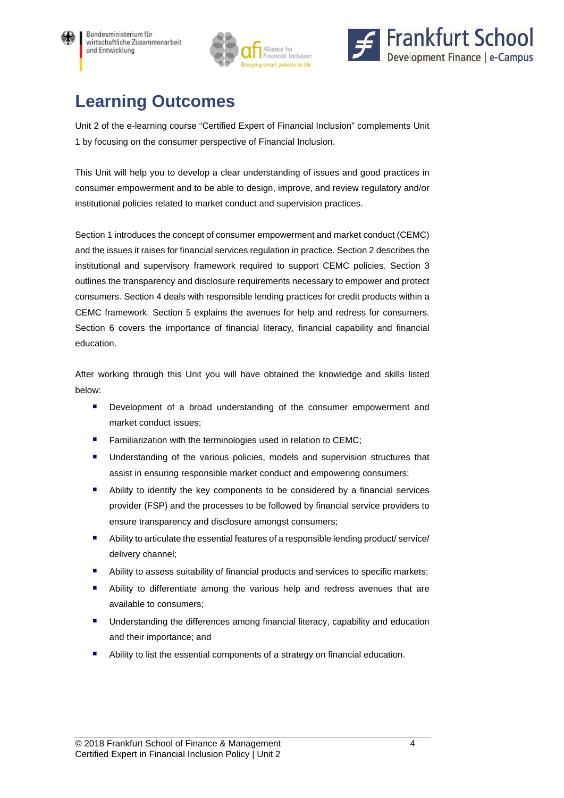





## **Learning Outcomes**

Unit 2 of the e-learning course "Certified Expert of Financial Inclusion" complements Unit 1 by focusing on the consumer perspective of Financial Inclusion.

This Unit will help you to develop a clear understanding of issues and good practices in consumer empowerment and to be able to design, improve, and review regulatory and/or institutional policies related to market conduct and supervision practices.

Section 1 introduces the concept of consumer empowerment and market conduct (CEMC) and the issues it raises for financial services regulation in practice. Section 2 describes the institutional and supervisory framework required to support CEMC policies. Section 3 outlines the transparency and disclosure requirements necessary to empower and protect consumers. Section 4 deals with responsible lending practices for credit products within a CEMC framework. Section 5 explains the avenues for help and redress for consumers. Section 6 covers the importance of financial literacy, financial capability and financial education.

After working through this Unit you will have obtained the knowledge and skills listed below:

- **Development of a broad understanding of the consumer empowerment and** market conduct issues;
- **Familiarization with the terminologies used in relation to CEMC;**
- Understanding of the various policies, models and supervision structures that assist in ensuring responsible market conduct and empowering consumers;
- Ability to identify the key components to be considered by a financial services provider (FSP) and the processes to be followed by financial service providers to ensure transparency and disclosure amongst consumers;
- Ability to articulate the essential features of a responsible lending product/ service/ delivery channel;
- Ability to assess suitability of financial products and services to specific markets;
- Ability to differentiate among the various help and redress avenues that are available to consumers;
- **■** Understanding the differences among financial literacy, capability and education and their importance; and
- Ability to list the essential components of a strategy on financial education.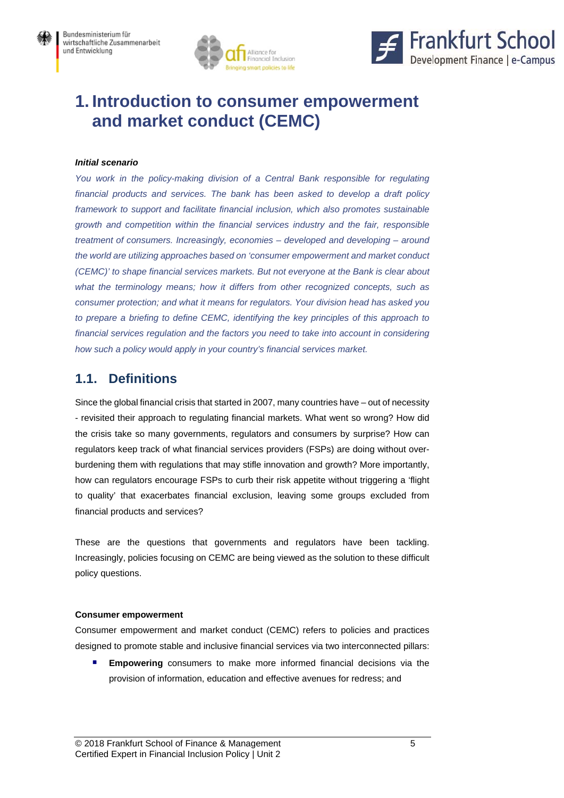



## **1. Introduction to consumer empowerment and market conduct (CEMC)**

#### *Initial scenario*

*You work in the policy-making division of a Central Bank responsible for regulating financial products and services. The bank has been asked to develop a draft policy framework to support and facilitate financial inclusion, which also promotes sustainable growth and competition within the financial services industry and the fair, responsible treatment of consumers. Increasingly, economies – developed and developing – around the world are utilizing approaches based on 'consumer empowerment and market conduct (CEMC)' to shape financial services markets. But not everyone at the Bank is clear about what the terminology means; how it differs from other recognized concepts, such as consumer protection; and what it means for regulators. Your division head has asked you to prepare a briefing to define CEMC, identifying the key principles of this approach to financial services regulation and the factors you need to take into account in considering how such a policy would apply in your country's financial services market.* 

### **1.1. Definitions**

Since the global financial crisis that started in 2007, many countries have – out of necessity - revisited their approach to regulating financial markets. What went so wrong? How did the crisis take so many governments, regulators and consumers by surprise? How can regulators keep track of what financial services providers (FSPs) are doing without overburdening them with regulations that may stifle innovation and growth? More importantly, how can regulators encourage FSPs to curb their risk appetite without triggering a 'flight to quality' that exacerbates financial exclusion, leaving some groups excluded from financial products and services?

These are the questions that governments and regulators have been tackling. Increasingly, policies focusing on CEMC are being viewed as the solution to these difficult policy questions.

#### **Consumer empowerment**

Consumer empowerment and market conduct (CEMC) refers to policies and practices designed to promote stable and inclusive financial services via two interconnected pillars:

 **Empowering** consumers to make more informed financial decisions via the provision of information, education and effective avenues for redress; and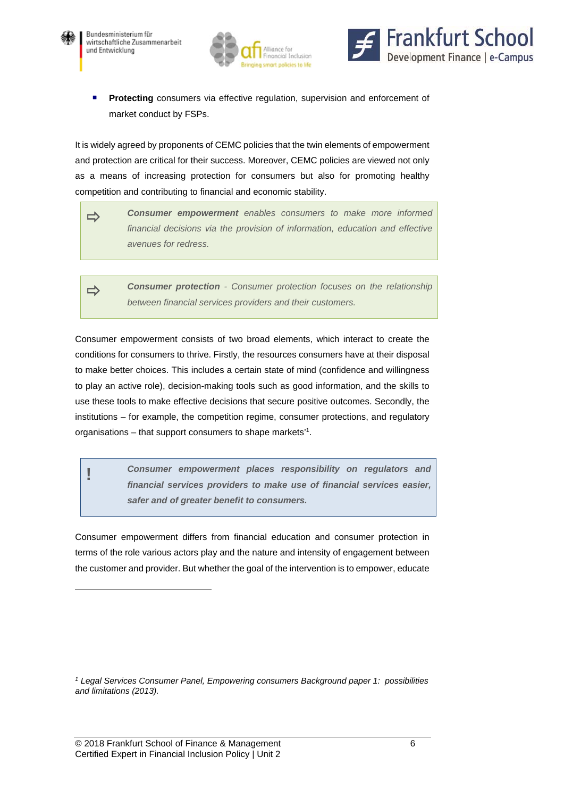

l





**Protecting** consumers via effective regulation, supervision and enforcement of market conduct by FSPs.

It is widely agreed by proponents of CEMC policies that the twin elements of empowerment and protection are critical for their success. Moreover, CEMC policies are viewed not only as a means of increasing protection for consumers but also for promoting healthy competition and contributing to financial and economic stability.



 *Consumer protection - Consumer protection focuses on the relationship between financial services providers and their customers.*

Consumer empowerment consists of two broad elements, which interact to create the conditions for consumers to thrive. Firstly, the resources consumers have at their disposal to make better choices. This includes a certain state of mind (confidence and willingness to play an active role), decision-making tools such as good information, and the skills to use these tools to make effective decisions that secure positive outcomes. Secondly, the institutions – for example, the competition regime, consumer protections, and regulatory organisations – that support consumers to shape markets<sup>11</sup>.

**!** *Consumer empowerment places responsibility on regulators and financial services providers to make use of financial services easier, safer and of greater benefit to consumers.* 

Consumer empowerment differs from financial education and consumer protection in terms of the role various actors play and the nature and intensity of engagement between the customer and provider. But whether the goal of the intervention is to empower, educate

*<sup>1</sup> Legal Services Consumer Panel, Empowering consumers Background paper 1: possibilities and limitations (2013).*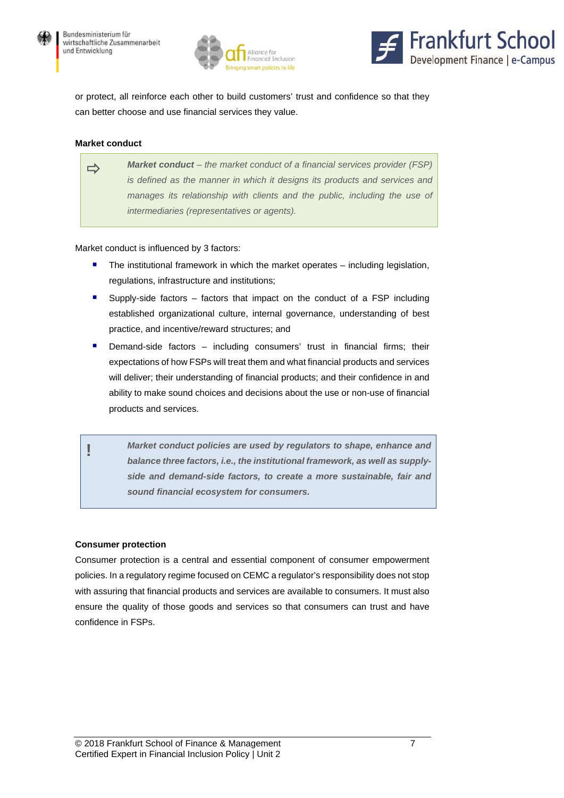



or protect, all reinforce each other to build customers' trust and confidence so that they can better choose and use financial services they value.

#### **Market conduct**

*Market conduct – the market conduct of a financial services provider (FSP) is defined as the manner in which it designs its products and services and*  manages its relationship with clients and the public, including the use of *intermediaries (representatives or agents).*

#### Market conduct is influenced by 3 factors:

- The institutional framework in which the market operates including legislation, regulations, infrastructure and institutions;
- Supply-side factors factors that impact on the conduct of a FSP including established organizational culture, internal governance, understanding of best practice, and incentive/reward structures; and
- Demand-side factors including consumers' trust in financial firms; their expectations of how FSPs will treat them and what financial products and services will deliver; their understanding of financial products; and their confidence in and ability to make sound choices and decisions about the use or non-use of financial products and services.
	- **!** *Market conduct policies are used by regulators to shape, enhance and balance three factors, i.e., the institutional framework, as well as supplyside and demand-side factors, to create a more sustainable, fair and sound financial ecosystem for consumers.*

#### **Consumer protection**

Consumer protection is a central and essential component of consumer empowerment policies. In a regulatory regime focused on CEMC a regulator's responsibility does not stop with assuring that financial products and services are available to consumers. It must also ensure the quality of those goods and services so that consumers can trust and have confidence in FSPs.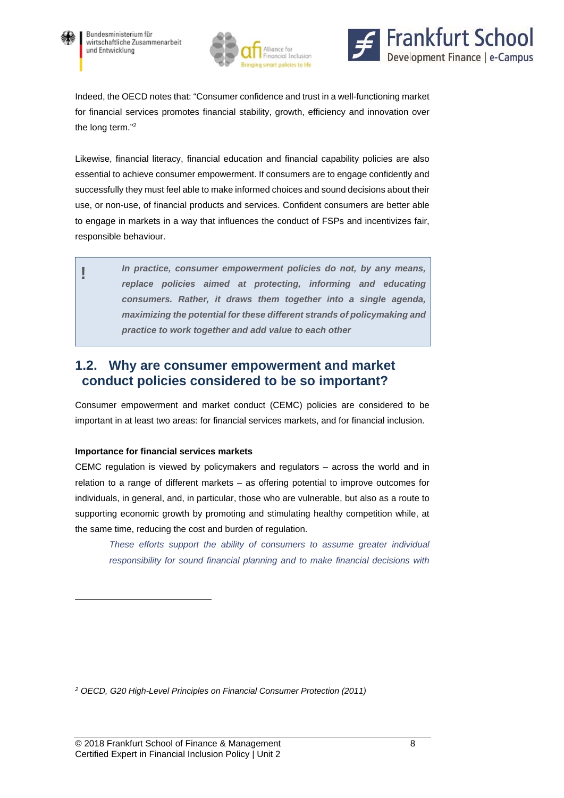





Indeed, the OECD notes that: "Consumer confidence and trust in a well-functioning market for financial services promotes financial stability, growth, efficiency and innovation over the long term."2

Likewise, financial literacy, financial education and financial capability policies are also essential to achieve consumer empowerment. If consumers are to engage confidently and successfully they must feel able to make informed choices and sound decisions about their use, or non-use, of financial products and services. Confident consumers are better able to engage in markets in a way that influences the conduct of FSPs and incentivizes fair, responsible behaviour.

> **!** *In practice, consumer empowerment policies do not, by any means, replace policies aimed at protecting, informing and educating consumers. Rather, it draws them together into a single agenda, maximizing the potential for these different strands of policymaking and practice to work together and add value to each other*

### **1.2. Why are consumer empowerment and market conduct policies considered to be so important?**

Consumer empowerment and market conduct (CEMC) policies are considered to be important in at least two areas: for financial services markets, and for financial inclusion.

#### **Importance for financial services markets**

 $\overline{a}$ 

CEMC regulation is viewed by policymakers and regulators – across the world and in relation to a range of different markets – as offering potential to improve outcomes for individuals, in general, and, in particular, those who are vulnerable, but also as a route to supporting economic growth by promoting and stimulating healthy competition while, at the same time, reducing the cost and burden of regulation.

*These efforts support the ability of consumers to assume greater individual responsibility for sound financial planning and to make financial decisions with* 

*2 OECD, G20 High-Level Principles on Financial Consumer Protection (2011)*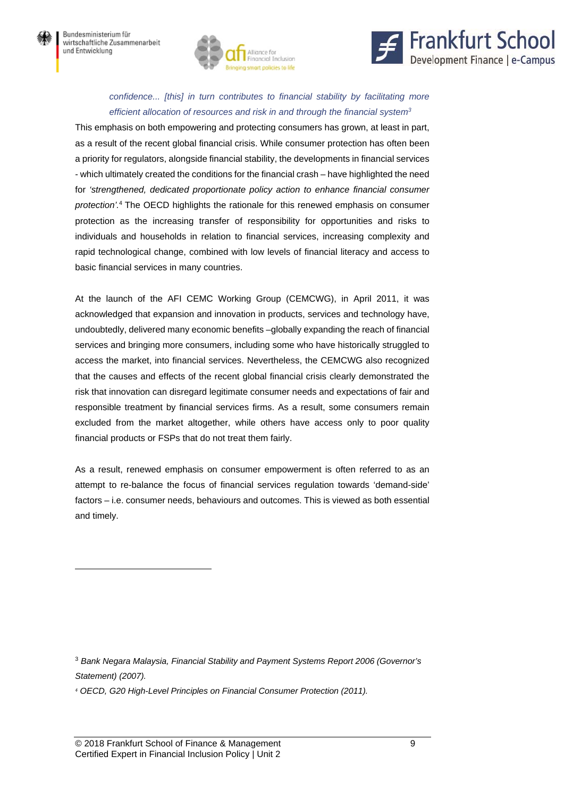



#### *confidence... [this] in turn contributes to financial stability by facilitating more efficient allocation of resources and risk in and through the financial system3*

This emphasis on both empowering and protecting consumers has grown, at least in part, as a result of the recent global financial crisis. While consumer protection has often been a priority for regulators, alongside financial stability, the developments in financial services - which ultimately created the conditions for the financial crash – have highlighted the need for *'strengthened, dedicated proportionate policy action to enhance financial consumer protection'.*<sup>4</sup> The OECD highlights the rationale for this renewed emphasis on consumer protection as the increasing transfer of responsibility for opportunities and risks to individuals and households in relation to financial services, increasing complexity and rapid technological change, combined with low levels of financial literacy and access to basic financial services in many countries.

At the launch of the AFI CEMC Working Group (CEMCWG), in April 2011, it was acknowledged that expansion and innovation in products, services and technology have, undoubtedly, delivered many economic benefits –globally expanding the reach of financial services and bringing more consumers, including some who have historically struggled to access the market, into financial services. Nevertheless, the CEMCWG also recognized that the causes and effects of the recent global financial crisis clearly demonstrated the risk that innovation can disregard legitimate consumer needs and expectations of fair and responsible treatment by financial services firms. As a result, some consumers remain excluded from the market altogether, while others have access only to poor quality financial products or FSPs that do not treat them fairly.

As a result, renewed emphasis on consumer empowerment is often referred to as an attempt to re-balance the focus of financial services regulation towards 'demand-side' factors – i.e. consumer needs, behaviours and outcomes. This is viewed as both essential and timely.

<sup>3</sup> *Bank Negara Malaysia, Financial Stability and Payment Systems Report 2006 (Governor's Statement) (2007).* 

*4 OECD, G20 High-Level Principles on Financial Consumer Protection (2011).* 

 $\overline{a}$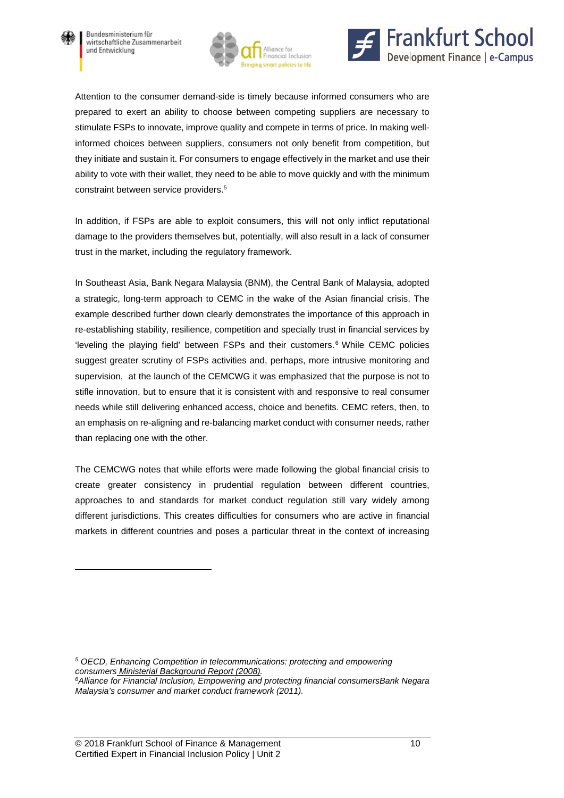

l





Attention to the consumer demand-side is timely because informed consumers who are prepared to exert an ability to choose between competing suppliers are necessary to stimulate FSPs to innovate, improve quality and compete in terms of price. In making wellinformed choices between suppliers, consumers not only benefit from competition, but they initiate and sustain it. For consumers to engage effectively in the market and use their ability to vote with their wallet, they need to be able to move quickly and with the minimum constraint between service providers.5

In addition, if FSPs are able to exploit consumers, this will not only inflict reputational damage to the providers themselves but, potentially, will also result in a lack of consumer trust in the market, including the regulatory framework.

In Southeast Asia, Bank Negara Malaysia (BNM), the Central Bank of Malaysia, adopted a strategic, long-term approach to CEMC in the wake of the Asian financial crisis. The example described further down clearly demonstrates the importance of this approach in re-establishing stability, resilience, competition and specially trust in financial services by 'leveling the playing field' between FSPs and their customers.<sup>6</sup> While CEMC policies suggest greater scrutiny of FSPs activities and, perhaps, more intrusive monitoring and supervision, at the launch of the CEMCWG it was emphasized that the purpose is not to stifle innovation, but to ensure that it is consistent with and responsive to real consumer needs while still delivering enhanced access, choice and benefits. CEMC refers, then, to an emphasis on re-aligning and re-balancing market conduct with consumer needs, rather than replacing one with the other.

The CEMCWG notes that while efforts were made following the global financial crisis to create greater consistency in prudential regulation between different countries, approaches to and standards for market conduct regulation still vary widely among different jurisdictions. This creates difficulties for consumers who are active in financial markets in different countries and poses a particular threat in the context of increasing

*5 OECD, Enhancing Competition in telecommunications: protecting and empowering consumers Ministerial Background Report (2008). 6Alliance for Financial Inclusion, Empowering and protecting financial consumersBank Negara Malaysia's consumer and market conduct framework (2011).*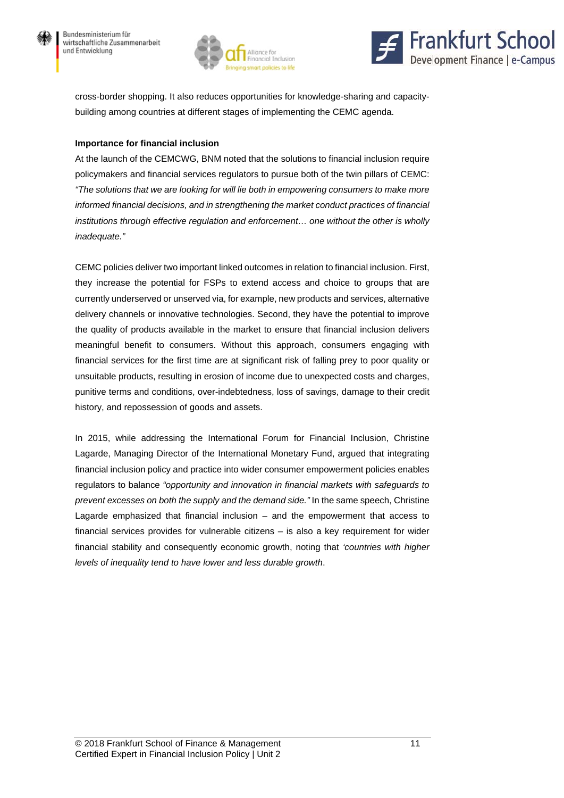



cross-border shopping. It also reduces opportunities for knowledge-sharing and capacitybuilding among countries at different stages of implementing the CEMC agenda.

#### **Importance for financial inclusion**

At the launch of the CEMCWG, BNM noted that the solutions to financial inclusion require policymakers and financial services regulators to pursue both of the twin pillars of CEMC: *"The solutions that we are looking for will lie both in empowering consumers to make more informed financial decisions, and in strengthening the market conduct practices of financial institutions through effective regulation and enforcement… one without the other is wholly inadequate."* 

CEMC policies deliver two important linked outcomes in relation to financial inclusion. First, they increase the potential for FSPs to extend access and choice to groups that are currently underserved or unserved via, for example, new products and services, alternative delivery channels or innovative technologies. Second, they have the potential to improve the quality of products available in the market to ensure that financial inclusion delivers meaningful benefit to consumers. Without this approach, consumers engaging with financial services for the first time are at significant risk of falling prey to poor quality or unsuitable products, resulting in erosion of income due to unexpected costs and charges, punitive terms and conditions, over-indebtedness, loss of savings, damage to their credit history, and repossession of goods and assets.

In 2015, while addressing the International Forum for Financial Inclusion, Christine Lagarde, Managing Director of the International Monetary Fund, argued that integrating financial inclusion policy and practice into wider consumer empowerment policies enables regulators to balance *"opportunity and innovation in financial markets with safeguards to prevent excesses on both the supply and the demand side."* In the same speech, Christine Lagarde emphasized that financial inclusion – and the empowerment that access to financial services provides for vulnerable citizens – is also a key requirement for wider financial stability and consequently economic growth, noting that *'countries with higher levels of inequality tend to have lower and less durable growth*.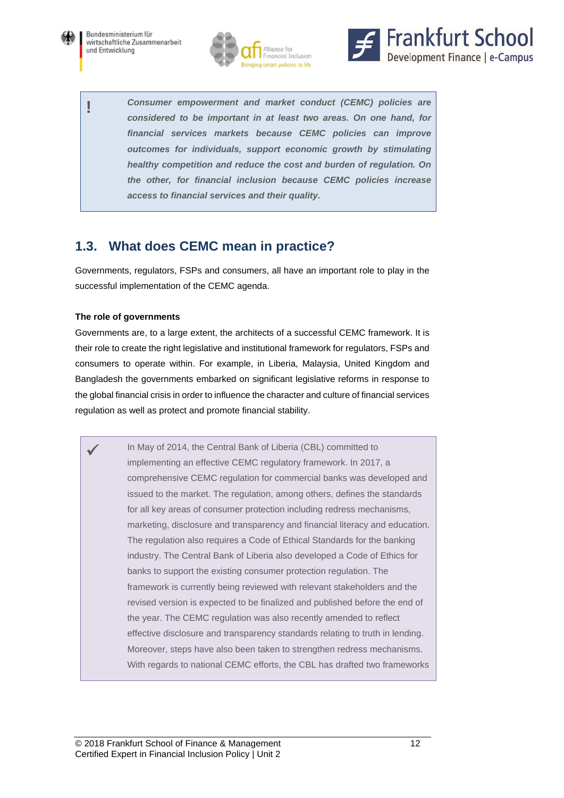





**!** *Consumer empowerment and market conduct (CEMC) policies are considered to be important in at least two areas. On one hand, for financial services markets because CEMC policies can improve outcomes for individuals, support economic growth by stimulating healthy competition and reduce the cost and burden of regulation. On the other, for financial inclusion because CEMC policies increase access to financial services and their quality.* 

## **1.3. What does CEMC mean in practice?**

Governments, regulators, FSPs and consumers, all have an important role to play in the successful implementation of the CEMC agenda.

#### **The role of governments**

Governments are, to a large extent, the architects of a successful CEMC framework. It is their role to create the right legislative and institutional framework for regulators, FSPs and consumers to operate within. For example, in Liberia, Malaysia, United Kingdom and Bangladesh the governments embarked on significant legislative reforms in response to the global financial crisis in order to influence the character and culture of financial services regulation as well as protect and promote financial stability.

 In May of 2014, the Central Bank of Liberia (CBL) committed to implementing an effective CEMC regulatory framework. In 2017, a comprehensive CEMC regulation for commercial banks was developed and issued to the market. The regulation, among others, defines the standards for all key areas of consumer protection including redress mechanisms, marketing, disclosure and transparency and financial literacy and education. The regulation also requires a Code of Ethical Standards for the banking industry. The Central Bank of Liberia also developed a Code of Ethics for banks to support the existing consumer protection regulation. The framework is currently being reviewed with relevant stakeholders and the revised version is expected to be finalized and published before the end of the year. The CEMC regulation was also recently amended to reflect effective disclosure and transparency standards relating to truth in lending. Moreover, steps have also been taken to strengthen redress mechanisms. With regards to national CEMC efforts, the CBL has drafted two frameworks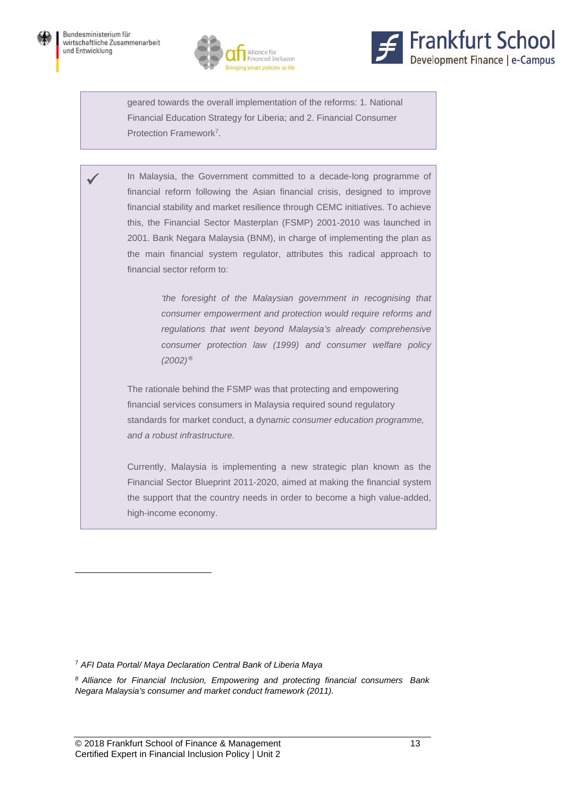l





geared towards the overall implementation of the reforms: 1. National Financial Education Strategy for Liberia; and 2. Financial Consumer Protection Framework<sup>7</sup>.

 In Malaysia, the Government committed to a decade-long programme of financial reform following the Asian financial crisis, designed to improve financial stability and market resilience through CEMC initiatives. To achieve this, the Financial Sector Masterplan (FSMP) 2001-2010 was launched in 2001. Bank Negara Malaysia (BNM), in charge of implementing the plan as the main financial system regulator, attributes this radical approach to financial sector reform to:

> *'the foresight of the Malaysian government in recognising that consumer empowerment and protection would require reforms and regulations that went beyond Malaysia's already comprehensive consumer protection law (1999) and consumer welfare policy (2002)'*<sup>8</sup>

The rationale behind the FSMP was that protecting and empowering financial services consumers in Malaysia required sound regulatory standards for market conduct, a dyna*mic consumer education programme, and a robust infrastructure.* 

Currently, Malaysia is implementing a new strategic plan known as the Financial Sector Blueprint 2011-2020, aimed at making the financial system the support that the country needs in order to become a high value-added, high-income economy.

<sup>7</sup> *AFI Data Portal/ Maya Declaration Central Bank of Liberia Maya*

*8 Alliance for Financial Inclusion, Empowering and protecting financial consumers Bank Negara Malaysia's consumer and market conduct framework (2011).*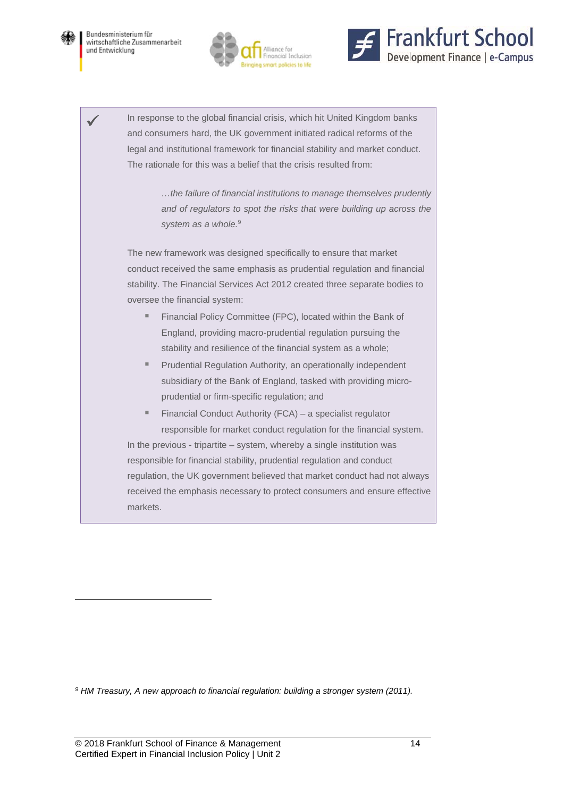





 In response to the global financial crisis, which hit United Kingdom banks and consumers hard, the UK government initiated radical reforms of the legal and institutional framework for financial stability and market conduct. The rationale for this was a belief that the crisis resulted from:

> *…the failure of financial institutions to manage themselves prudently and of regulators to spot the risks that were building up across the*  system as a whole.<sup>9</sup>

The new framework was designed specifically to ensure that market conduct received the same emphasis as prudential regulation and financial stability. The Financial Services Act 2012 created three separate bodies to oversee the financial system:

- **Financial Policy Committee (FPC), located within the Bank of** England, providing macro-prudential regulation pursuing the stability and resilience of the financial system as a whole;
- **Prudential Regulation Authority, an operationally independent** subsidiary of the Bank of England, tasked with providing microprudential or firm-specific regulation; and
- Financial Conduct Authority (FCA) a specialist regulator responsible for market conduct regulation for the financial system. In the previous - tripartite – system, whereby a single institution was responsible for financial stability, prudential regulation and conduct regulation, the UK government believed that market conduct had not always received the emphasis necessary to protect consumers and ensure effective

*9 HM Treasury, A new approach to financial regulation: building a stronger system (2011).*

markets.

 $\overline{a}$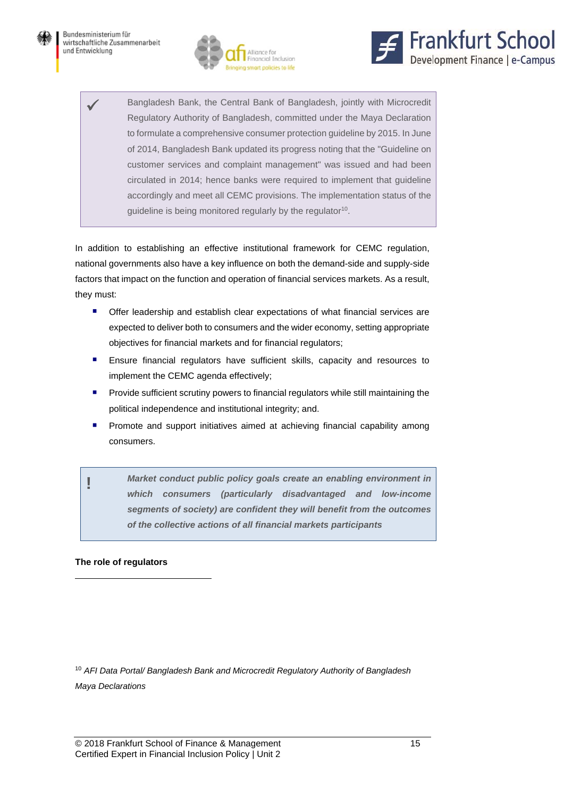



 Bangladesh Bank, the Central Bank of Bangladesh, jointly with Microcredit Regulatory Authority of Bangladesh, committed under the Maya Declaration to formulate a comprehensive consumer protection guideline by 2015. In June of 2014, Bangladesh Bank updated its progress noting that the "Guideline on customer services and complaint management" was issued and had been circulated in 2014; hence banks were required to implement that guideline accordingly and meet all CEMC provisions. The implementation status of the guideline is being monitored regularly by the regulator<sup>10</sup>.

In addition to establishing an effective institutional framework for CEMC regulation, national governments also have a key influence on both the demand-side and supply-side factors that impact on the function and operation of financial services markets. As a result, they must:

- Offer leadership and establish clear expectations of what financial services are expected to deliver both to consumers and the wider economy, setting appropriate objectives for financial markets and for financial regulators;
- Ensure financial regulators have sufficient skills, capacity and resources to implement the CEMC agenda effectively;
- Provide sufficient scrutiny powers to financial regulators while still maintaining the political independence and institutional integrity; and.
- **Promote and support initiatives aimed at achieving financial capability among** consumers.

**!** *Market conduct public policy goals create an enabling environment in which consumers (particularly disadvantaged and low-income segments of society) are confident they will benefit from the outcomes of the collective actions of all financial markets participants* 

#### **The role of regulators**

 $\overline{a}$ 

<sup>10</sup> *AFI Data Portal/ Bangladesh Bank and Microcredit Regulatory Authority of Bangladesh Maya Declarations*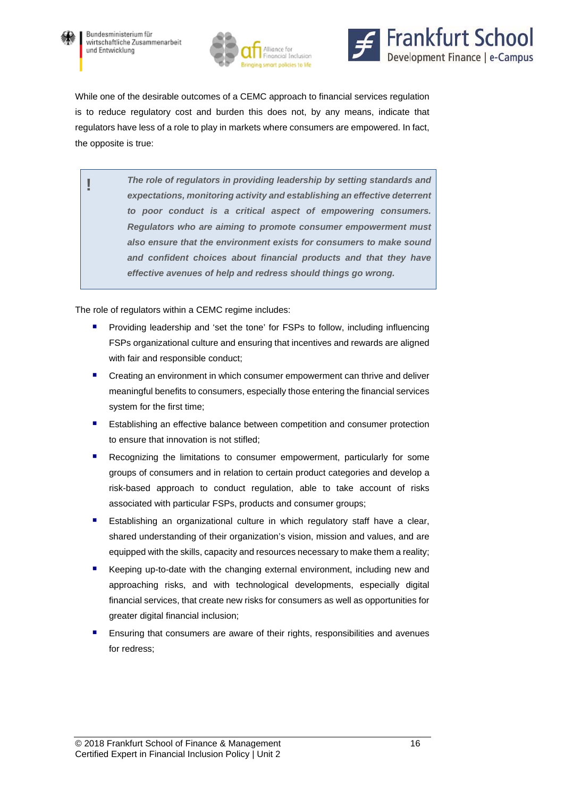





While one of the desirable outcomes of a CEMC approach to financial services regulation is to reduce regulatory cost and burden this does not, by any means, indicate that regulators have less of a role to play in markets where consumers are empowered. In fact, the opposite is true:

**!** *The role of regulators in providing leadership by setting standards and expectations, monitoring activity and establishing an effective deterrent to poor conduct is a critical aspect of empowering consumers. Regulators who are aiming to promote consumer empowerment must also ensure that the environment exists for consumers to make sound and confident choices about financial products and that they have effective avenues of help and redress should things go wrong.* 

The role of regulators within a CEMC regime includes:

- Providing leadership and 'set the tone' for FSPs to follow, including influencing FSPs organizational culture and ensuring that incentives and rewards are aligned with fair and responsible conduct;
- Creating an environment in which consumer empowerment can thrive and deliver meaningful benefits to consumers, especially those entering the financial services system for the first time;
- Establishing an effective balance between competition and consumer protection to ensure that innovation is not stifled;
- Recognizing the limitations to consumer empowerment, particularly for some groups of consumers and in relation to certain product categories and develop a risk-based approach to conduct regulation, able to take account of risks associated with particular FSPs, products and consumer groups;
- Establishing an organizational culture in which regulatory staff have a clear, shared understanding of their organization's vision, mission and values, and are equipped with the skills, capacity and resources necessary to make them a reality;
- Keeping up-to-date with the changing external environment, including new and approaching risks, and with technological developments, especially digital financial services, that create new risks for consumers as well as opportunities for greater digital financial inclusion;
- Ensuring that consumers are aware of their rights, responsibilities and avenues for redress;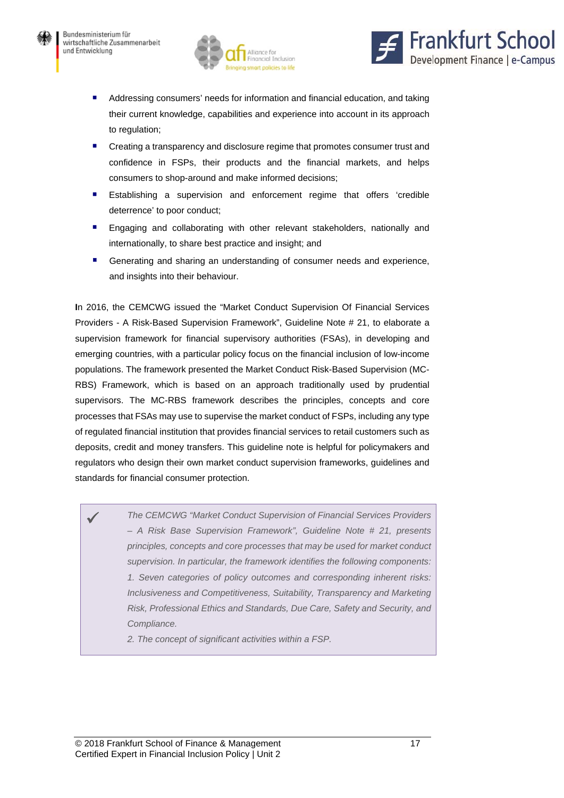



- Addressing consumers' needs for information and financial education, and taking their current knowledge, capabilities and experience into account in its approach to regulation;
- **E** Creating a transparency and disclosure regime that promotes consumer trust and confidence in FSPs, their products and the financial markets, and helps consumers to shop-around and make informed decisions;
- **Establishing a supervision and enforcement regime that offers 'credible** deterrence' to poor conduct;
- **Engaging and collaborating with other relevant stakeholders, nationally and** internationally, to share best practice and insight; and
- Generating and sharing an understanding of consumer needs and experience, and insights into their behaviour.

**I**n 2016, the CEMCWG issued the "Market Conduct Supervision Of Financial Services Providers - A Risk-Based Supervision Framework", Guideline Note # 21, to elaborate a supervision framework for financial supervisory authorities (FSAs), in developing and emerging countries, with a particular policy focus on the financial inclusion of low-income populations. The framework presented the Market Conduct Risk-Based Supervision (MC-RBS) Framework, which is based on an approach traditionally used by prudential supervisors. The MC-RBS framework describes the principles, concepts and core processes that FSAs may use to supervise the market conduct of FSPs, including any type of regulated financial institution that provides financial services to retail customers such as deposits, credit and money transfers. This guideline note is helpful for policymakers and regulators who design their own market conduct supervision frameworks, guidelines and standards for financial consumer protection.

 *The CEMCWG "Market Conduct Supervision of Financial Services Providers – A Risk Base Supervision Framework", Guideline Note # 21, presents principles, concepts and core processes that may be used for market conduct supervision. In particular, the framework identifies the following components: 1. Seven categories of policy outcomes and corresponding inherent risks: Inclusiveness and Competitiveness, Suitability, Transparency and Marketing Risk, Professional Ethics and Standards, Due Care, Safety and Security, and Compliance.* 

*2. The concept of significant activities within a FSP.*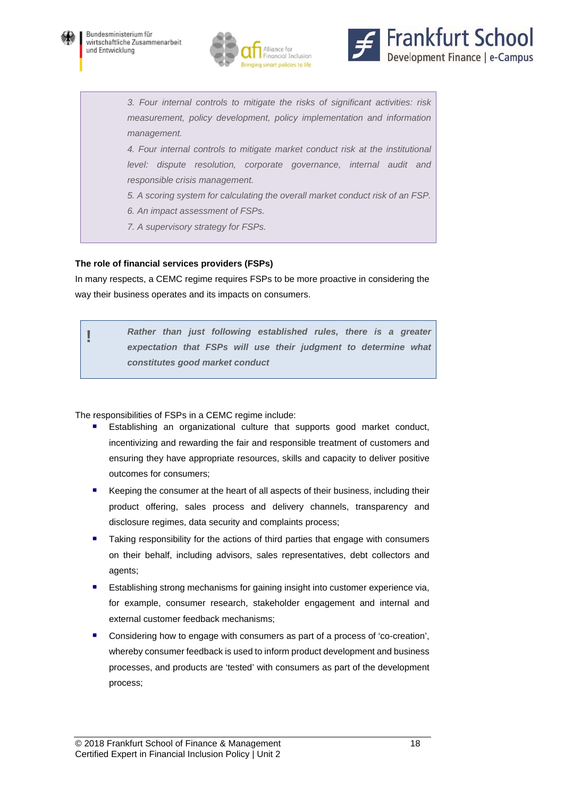





*3. Four internal controls to mitigate the risks of significant activities: risk measurement, policy development, policy implementation and information management.* 

*4. Four internal controls to mitigate market conduct risk at the institutional level: dispute resolution, corporate governance, internal audit and responsible crisis management.* 

*5. A scoring system for calculating the overall market conduct risk of an FSP.* 

- *6. An impact assessment of FSPs.*
- *7. A supervisory strategy for FSPs.*

#### **The role of financial services providers (FSPs)**

In many respects, a CEMC regime requires FSPs to be more proactive in considering the way their business operates and its impacts on consumers.

> **!** *Rather than just following established rules, there is a greater expectation that FSPs will use their judgment to determine what constitutes good market conduct*

The responsibilities of FSPs in a CEMC regime include:

- Establishing an organizational culture that supports good market conduct, incentivizing and rewarding the fair and responsible treatment of customers and ensuring they have appropriate resources, skills and capacity to deliver positive outcomes for consumers;
- Keeping the consumer at the heart of all aspects of their business, including their product offering, sales process and delivery channels, transparency and disclosure regimes, data security and complaints process;
- Taking responsibility for the actions of third parties that engage with consumers on their behalf, including advisors, sales representatives, debt collectors and agents;
- Establishing strong mechanisms for gaining insight into customer experience via, for example, consumer research, stakeholder engagement and internal and external customer feedback mechanisms;
- Considering how to engage with consumers as part of a process of 'co-creation', whereby consumer feedback is used to inform product development and business processes, and products are 'tested' with consumers as part of the development process;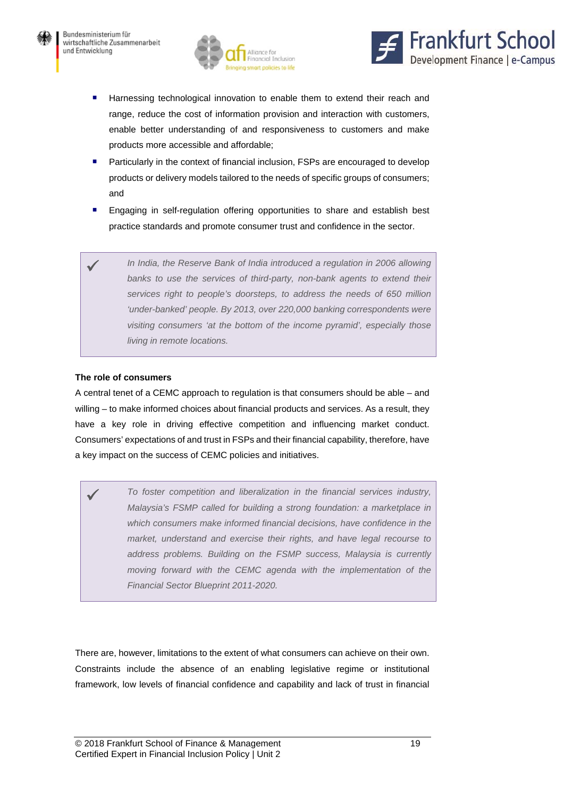



- Harnessing technological innovation to enable them to extend their reach and range, reduce the cost of information provision and interaction with customers, enable better understanding of and responsiveness to customers and make products more accessible and affordable;
- Particularly in the context of financial inclusion, FSPs are encouraged to develop products or delivery models tailored to the needs of specific groups of consumers; and
- **Engaging in self-regulation offering opportunities to share and establish best** practice standards and promote consumer trust and confidence in the sector.
- In India, the Reserve Bank of India introduced a regulation in 2006 allowing *banks to use the services of third-party, non-bank agents to extend their services right to people's doorsteps, to address the needs of 650 million 'under-banked' people. By 2013, over 220,000 banking correspondents were visiting consumers 'at the bottom of the income pyramid', especially those living in remote locations.*

#### **The role of consumers**

A central tenet of a CEMC approach to regulation is that consumers should be able – and willing – to make informed choices about financial products and services. As a result, they have a key role in driving effective competition and influencing market conduct. Consumers' expectations of and trust in FSPs and their financial capability, therefore, have a key impact on the success of CEMC policies and initiatives.

 *To foster competition and liberalization in the financial services industry, Malaysia's FSMP called for building a strong foundation: a marketplace in which consumers make informed financial decisions, have confidence in the market, understand and exercise their rights, and have legal recourse to address problems. Building on the FSMP success, Malaysia is currently moving forward with the CEMC agenda with the implementation of the Financial Sector Blueprint 2011-2020.* 

There are, however, limitations to the extent of what consumers can achieve on their own. Constraints include the absence of an enabling legislative regime or institutional framework, low levels of financial confidence and capability and lack of trust in financial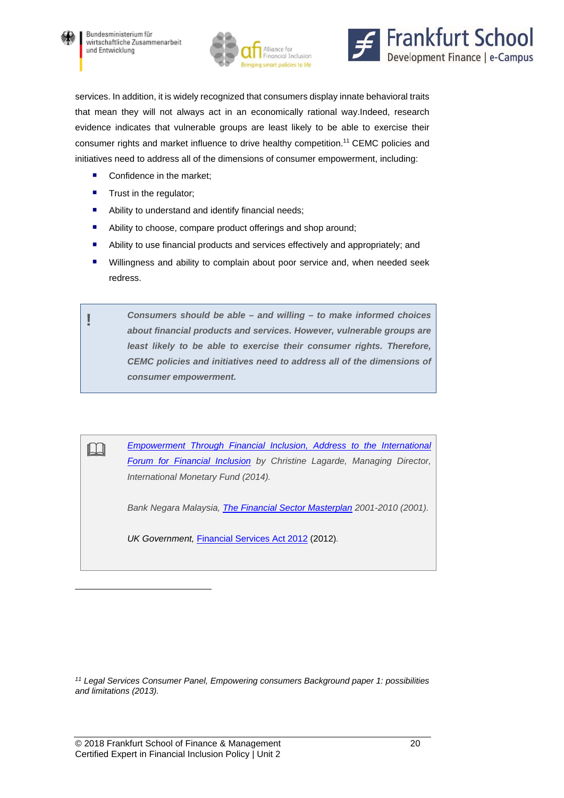

l





services. In addition, it is widely recognized that consumers display innate behavioral traits that mean they will not always act in an economically rational way.Indeed, research evidence indicates that vulnerable groups are least likely to be able to exercise their consumer rights and market influence to drive healthy competition.11 CEMC policies and initiatives need to address all of the dimensions of consumer empowerment, including:

- Confidence in the market:
- **Trust in the regulator;**
- Ability to understand and identify financial needs;
- Ability to choose, compare product offerings and shop around;
- Ability to use financial products and services effectively and appropriately; and
- **Willingness and ability to complain about poor service and, when needed seek** redress.

**!** *Consumers should be able – and willing – to make informed choices about financial products and services. However, vulnerable groups are least likely to be able to exercise their consumer rights. Therefore, CEMC policies and initiatives need to address all of the dimensions of consumer empowerment.* 

**Empowerment Through Financial Inclusion, Address to the International** *Forum for Financial Inclusion by Christine Lagarde, Managing Director, International Monetary Fund (2014).* 

*Bank Negara Malaysia, The Financial Sector Masterplan 2001-2010 (2001).* 

*UK Government,* Financial Services Act 2012 (2012)*.* 

*11 Legal Services Consumer Panel, Empowering consumers Background paper 1: possibilities and limitations (2013).*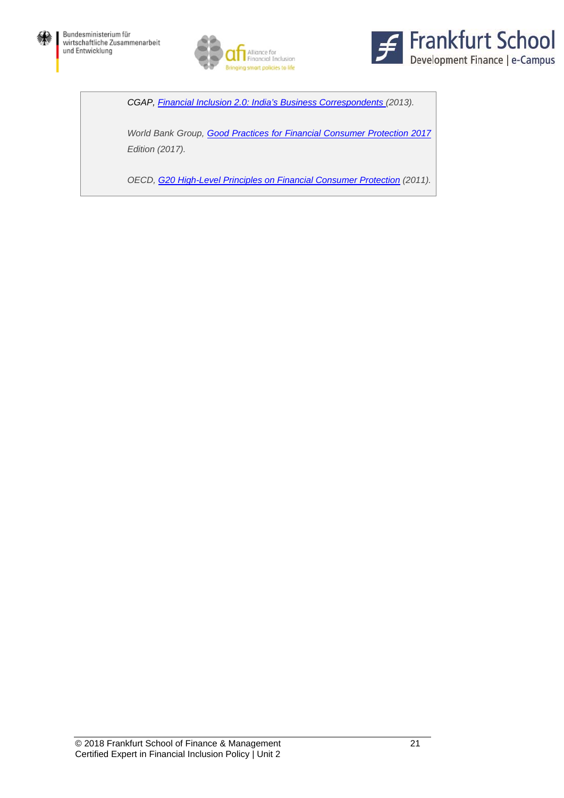





*CGAP, Financial Inclusion 2.0: India's Business Correspondents (2013).* 

*World Bank Group, Good Practices for Financial Consumer Protection 2017 Edition (2017).* 

*OECD, G20 High-Level Principles on Financial Consumer Protection (2011).*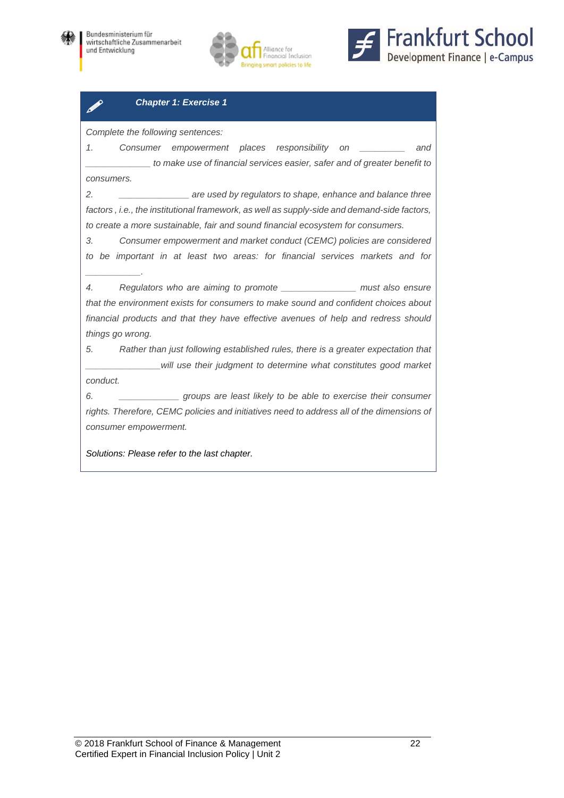





#### *Chapter 1: Exercise 1*

*Complete the following sentences:* 

*1. Consumer empowerment places responsibility on \_\_\_\_\_\_\_\_\_ and \_\_\_\_\_\_\_\_\_\_\_\_\_ to make use of financial services easier, safer and of greater benefit to consumers.* 

*2. \_\_\_\_\_\_\_\_\_\_\_\_\_\_ are used by regulators to shape, enhance and balance three factors , i.e., the institutional framework, as well as supply-side and demand-side factors, to create a more sustainable, fair and sound financial ecosystem for consumers.* 

*3. Consumer empowerment and market conduct (CEMC) policies are considered to be important in at least two areas: for financial services markets and for \_\_\_\_\_\_\_\_\_\_\_.* 

*4. Regulators who are aiming to promote \_\_\_\_\_\_\_\_\_\_\_\_\_\_\_ must also ensure that the environment exists for consumers to make sound and confident choices about financial products and that they have effective avenues of help and redress should things go wrong.* 

*5. Rather than just following established rules, there is a greater expectation that \_\_\_\_\_\_\_\_\_\_\_\_\_\_\_will use their judgment to determine what constitutes good market conduct.* 

*6. \_\_\_\_\_\_\_\_\_\_\_\_ groups are least likely to be able to exercise their consumer*  rights. Therefore, CEMC policies and initiatives need to address all of the dimensions of *consumer empowerment.*

*Solutions: Please refer to the last chapter.*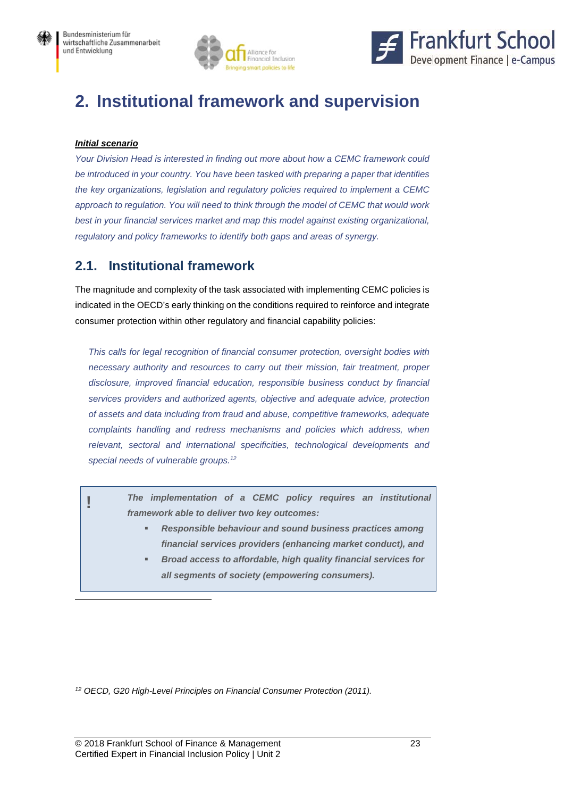



## **2. Institutional framework and supervision**

#### *Initial scenario*

 $\overline{a}$ 

*Your Division Head is interested in finding out more about how a CEMC framework could be introduced in your country. You have been tasked with preparing a paper that identifies the key organizations, legislation and regulatory policies required to implement a CEMC approach to regulation. You will need to think through the model of CEMC that would work best in your financial services market and map this model against existing organizational, regulatory and policy frameworks to identify both gaps and areas of synergy.* 

### **2.1. Institutional framework**

The magnitude and complexity of the task associated with implementing CEMC policies is indicated in the OECD's early thinking on the conditions required to reinforce and integrate consumer protection within other regulatory and financial capability policies:

*This calls for legal recognition of financial consumer protection, oversight bodies with necessary authority and resources to carry out their mission, fair treatment, proper disclosure, improved financial education, responsible business conduct by financial services providers and authorized agents, objective and adequate advice, protection of assets and data including from fraud and abuse, competitive frameworks, adequate complaints handling and redress mechanisms and policies which address, when*  relevant, sectoral and international specificities, technological developments and *special needs of vulnerable groups.12*

**!** *The implementation of a CEMC policy requires an institutional framework able to deliver two key outcomes:* 

- *Responsible behaviour and sound business practices among financial services providers (enhancing market conduct), and*
- *Broad access to affordable, high quality financial services for all segments of society (empowering consumers).*

*12 OECD, G20 High-Level Principles on Financial Consumer Protection (2011).*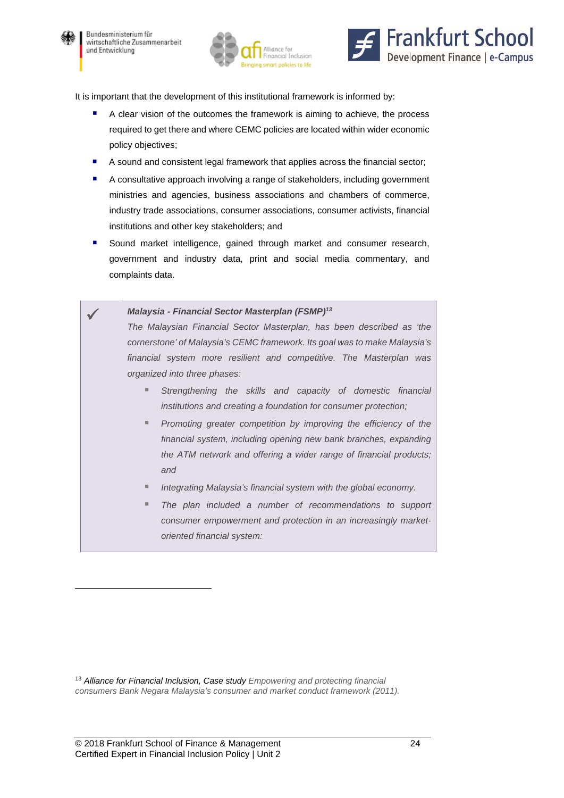

 $\overline{a}$ 





It is important that the development of this institutional framework is informed by:

- A clear vision of the outcomes the framework is aiming to achieve, the process required to get there and where CEMC policies are located within wider economic policy objectives;
- A sound and consistent legal framework that applies across the financial sector;
- A consultative approach involving a range of stakeholders, including government ministries and agencies, business associations and chambers of commerce, industry trade associations, consumer associations, consumer activists, financial institutions and other key stakeholders; and
- **Sound market intelligence, gained through market and consumer research,** government and industry data, print and social media commentary, and complaints data.
- *Malaysia Financial Sector Masterplan (FSMP)13 The Malaysian Financial Sector Masterplan, has been described as 'the cornerstone' of Malaysia's CEMC framework. Its goal was to make Malaysia's financial system more resilient and competitive. The Masterplan was organized into three phases: Strengthening the skills and capacity of domestic financial institutions and creating a foundation for consumer protection;* 
	- *Promoting greater competition by improving the efficiency of the financial system, including opening new bank branches, expanding the ATM network and offering a wider range of financial products; and*
	- *Integrating Malaysia's financial system with the global economy.*
	- *The plan included a number of recommendations to support consumer empowerment and protection in an increasingly marketoriented financial system:*

<sup>13</sup> *Alliance for Financial Inclusion, Case study Empowering and protecting financial consumers Bank Negara Malaysia's consumer and market conduct framework (2011).*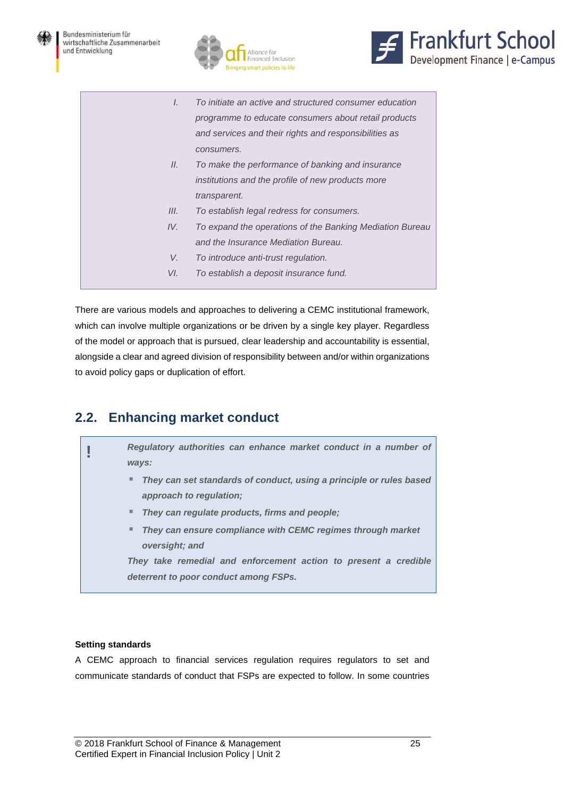





- *I. To initiate an active and structured consumer education programme to educate consumers about retail products and services and their rights and responsibilities as consumers.*
- *II. To make the performance of banking and insurance institutions and the profile of new products more transparent.*
- *III. To establish legal redress for consumers.*
- *IV. To expand the operations of the Banking Mediation Bureau and the Insurance Mediation Bureau.*
- *V. To introduce anti-trust regulation.*
- *VI. To establish a deposit insurance fund.*

There are various models and approaches to delivering a CEMC institutional framework, which can involve multiple organizations or be driven by a single key player. Regardless of the model or approach that is pursued, clear leadership and accountability is essential, alongside a clear and agreed division of responsibility between and/or within organizations to avoid policy gaps or duplication of effort.

### **2.2. Enhancing market conduct**

**!** *Regulatory authorities can enhance market conduct in a number of ways:* 

- *They can set standards of conduct, using a principle or rules based approach to regulation;*
- *They can regulate products, firms and people;*
- *They can ensure compliance with CEMC regimes through market oversight; and*

*They take remedial and enforcement action to present a credible deterrent to poor conduct among FSPs.* 

#### **Setting standards**

A CEMC approach to financial services regulation requires regulators to set and communicate standards of conduct that FSPs are expected to follow. In some countries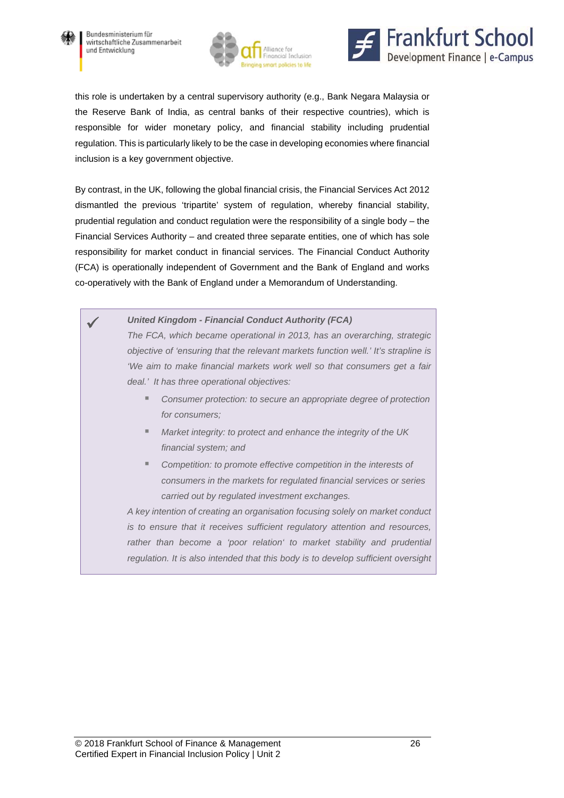





this role is undertaken by a central supervisory authority (e.g., Bank Negara Malaysia or the Reserve Bank of India, as central banks of their respective countries), which is responsible for wider monetary policy, and financial stability including prudential regulation. This is particularly likely to be the case in developing economies where financial inclusion is a key government objective.

By contrast, in the UK, following the global financial crisis, the Financial Services Act 2012 dismantled the previous 'tripartite' system of regulation, whereby financial stability, prudential regulation and conduct regulation were the responsibility of a single body – the Financial Services Authority – and created three separate entities, one of which has sole responsibility for market conduct in financial services. The Financial Conduct Authority (FCA) is operationally independent of Government and the Bank of England and works co-operatively with the Bank of England under a Memorandum of Understanding.

> *United Kingdom - Financial Conduct Authority (FCA) The FCA, which became operational in 2013, has an overarching, strategic objective of 'ensuring that the relevant markets function well.' It's strapline is 'We aim to make financial markets work well so that consumers get a fair deal.' It has three operational objectives:*

- Consumer protection: to secure an appropriate degree of protection *for consumers;*
- *Market integrity: to protect and enhance the integrity of the UK financial system; and*
- Competition: to promote effective competition in the interests of *consumers in the markets for regulated financial services or series carried out by regulated investment exchanges.*

*A key intention of creating an organisation focusing solely on market conduct is to ensure that it receives sufficient regulatory attention and resources,*  rather than become a 'poor relation' to market stability and prudential *regulation. It is also intended that this body is to develop sufficient oversight*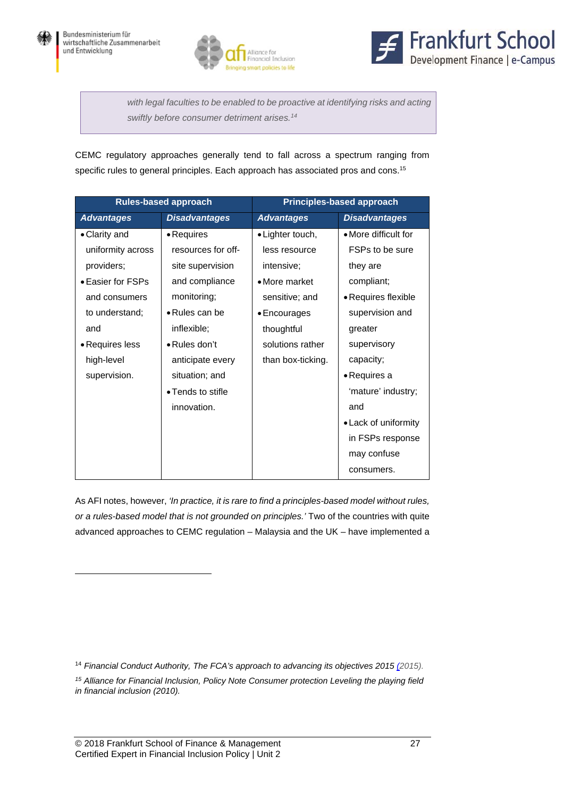





with legal faculties to be enabled to be proactive at identifying risks and acting *swiftly before consumer detriment arises.14*

CEMC regulatory approaches generally tend to fall across a spectrum ranging from specific rules to general principles. Each approach has associated pros and cons.<sup>15</sup>

| <b>Rules-based approach</b> |                      | <b>Principles-based approach</b> |                      |  |
|-----------------------------|----------------------|----------------------------------|----------------------|--|
| <b>Advantages</b>           | <b>Disadvantages</b> | <b>Advantages</b>                | <b>Disadvantages</b> |  |
| • Clarity and               | • Requires           | • Lighter touch,                 | • More difficult for |  |
| uniformity across           | resources for off-   | less resource                    | FSPs to be sure      |  |
| providers;                  | site supervision     | intensive;                       | they are             |  |
| • Easier for FSPs           | and compliance       | • More market                    | compliant;           |  |
| and consumers               | monitoring;          | sensitive; and                   | • Requires flexible  |  |
| to understand;              | • Rules can be       | • Encourages                     | supervision and      |  |
| and                         | inflexible;          | thoughtful                       | greater              |  |
| • Requires less             | • Rules don't        | solutions rather                 | supervisory          |  |
| high-level                  | anticipate every     | than box-ticking.                | capacity;            |  |
| supervision.                | situation; and       |                                  | • Requires a         |  |
|                             | • Tends to stifle    |                                  | 'mature' industry;   |  |
|                             | innovation.          |                                  | and                  |  |
|                             |                      |                                  | • Lack of uniformity |  |
|                             |                      |                                  | in FSPs response     |  |
|                             |                      |                                  | may confuse          |  |
|                             |                      |                                  | consumers.           |  |

As AFI notes, however, *'In practice, it is rare to find a principles-based model without rules, or a rules-based model that is not grounded on principles.'* Two of the countries with quite advanced approaches to CEMC regulation – Malaysia and the UK – have implemented a

<sup>14</sup> *Financial Conduct Authority, The FCA's approach to advancing its objectives 2015 (2015).*

*15 Alliance for Financial Inclusion, Policy Note Consumer protection Leveling the playing field in financial inclusion (2010).* 

 $\overline{a}$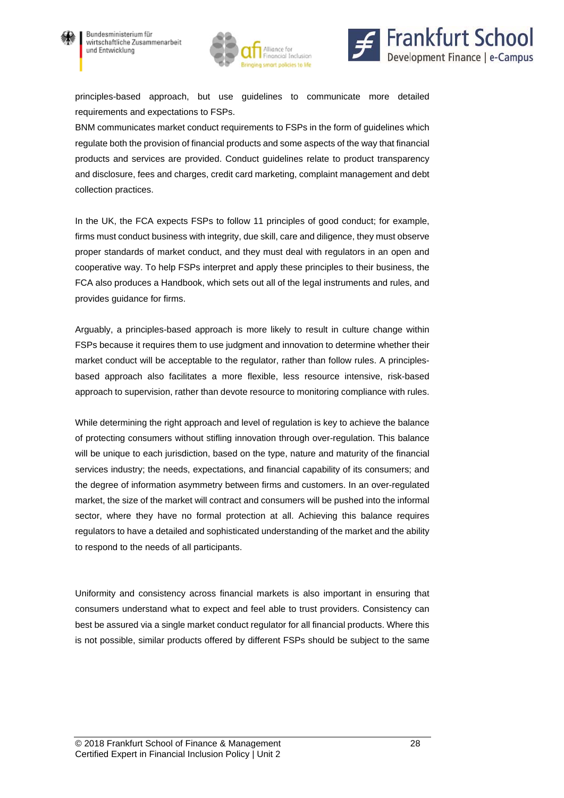





principles-based approach, but use guidelines to communicate more detailed requirements and expectations to FSPs.

BNM communicates market conduct requirements to FSPs in the form of guidelines which regulate both the provision of financial products and some aspects of the way that financial products and services are provided. Conduct guidelines relate to product transparency and disclosure, fees and charges, credit card marketing, complaint management and debt collection practices.

In the UK, the FCA expects FSPs to follow 11 principles of good conduct; for example, firms must conduct business with integrity, due skill, care and diligence, they must observe proper standards of market conduct, and they must deal with regulators in an open and cooperative way. To help FSPs interpret and apply these principles to their business, the FCA also produces a Handbook, which sets out all of the legal instruments and rules, and provides guidance for firms.

Arguably, a principles-based approach is more likely to result in culture change within FSPs because it requires them to use judgment and innovation to determine whether their market conduct will be acceptable to the regulator, rather than follow rules. A principlesbased approach also facilitates a more flexible, less resource intensive, risk-based approach to supervision, rather than devote resource to monitoring compliance with rules.

While determining the right approach and level of regulation is key to achieve the balance of protecting consumers without stifling innovation through over-regulation. This balance will be unique to each jurisdiction, based on the type, nature and maturity of the financial services industry; the needs, expectations, and financial capability of its consumers; and the degree of information asymmetry between firms and customers. In an over-regulated market, the size of the market will contract and consumers will be pushed into the informal sector, where they have no formal protection at all. Achieving this balance requires regulators to have a detailed and sophisticated understanding of the market and the ability to respond to the needs of all participants.

Uniformity and consistency across financial markets is also important in ensuring that consumers understand what to expect and feel able to trust providers. Consistency can best be assured via a single market conduct regulator for all financial products. Where this is not possible, similar products offered by different FSPs should be subject to the same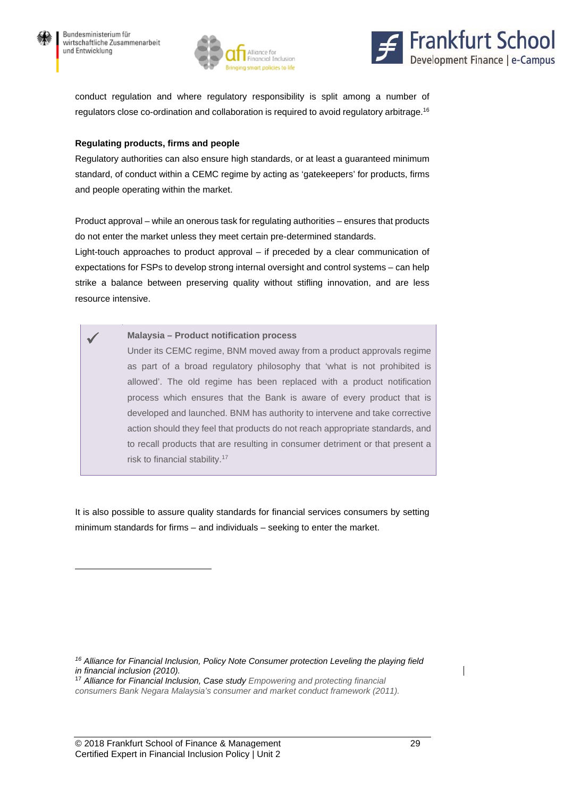$\overline{a}$ 





conduct regulation and where regulatory responsibility is split among a number of regulators close co-ordination and collaboration is required to avoid regulatory arbitrage.16

#### **Regulating products, firms and people**

Regulatory authorities can also ensure high standards, or at least a guaranteed minimum standard, of conduct within a CEMC regime by acting as 'gatekeepers' for products, firms and people operating within the market.

Product approval – while an onerous task for regulating authorities – ensures that products do not enter the market unless they meet certain pre-determined standards.

Light-touch approaches to product approval – if preceded by a clear communication of expectations for FSPs to develop strong internal oversight and control systems – can help strike a balance between preserving quality without stifling innovation, and are less resource intensive.

 **Malaysia – Product notification process**  Under its CEMC regime, BNM moved away from a product approvals regime as part of a broad regulatory philosophy that 'what is not prohibited is allowed'. The old regime has been replaced with a product notification process which ensures that the Bank is aware of every product that is developed and launched. BNM has authority to intervene and take corrective action should they feel that products do not reach appropriate standards, and to recall products that are resulting in consumer detriment or that present a risk to financial stability.<sup>17</sup>

It is also possible to assure quality standards for financial services consumers by setting minimum standards for firms – and individuals – seeking to enter the market.

<sup>17</sup> *Alliance for Financial Inclusion, Case study Empowering and protecting financial consumers Bank Negara Malaysia's consumer and market conduct framework (2011).*

*<sup>16</sup> Alliance for Financial Inclusion, Policy Note Consumer protection Leveling the playing field in financial inclusion (2010).*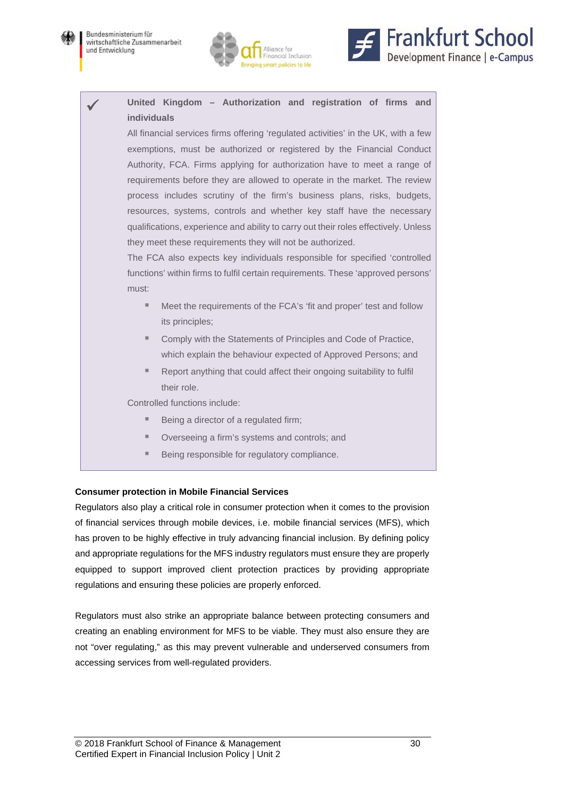



### **United Kingdom – Authorization and registration of firms and individuals**

All financial services firms offering 'regulated activities' in the UK, with a few exemptions, must be authorized or registered by the Financial Conduct Authority, FCA. Firms applying for authorization have to meet a range of requirements before they are allowed to operate in the market. The review process includes scrutiny of the firm's business plans, risks, budgets, resources, systems, controls and whether key staff have the necessary qualifications, experience and ability to carry out their roles effectively. Unless they meet these requirements they will not be authorized.

The FCA also expects key individuals responsible for specified 'controlled functions' within firms to fulfil certain requirements. These 'approved persons' must:

- Meet the requirements of the FCA's 'fit and proper' test and follow its principles;
- Comply with the Statements of Principles and Code of Practice. which explain the behaviour expected of Approved Persons; and
- Report anything that could affect their ongoing suitability to fulfil their role.

Controlled functions include:

- Being a director of a regulated firm;
- **Derseeing a firm's systems and controls; and**
- Being responsible for regulatory compliance.

#### **Consumer protection in Mobile Financial Services**

Regulators also play a critical role in consumer protection when it comes to the provision of financial services through mobile devices, i.e. mobile financial services (MFS), which has proven to be highly effective in truly advancing financial inclusion. By defining policy and appropriate regulations for the MFS industry regulators must ensure they are properly equipped to support improved client protection practices by providing appropriate regulations and ensuring these policies are properly enforced.

Regulators must also strike an appropriate balance between protecting consumers and creating an enabling environment for MFS to be viable. They must also ensure they are not "over regulating," as this may prevent vulnerable and underserved consumers from accessing services from well-regulated providers.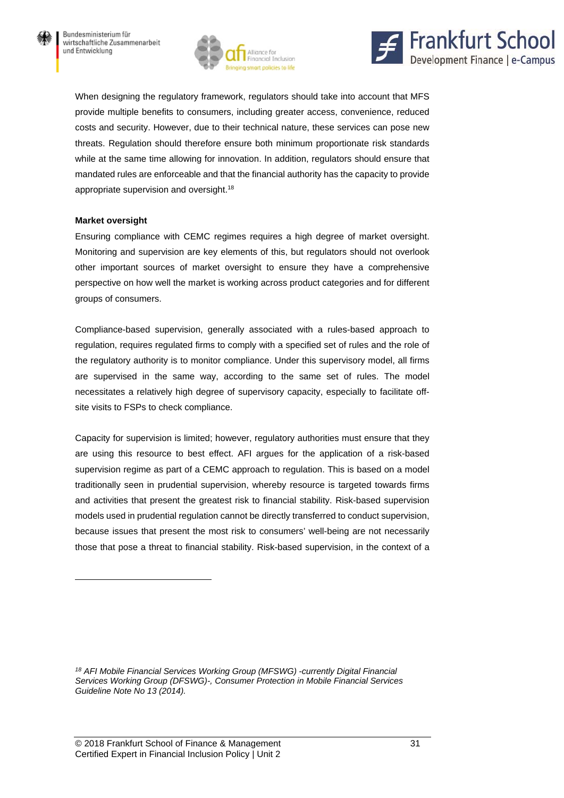



When designing the regulatory framework, regulators should take into account that MFS provide multiple benefits to consumers, including greater access, convenience, reduced costs and security. However, due to their technical nature, these services can pose new threats. Regulation should therefore ensure both minimum proportionate risk standards while at the same time allowing for innovation. In addition, regulators should ensure that mandated rules are enforceable and that the financial authority has the capacity to provide appropriate supervision and oversight.18

#### **Market oversight**

 $\overline{a}$ 

Ensuring compliance with CEMC regimes requires a high degree of market oversight. Monitoring and supervision are key elements of this, but regulators should not overlook other important sources of market oversight to ensure they have a comprehensive perspective on how well the market is working across product categories and for different groups of consumers.

Compliance-based supervision, generally associated with a rules-based approach to regulation, requires regulated firms to comply with a specified set of rules and the role of the regulatory authority is to monitor compliance. Under this supervisory model, all firms are supervised in the same way, according to the same set of rules. The model necessitates a relatively high degree of supervisory capacity, especially to facilitate offsite visits to FSPs to check compliance.

Capacity for supervision is limited; however, regulatory authorities must ensure that they are using this resource to best effect. AFI argues for the application of a risk-based supervision regime as part of a CEMC approach to regulation. This is based on a model traditionally seen in prudential supervision, whereby resource is targeted towards firms and activities that present the greatest risk to financial stability. Risk-based supervision models used in prudential regulation cannot be directly transferred to conduct supervision, because issues that present the most risk to consumers' well-being are not necessarily those that pose a threat to financial stability. Risk-based supervision, in the context of a

*<sup>18</sup> AFI Mobile Financial Services Working Group (MFSWG) -currently Digital Financial Services Working Group (DFSWG)-, Consumer Protection in Mobile Financial Services Guideline Note No 13 (2014).*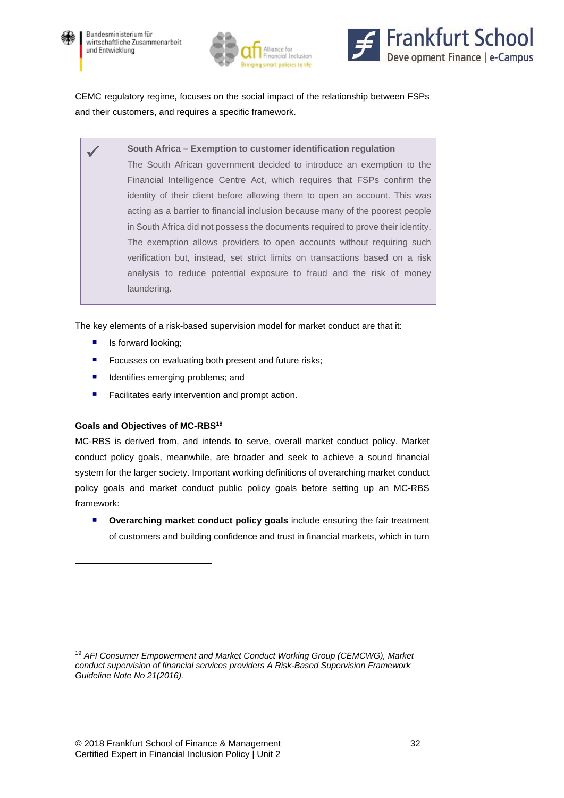





CEMC regulatory regime, focuses on the social impact of the relationship between FSPs and their customers, and requires a specific framework.

**South Africa – Exemption to customer identification regulation** 

The South African government decided to introduce an exemption to the Financial Intelligence Centre Act, which requires that FSPs confirm the identity of their client before allowing them to open an account. This was acting as a barrier to financial inclusion because many of the poorest people in South Africa did not possess the documents required to prove their identity. The exemption allows providers to open accounts without requiring such verification but, instead, set strict limits on transactions based on a risk analysis to reduce potential exposure to fraud and the risk of money laundering.

The key elements of a risk-based supervision model for market conduct are that it:

- **I** Is forward looking;
- **F** Focusses on evaluating both present and future risks;
- **If** Identifies emerging problems; and
- **Facilitates early intervention and prompt action.**

#### **Goals and Objectives of MC-RBS19**

 $\overline{a}$ 

MC-RBS is derived from, and intends to serve, overall market conduct policy. Market conduct policy goals, meanwhile, are broader and seek to achieve a sound financial system for the larger society. Important working definitions of overarching market conduct policy goals and market conduct public policy goals before setting up an MC-RBS framework:

**P** Overarching market conduct policy goals include ensuring the fair treatment of customers and building confidence and trust in financial markets, which in turn

<sup>19</sup> *AFI Consumer Empowerment and Market Conduct Working Group (CEMCWG), Market conduct supervision of financial services providers A Risk-Based Supervision Framework Guideline Note No 21(2016).*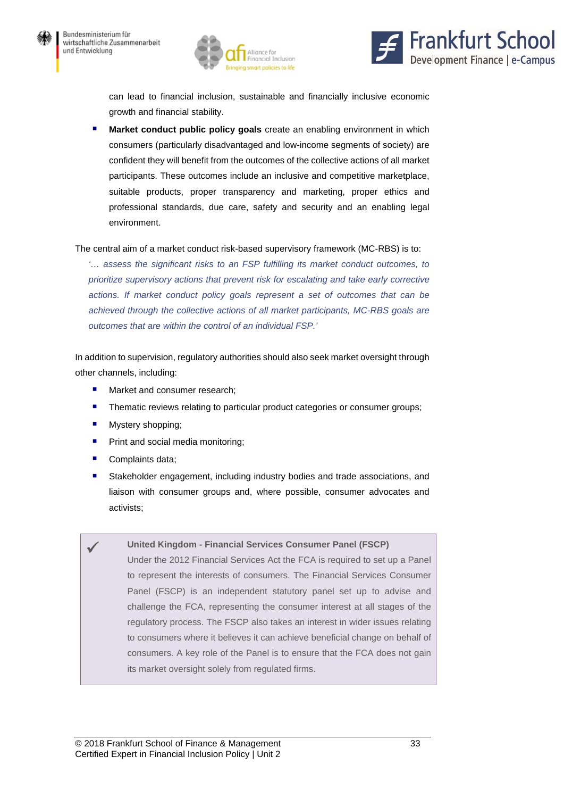



can lead to financial inclusion, sustainable and financially inclusive economic growth and financial stability.

 **Market conduct public policy goals** create an enabling environment in which consumers (particularly disadvantaged and low-income segments of society) are confident they will benefit from the outcomes of the collective actions of all market participants. These outcomes include an inclusive and competitive marketplace, suitable products, proper transparency and marketing, proper ethics and professional standards, due care, safety and security and an enabling legal environment.

#### The central aim of a market conduct risk-based supervisory framework (MC-RBS) is to:

*'… assess the significant risks to an FSP fulfilling its market conduct outcomes, to prioritize supervisory actions that prevent risk for escalating and take early corrective actions. If market conduct policy goals represent a set of outcomes that can be achieved through the collective actions of all market participants, MC-RBS goals are outcomes that are within the control of an individual FSP.'* 

In addition to supervision, regulatory authorities should also seek market oversight through other channels, including:

- **Market and consumer research:**
- **Thematic reviews relating to particular product categories or consumer groups;**
- **Mystery shopping;**
- **Print and social media monitoring:**
- Complaints data;
- Stakeholder engagement, including industry bodies and trade associations, and liaison with consumer groups and, where possible, consumer advocates and activists;

#### **United Kingdom - Financial Services Consumer Panel (FSCP)**

Under the 2012 Financial Services Act the FCA is required to set up a Panel to represent the interests of consumers. The Financial Services Consumer Panel (FSCP) is an independent statutory panel set up to advise and challenge the FCA, representing the consumer interest at all stages of the regulatory process. The FSCP also takes an interest in wider issues relating to consumers where it believes it can achieve beneficial change on behalf of consumers. A key role of the Panel is to ensure that the FCA does not gain its market oversight solely from regulated firms.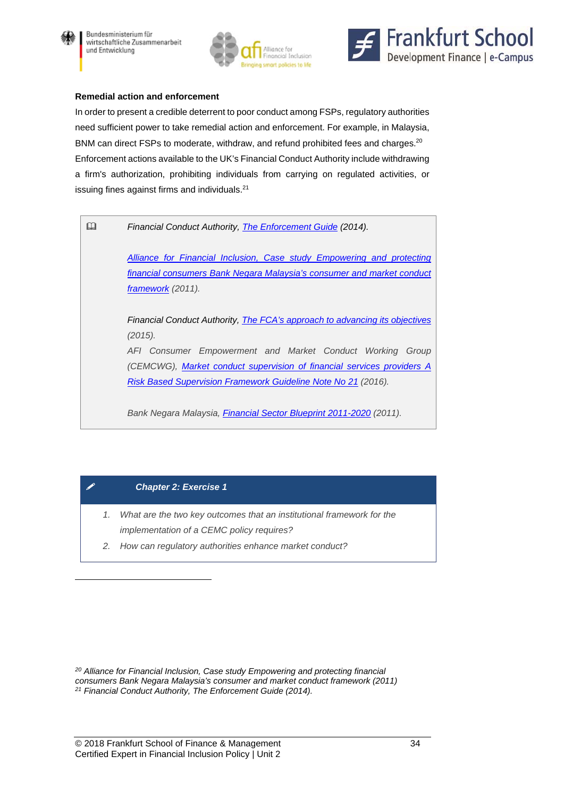





#### **Remedial action and enforcement**

In order to present a credible deterrent to poor conduct among FSPs, regulatory authorities need sufficient power to take remedial action and enforcement. For example, in Malaysia, BNM can direct FSPs to moderate, withdraw, and refund prohibited fees and charges.<sup>20</sup> Enforcement actions available to the UK's Financial Conduct Authority include withdrawing a firm's authorization, prohibiting individuals from carrying on regulated activities, or issuing fines against firms and individuals.<sup>21</sup>

*Financial Conduct Authority, The Enforcement Guide (2014).* 

*Alliance for Financial Inclusion, Case study Empowering and protecting financial consumers Bank Negara Malaysia's consumer and market conduct framework (2011).* 

*Financial Conduct Authority, The FCA's approach to advancing its objectives (2015).* 

*AFI Consumer Empowerment and Market Conduct Working Group (CEMCWG), Market conduct supervision of financial services providers A Risk Based Supervision Framework Guideline Note No 21 (2016).* 

*Bank Negara Malaysia, Financial Sector Blueprint 2011-2020 (2011).* 

#### *Chapter 2: Exercise 1*

 $\overline{a}$ 

- *1. What are the two key outcomes that an institutional framework for the implementation of a CEMC policy requires?*
- *2. How can regulatory authorities enhance market conduct?*

*20 Alliance for Financial Inclusion, Case study Empowering and protecting financial consumers Bank Negara Malaysia's consumer and market conduct framework (2011) 21 Financial Conduct Authority, The Enforcement Guide (2014).*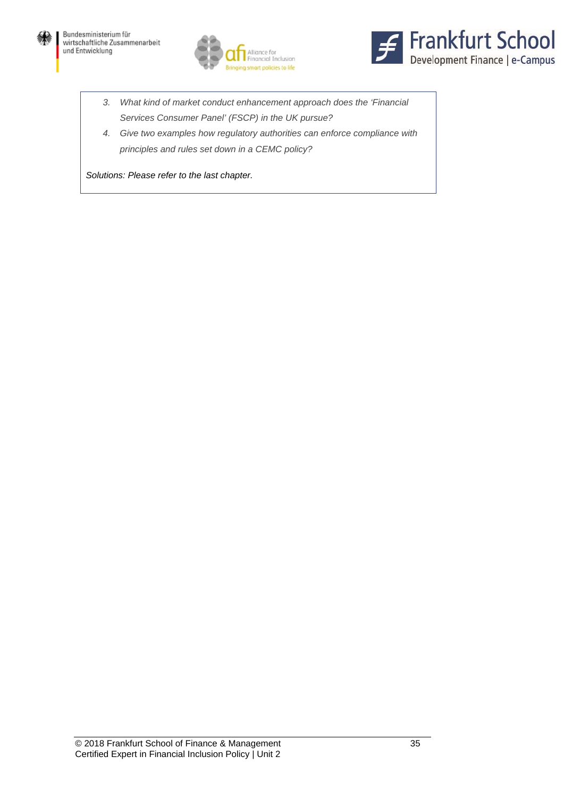





- *3. What kind of market conduct enhancement approach does the 'Financial Services Consumer Panel' (FSCP) in the UK pursue?*
- *4. Give two examples how regulatory authorities can enforce compliance with principles and rules set down in a CEMC policy?*

*Solutions: Please refer to the last chapter.*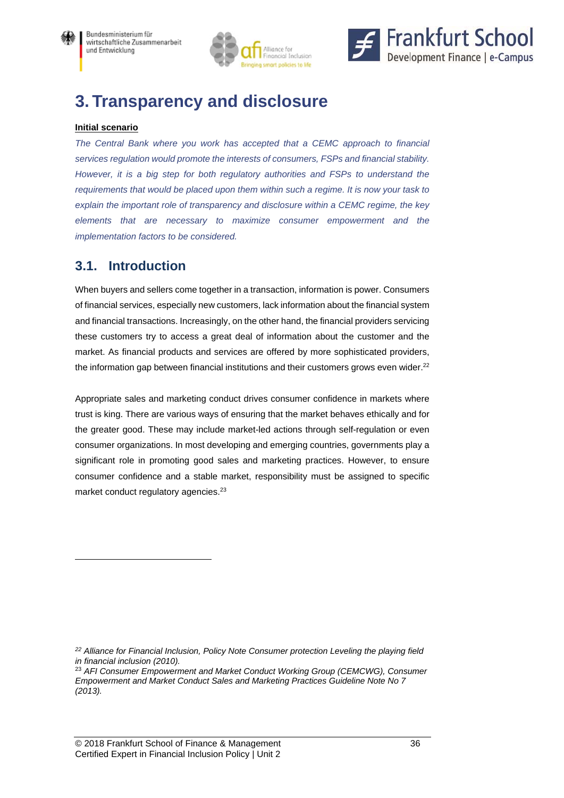



# **3. Transparency and disclosure**

### **Initial scenario**

The Central Bank where you work has accepted that a CEMC approach to financial *services regulation would promote the interests of consumers, FSPs and financial stability. However, it is a big step for both regulatory authorities and FSPs to understand the requirements that would be placed upon them within such a regime. It is now your task to explain the important role of transparency and disclosure within a CEMC regime, the key elements that are necessary to maximize consumer empowerment and the implementation factors to be considered.* 

## **3.1. Introduction**

 $\overline{a}$ 

When buyers and sellers come together in a transaction, information is power. Consumers of financial services, especially new customers, lack information about the financial system and financial transactions. Increasingly, on the other hand, the financial providers servicing these customers try to access a great deal of information about the customer and the market. As financial products and services are offered by more sophisticated providers, the information gap between financial institutions and their customers grows even wider.<sup>22</sup>

Appropriate sales and marketing conduct drives consumer confidence in markets where trust is king. There are various ways of ensuring that the market behaves ethically and for the greater good. These may include market-led actions through self-regulation or even consumer organizations. In most developing and emerging countries, governments play a significant role in promoting good sales and marketing practices. However, to ensure consumer confidence and a stable market, responsibility must be assigned to specific market conduct regulatory agencies.<sup>23</sup>

*<sup>22</sup> Alliance for Financial Inclusion, Policy Note Consumer protection Leveling the playing field in financial inclusion (2010).* 

<sup>23</sup> *AFI Consumer Empowerment and Market Conduct Working Group (CEMCWG), Consumer Empowerment and Market Conduct Sales and Marketing Practices Guideline Note No 7 (2013).*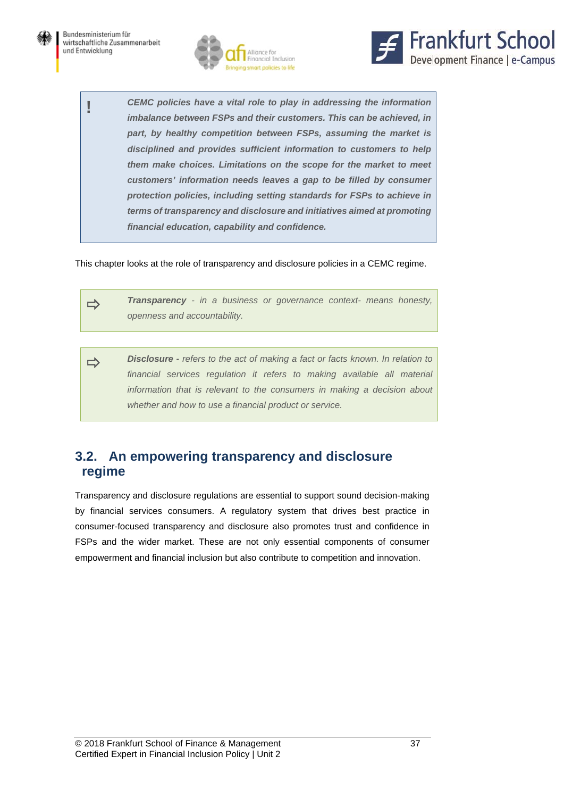



**!** *CEMC policies have a vital role to play in addressing the information imbalance between FSPs and their customers. This can be achieved, in part, by healthy competition between FSPs, assuming the market is disciplined and provides sufficient information to customers to help them make choices. Limitations on the scope for the market to meet customers' information needs leaves a gap to be filled by consumer protection policies, including setting standards for FSPs to achieve in terms of transparency and disclosure and initiatives aimed at promoting financial education, capability and confidence.* 

This chapter looks at the role of transparency and disclosure policies in a CEMC regime.

**Transparency** - in a business or governance context- means honesty, *openness and accountability.*

**Disclosure** - *refers to the act of making a fact or facts known. In relation to* financial services regulation it refers to making available all material *information that is relevant to the consumers in making a decision about whether and how to use a financial product or service.*

## **3.2. An empowering transparency and disclosure regime**

Transparency and disclosure regulations are essential to support sound decision-making by financial services consumers. A regulatory system that drives best practice in consumer-focused transparency and disclosure also promotes trust and confidence in FSPs and the wider market. These are not only essential components of consumer empowerment and financial inclusion but also contribute to competition and innovation.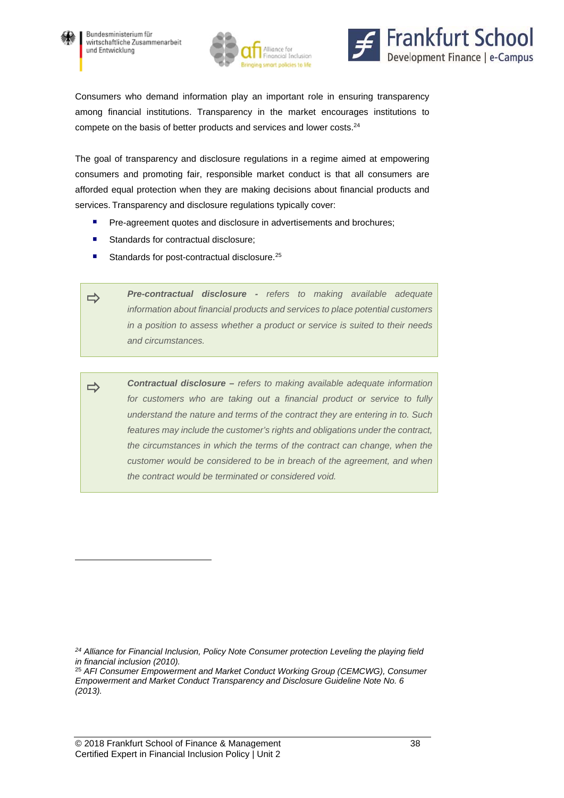

 $\overline{a}$ 





Consumers who demand information play an important role in ensuring transparency among financial institutions. Transparency in the market encourages institutions to compete on the basis of better products and services and lower costs.<sup>24</sup>

The goal of transparency and disclosure regulations in a regime aimed at empowering consumers and promoting fair, responsible market conduct is that all consumers are afforded equal protection when they are making decisions about financial products and services. Transparency and disclosure regulations typically cover:

- **Pre-agreement quotes and disclosure in advertisements and brochures;**
- Standards for contractual disclosure;
- Standards for post-contractual disclosure.<sup>25</sup>

 *Pre-contractual disclosure - refers to making available adequate information about financial products and services to place potential customers in a position to assess whether a product or service is suited to their needs and circumstances.*

 *Contractual disclosure – refers to making available adequate information for customers who are taking out a financial product or service to fully understand the nature and terms of the contract they are entering in to. Such features may include the customer's rights and obligations under the contract, the circumstances in which the terms of the contract can change, when the customer would be considered to be in breach of the agreement, and when the contract would be terminated or considered void.*

*<sup>24</sup> Alliance for Financial Inclusion, Policy Note Consumer protection Leveling the playing field in financial inclusion (2010).* 

<sup>25</sup> *AFI Consumer Empowerment and Market Conduct Working Group (CEMCWG), Consumer Empowerment and Market Conduct Transparency and Disclosure Guideline Note No. 6 (2013).*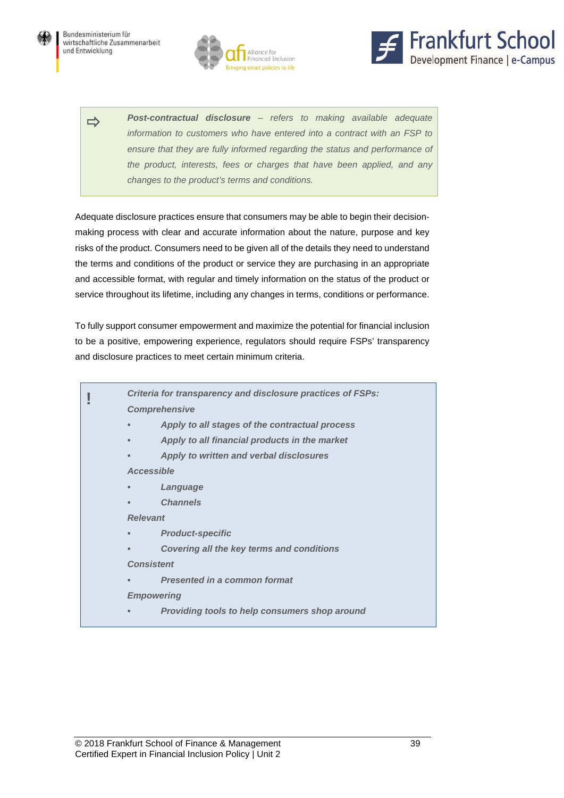





 *Post-contractual disclosure – refers to making available adequate information to customers who have entered into a contract with an FSP to ensure that they are fully informed regarding the status and performance of the product, interests, fees or charges that have been applied, and any changes to the product's terms and conditions.*

Adequate disclosure practices ensure that consumers may be able to begin their decisionmaking process with clear and accurate information about the nature, purpose and key risks of the product. Consumers need to be given all of the details they need to understand the terms and conditions of the product or service they are purchasing in an appropriate and accessible format, with regular and timely information on the status of the product or service throughout its lifetime, including any changes in terms, conditions or performance.

To fully support consumer empowerment and maximize the potential for financial inclusion to be a positive, empowering experience, regulators should require FSPs' transparency and disclosure practices to meet certain minimum criteria.

| Criteria for transparency and disclosure practices of FSPs: |                                                  |  |
|-------------------------------------------------------------|--------------------------------------------------|--|
|                                                             | <b>Comprehensive</b>                             |  |
| $\bullet$                                                   | Apply to all stages of the contractual process   |  |
|                                                             | Apply to all financial products in the market    |  |
| $\bullet$                                                   | Apply to written and verbal disclosures          |  |
|                                                             | <b>Accessible</b>                                |  |
| $\bullet$                                                   | Language                                         |  |
|                                                             | <b>Channels</b>                                  |  |
| <b>Relevant</b>                                             |                                                  |  |
|                                                             | <b>Product-specific</b>                          |  |
|                                                             | <b>Covering all the key terms and conditions</b> |  |
|                                                             | <b>Consistent</b>                                |  |
| $\bullet$                                                   | <b>Presented in a common format</b>              |  |
|                                                             | <b>Empowering</b>                                |  |
|                                                             | Providing tools to help consumers shop around    |  |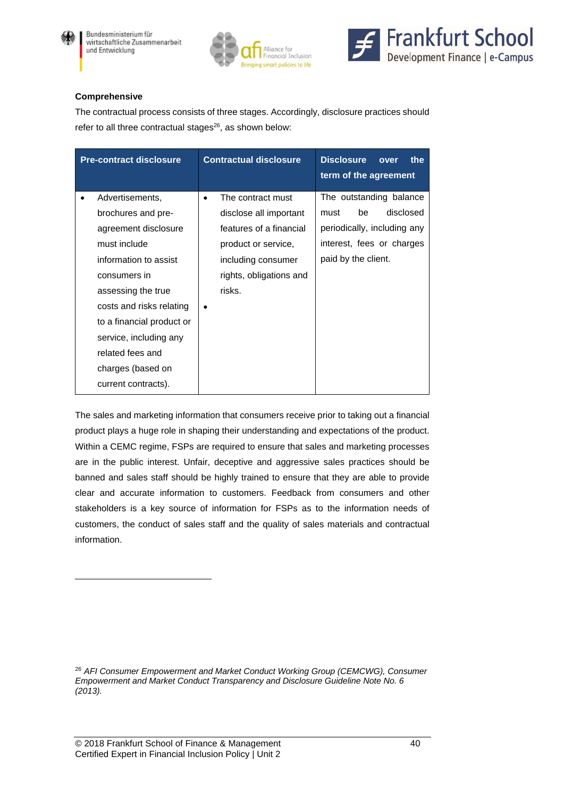

l





#### **Comprehensive**

The contractual process consists of three stages. Accordingly, disclosure practices should refer to all three contractual stages $26$ , as shown below:

| <b>Pre-contract disclosure</b> | <b>Contractual disclosure</b>  | <b>Disclosure</b><br>the<br>over<br>term of the agreement |
|--------------------------------|--------------------------------|-----------------------------------------------------------|
| Advertisements,<br>٠           | The contract must<br>$\bullet$ | The outstanding balance                                   |
| brochures and pre-             | disclose all important         | disclosed<br>be<br>must                                   |
| agreement disclosure           | features of a financial        | periodically, including any                               |
| must include                   | product or service,            | interest, fees or charges                                 |
| information to assist          | including consumer             | paid by the client.                                       |
| consumers in                   | rights, obligations and        |                                                           |
| assessing the true             | risks.                         |                                                           |
| costs and risks relating       |                                |                                                           |
| to a financial product or      |                                |                                                           |
| service, including any         |                                |                                                           |
| related fees and               |                                |                                                           |
| charges (based on              |                                |                                                           |
| current contracts).            |                                |                                                           |

The sales and marketing information that consumers receive prior to taking out a financial product plays a huge role in shaping their understanding and expectations of the product. Within a CEMC regime, FSPs are required to ensure that sales and marketing processes are in the public interest. Unfair, deceptive and aggressive sales practices should be banned and sales staff should be highly trained to ensure that they are able to provide clear and accurate information to customers. Feedback from consumers and other stakeholders is a key source of information for FSPs as to the information needs of customers, the conduct of sales staff and the quality of sales materials and contractual information.

<sup>26</sup> AFI Consumer Empowerment and Market Conduct Working Group (CEMCWG), Consumer *Empowerment and Market Conduct Transparency and Disclosure Guideline Note No. 6 (2013).*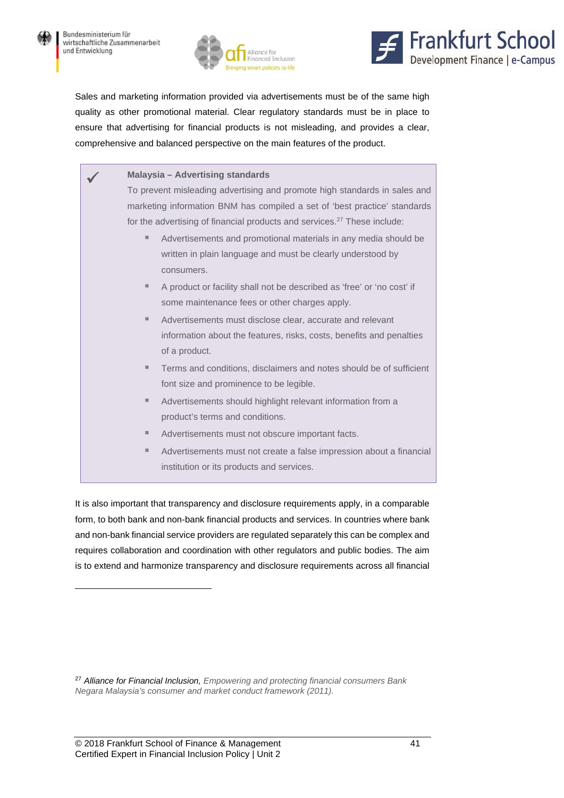



Sales and marketing information provided via advertisements must be of the same high quality as other promotional material. Clear regulatory standards must be in place to ensure that advertising for financial products is not misleading, and provides a clear, comprehensive and balanced perspective on the main features of the product.

| <b>Malaysia - Advertising standards</b>                                              |  |  |
|--------------------------------------------------------------------------------------|--|--|
| To prevent misleading advertising and promote high standards in sales and            |  |  |
| marketing information BNM has compiled a set of 'best practice' standards            |  |  |
| for the advertising of financial products and services. <sup>27</sup> These include: |  |  |
| Advertisements and promotional materials in any media should be<br>ш                 |  |  |
| written in plain language and must be clearly understood by                          |  |  |
| consumers.                                                                           |  |  |
| A product or facility shall not be described as 'free' or 'no cost' if               |  |  |
| some maintenance fees or other charges apply.                                        |  |  |
| Advertisements must disclose clear, accurate and relevant                            |  |  |
| information about the features, risks, costs, benefits and penalties                 |  |  |
| of a product.                                                                        |  |  |
| Terms and conditions, disclaimers and notes should be of sufficient                  |  |  |
| font size and prominence to be legible.                                              |  |  |
| Advertisements should highlight relevant information from a                          |  |  |
| product's terms and conditions.                                                      |  |  |
| Advertisements must not obscure important facts.                                     |  |  |
| Advertisements must not create a false impression about a financial<br>ш             |  |  |
| institution or its products and services.                                            |  |  |

It is also important that transparency and disclosure requirements apply, in a comparable form, to both bank and non-bank financial products and services. In countries where bank and non-bank financial service providers are regulated separately this can be complex and requires collaboration and coordination with other regulators and public bodies. The aim is to extend and harmonize transparency and disclosure requirements across all financial

 $\overline{a}$ 

<sup>27</sup> *Alliance for Financial Inclusion, Empowering and protecting financial consumers Bank Negara Malaysia's consumer and market conduct framework (2011).*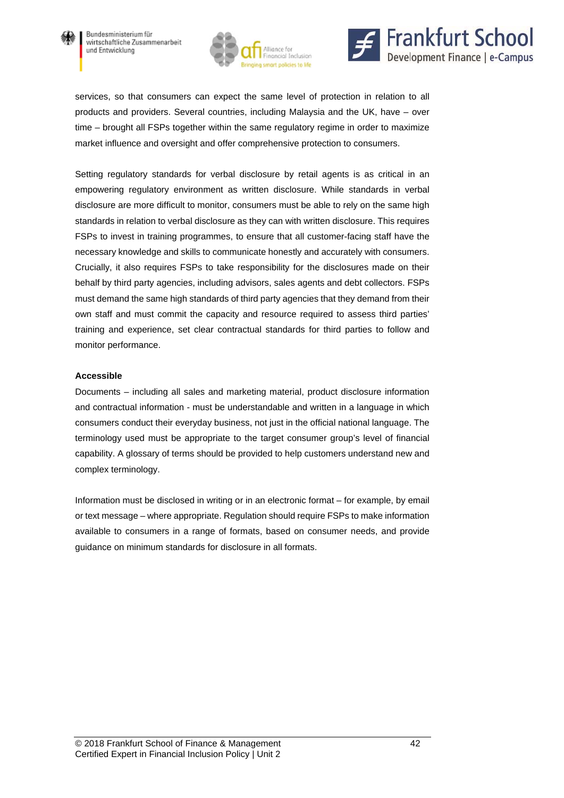





services, so that consumers can expect the same level of protection in relation to all products and providers. Several countries, including Malaysia and the UK, have – over time – brought all FSPs together within the same regulatory regime in order to maximize market influence and oversight and offer comprehensive protection to consumers.

Setting regulatory standards for verbal disclosure by retail agents is as critical in an empowering regulatory environment as written disclosure. While standards in verbal disclosure are more difficult to monitor, consumers must be able to rely on the same high standards in relation to verbal disclosure as they can with written disclosure. This requires FSPs to invest in training programmes, to ensure that all customer-facing staff have the necessary knowledge and skills to communicate honestly and accurately with consumers. Crucially, it also requires FSPs to take responsibility for the disclosures made on their behalf by third party agencies, including advisors, sales agents and debt collectors. FSPs must demand the same high standards of third party agencies that they demand from their own staff and must commit the capacity and resource required to assess third parties' training and experience, set clear contractual standards for third parties to follow and monitor performance.

#### **Accessible**

Documents – including all sales and marketing material, product disclosure information and contractual information - must be understandable and written in a language in which consumers conduct their everyday business, not just in the official national language. The terminology used must be appropriate to the target consumer group's level of financial capability. A glossary of terms should be provided to help customers understand new and complex terminology.

Information must be disclosed in writing or in an electronic format – for example, by email or text message – where appropriate. Regulation should require FSPs to make information available to consumers in a range of formats, based on consumer needs, and provide guidance on minimum standards for disclosure in all formats.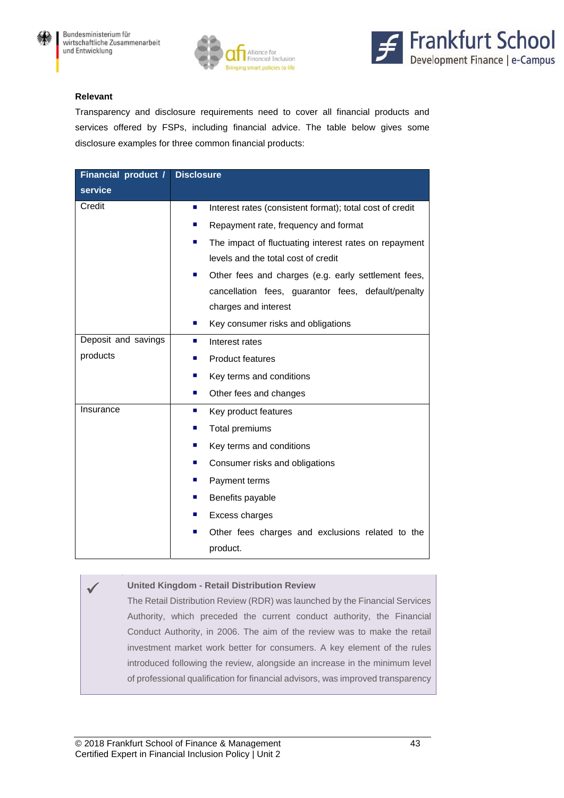





#### **Relevant**

Transparency and disclosure requirements need to cover all financial products and services offered by FSPs, including financial advice. The table below gives some disclosure examples for three common financial products:

| <b>Financial product /</b> | <b>Disclosure</b>                                                          |
|----------------------------|----------------------------------------------------------------------------|
| service                    |                                                                            |
| Credit                     | Interest rates (consistent format); total cost of credit<br>$\blacksquare$ |
|                            | Repayment rate, frequency and format<br>$\blacksquare$                     |
|                            | The impact of fluctuating interest rates on repayment<br>п                 |
|                            | levels and the total cost of credit                                        |
|                            | Other fees and charges (e.g. early settlement fees,<br>$\blacksquare$      |
|                            | cancellation fees, guarantor fees, default/penalty                         |
|                            | charges and interest                                                       |
|                            | Key consumer risks and obligations<br>ш                                    |
| Deposit and savings        | Interest rates<br>п                                                        |
| products                   | <b>Product features</b>                                                    |
|                            | Key terms and conditions<br>п                                              |
|                            | Other fees and changes<br><b>COL</b>                                       |
| Insurance                  | Key product features<br>ш                                                  |
|                            | Total premiums<br>ш                                                        |
|                            | Key terms and conditions<br>п                                              |
|                            | Consumer risks and obligations<br>■                                        |
|                            | Payment terms<br>ш                                                         |
|                            | Benefits payable<br>п                                                      |
|                            | Excess charges                                                             |
|                            | Other fees charges and exclusions related to the<br>П                      |
|                            | product.                                                                   |

#### **United Kingdom - Retail Distribution Review**

The Retail Distribution Review (RDR) was launched by the Financial Services Authority, which preceded the current conduct authority, the Financial Conduct Authority, in 2006. The aim of the review was to make the retail investment market work better for consumers. A key element of the rules introduced following the review, alongside an increase in the minimum level of professional qualification for financial advisors, was improved transparency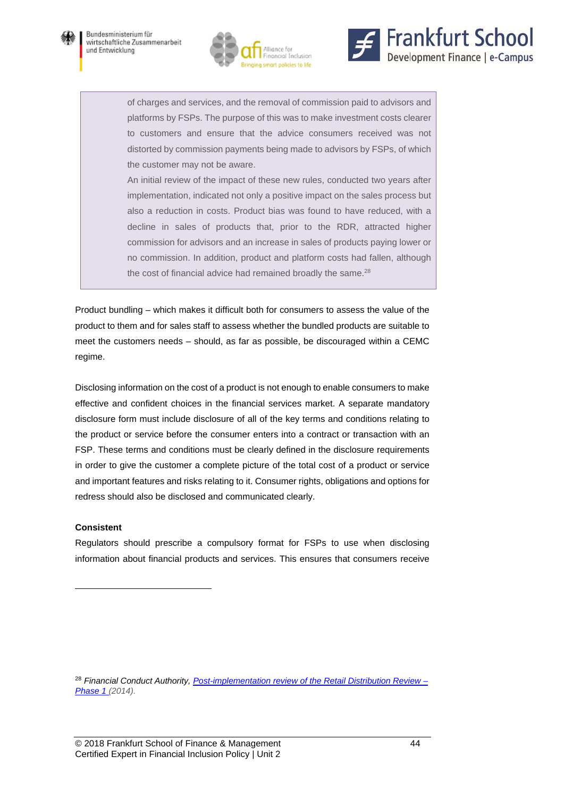





of charges and services, and the removal of commission paid to advisors and platforms by FSPs. The purpose of this was to make investment costs clearer to customers and ensure that the advice consumers received was not distorted by commission payments being made to advisors by FSPs, of which the customer may not be aware.

An initial review of the impact of these new rules, conducted two years after implementation, indicated not only a positive impact on the sales process but also a reduction in costs. Product bias was found to have reduced, with a decline in sales of products that, prior to the RDR, attracted higher commission for advisors and an increase in sales of products paying lower or no commission. In addition, product and platform costs had fallen, although the cost of financial advice had remained broadly the same. $28$ 

Product bundling – which makes it difficult both for consumers to assess the value of the product to them and for sales staff to assess whether the bundled products are suitable to meet the customers needs – should, as far as possible, be discouraged within a CEMC regime.

Disclosing information on the cost of a product is not enough to enable consumers to make effective and confident choices in the financial services market. A separate mandatory disclosure form must include disclosure of all of the key terms and conditions relating to the product or service before the consumer enters into a contract or transaction with an FSP. These terms and conditions must be clearly defined in the disclosure requirements in order to give the customer a complete picture of the total cost of a product or service and important features and risks relating to it. Consumer rights, obligations and options for redress should also be disclosed and communicated clearly.

#### **Consistent**

 $\overline{a}$ 

Regulators should prescribe a compulsory format for FSPs to use when disclosing information about financial products and services. This ensures that consumers receive

<sup>28</sup> *Financial Conduct Authority, Post-implementation review of the Retail Distribution Review – Phase 1 (2014).*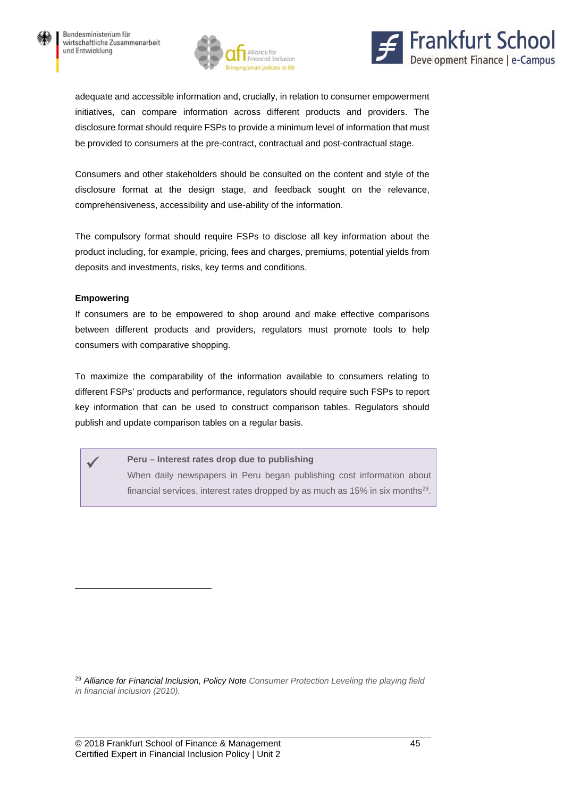



adequate and accessible information and, crucially, in relation to consumer empowerment initiatives, can compare information across different products and providers. The disclosure format should require FSPs to provide a minimum level of information that must be provided to consumers at the pre-contract, contractual and post-contractual stage.

Consumers and other stakeholders should be consulted on the content and style of the disclosure format at the design stage, and feedback sought on the relevance, comprehensiveness, accessibility and use-ability of the information.

The compulsory format should require FSPs to disclose all key information about the product including, for example, pricing, fees and charges, premiums, potential yields from deposits and investments, risks, key terms and conditions.

#### **Empowering**

 $\overline{a}$ 

If consumers are to be empowered to shop around and make effective comparisons between different products and providers, regulators must promote tools to help consumers with comparative shopping.

To maximize the comparability of the information available to consumers relating to different FSPs' products and performance, regulators should require such FSPs to report key information that can be used to construct comparison tables. Regulators should publish and update comparison tables on a regular basis.

 **Peru – Interest rates drop due to publishing**  When daily newspapers in Peru began publishing cost information about financial services, interest rates dropped by as much as  $15\%$  in six months<sup>29</sup>.

<sup>29</sup> *Alliance for Financial Inclusion, Policy Note Consumer Protection Leveling the playing field in financial inclusion (2010).*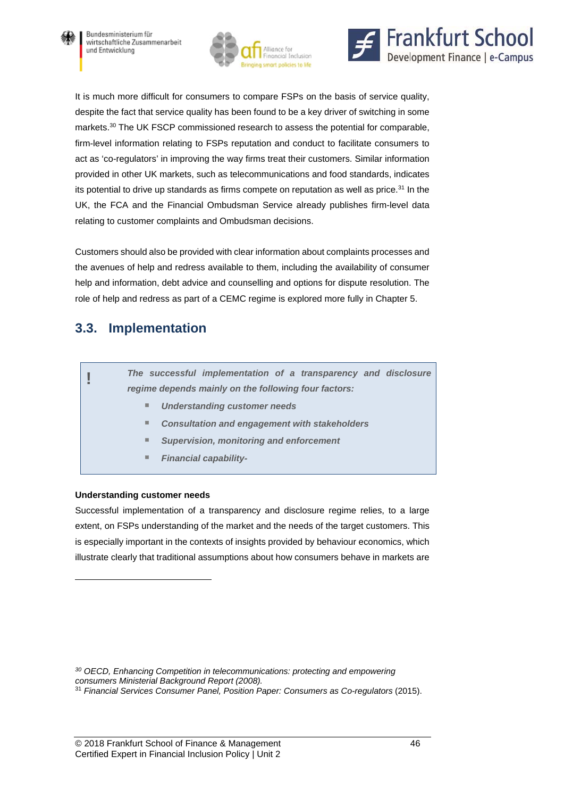





It is much more difficult for consumers to compare FSPs on the basis of service quality, despite the fact that service quality has been found to be a key driver of switching in some markets.30 The UK FSCP commissioned research to assess the potential for comparable, firm-level information relating to FSPs reputation and conduct to facilitate consumers to act as 'co-regulators' in improving the way firms treat their customers. Similar information provided in other UK markets, such as telecommunications and food standards, indicates its potential to drive up standards as firms compete on reputation as well as price. $31$  In the UK, the FCA and the Financial Ombudsman Service already publishes firm-level data relating to customer complaints and Ombudsman decisions.

Customers should also be provided with clear information about complaints processes and the avenues of help and redress available to them, including the availability of consumer help and information, debt advice and counselling and options for dispute resolution. The role of help and redress as part of a CEMC regime is explored more fully in Chapter 5.

### **3.3. Implementation**

| The successful implementation of a transparency and disclosure<br>regime depends mainly on the following four factors: |
|------------------------------------------------------------------------------------------------------------------------|
| <b>Understanding customer needs</b><br>ш                                                                               |
| <b>Consultation and engagement with stakeholders</b><br>٠                                                              |
| <b>Supervision, monitoring and enforcement</b><br>ш                                                                    |
| <b>Financial capability-</b><br>ш                                                                                      |
|                                                                                                                        |

### **Understanding customer needs**

 $\overline{a}$ 

Successful implementation of a transparency and disclosure regime relies, to a large extent, on FSPs understanding of the market and the needs of the target customers. This is especially important in the contexts of insights provided by behaviour economics, which illustrate clearly that traditional assumptions about how consumers behave in markets are

*30 OECD, Enhancing Competition in telecommunications: protecting and empowering consumers Ministerial Background Report (2008).* 

<sup>31</sup> *Financial Services Consumer Panel, Position Paper: Consumers as Co-regulators* (2015).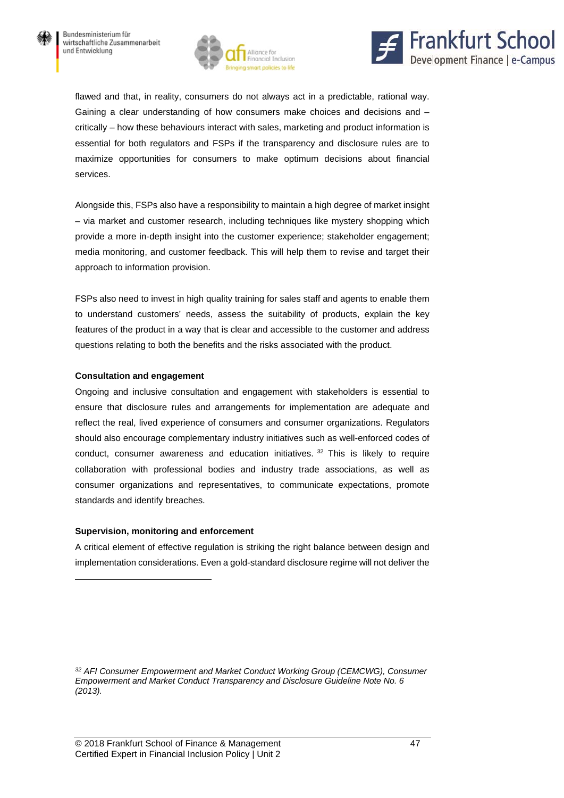



flawed and that, in reality, consumers do not always act in a predictable, rational way. Gaining a clear understanding of how consumers make choices and decisions and – critically – how these behaviours interact with sales, marketing and product information is essential for both regulators and FSPs if the transparency and disclosure rules are to maximize opportunities for consumers to make optimum decisions about financial services.

Alongside this, FSPs also have a responsibility to maintain a high degree of market insight – via market and customer research, including techniques like mystery shopping which provide a more in-depth insight into the customer experience; stakeholder engagement; media monitoring, and customer feedback. This will help them to revise and target their approach to information provision.

FSPs also need to invest in high quality training for sales staff and agents to enable them to understand customers' needs, assess the suitability of products, explain the key features of the product in a way that is clear and accessible to the customer and address questions relating to both the benefits and the risks associated with the product.

#### **Consultation and engagement**

Ongoing and inclusive consultation and engagement with stakeholders is essential to ensure that disclosure rules and arrangements for implementation are adequate and reflect the real, lived experience of consumers and consumer organizations. Regulators should also encourage complementary industry initiatives such as well-enforced codes of conduct, consumer awareness and education initiatives.  $32$  This is likely to require collaboration with professional bodies and industry trade associations, as well as consumer organizations and representatives, to communicate expectations, promote standards and identify breaches.

#### **Supervision, monitoring and enforcement**

 $\overline{a}$ 

A critical element of effective regulation is striking the right balance between design and implementation considerations. Even a gold-standard disclosure regime will not deliver the

*<sup>32</sup> AFI Consumer Empowerment and Market Conduct Working Group (CEMCWG), Consumer Empowerment and Market Conduct Transparency and Disclosure Guideline Note No. 6 (2013).*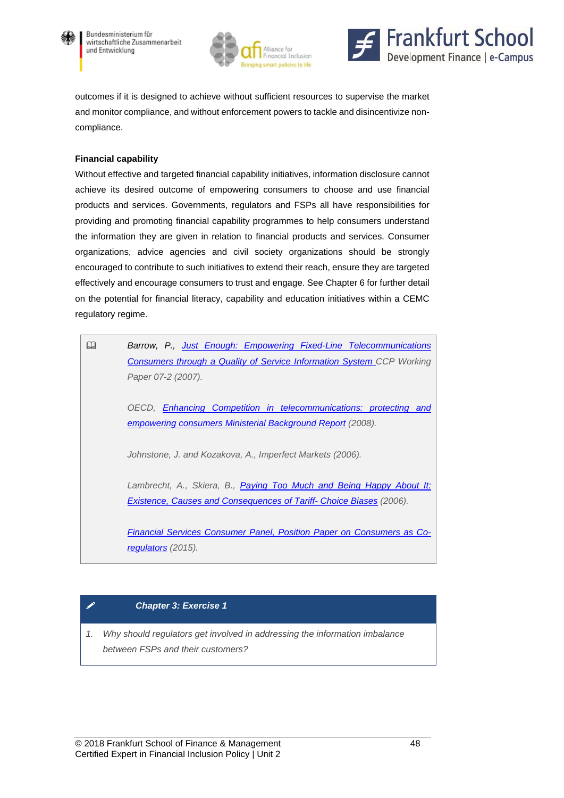





outcomes if it is designed to achieve without sufficient resources to supervise the market and monitor compliance, and without enforcement powers to tackle and disincentivize noncompliance.

#### **Financial capability**

Without effective and targeted financial capability initiatives, information disclosure cannot achieve its desired outcome of empowering consumers to choose and use financial products and services. Governments, regulators and FSPs all have responsibilities for providing and promoting financial capability programmes to help consumers understand the information they are given in relation to financial products and services. Consumer organizations, advice agencies and civil society organizations should be strongly encouraged to contribute to such initiatives to extend their reach, ensure they are targeted effectively and encourage consumers to trust and engage. See Chapter 6 for further detail on the potential for financial literacy, capability and education initiatives within a CEMC regulatory regime.

| Barrow, P., Just Enough: Empowering Fixed-Line Telecommunications            |
|------------------------------------------------------------------------------|
| <b>Consumers through a Quality of Service Information System CCP Working</b> |
| Paper 07-2 (2007).                                                           |
| OECD, Enhancing Competition in telecommunications: protecting and            |
| empowering consumers Ministerial Background Report (2008).                   |
| Johnstone, J. and Kozakova, A., Imperfect Markets (2006).                    |
| Lambrecht, A., Skiera, B., Paying Too Much and Being Happy About It:         |
| Existence, Causes and Consequences of Tariff- Choice Biases (2006).          |
| <b>Financial Services Consumer Panel, Position Paper on Consumers as Co-</b> |
| regulators (2015).                                                           |

### *Chapter 3: Exercise 1*

*1. Why should regulators get involved in addressing the information imbalance between FSPs and their customers?*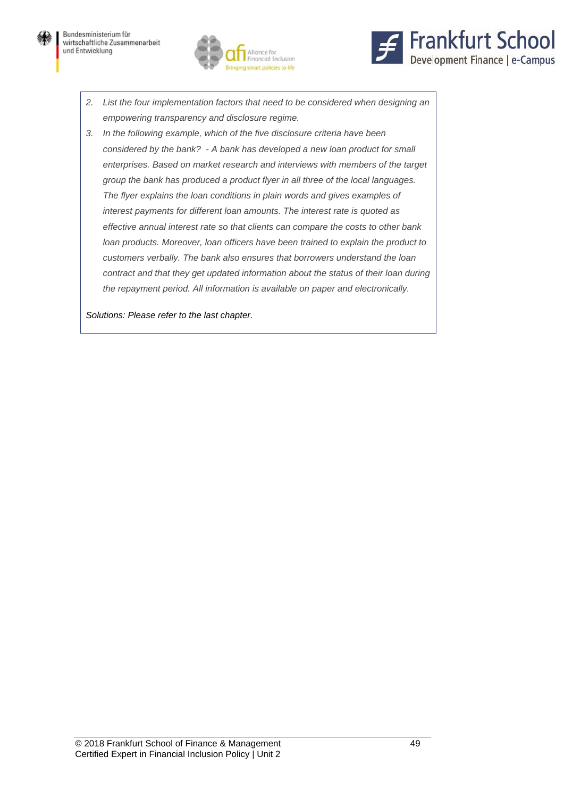



- *2. List the four implementation factors that need to be considered when designing an empowering transparency and disclosure regime.*
- *3. In the following example, which of the five disclosure criteria have been considered by the bank? - A bank has developed a new loan product for small enterprises. Based on market research and interviews with members of the target group the bank has produced a product flyer in all three of the local languages. The flyer explains the loan conditions in plain words and gives examples of interest payments for different loan amounts. The interest rate is quoted as effective annual interest rate so that clients can compare the costs to other bank loan products. Moreover, loan officers have been trained to explain the product to customers verbally. The bank also ensures that borrowers understand the loan contract and that they get updated information about the status of their loan during the repayment period. All information is available on paper and electronically.*

*Solutions: Please refer to the last chapter.*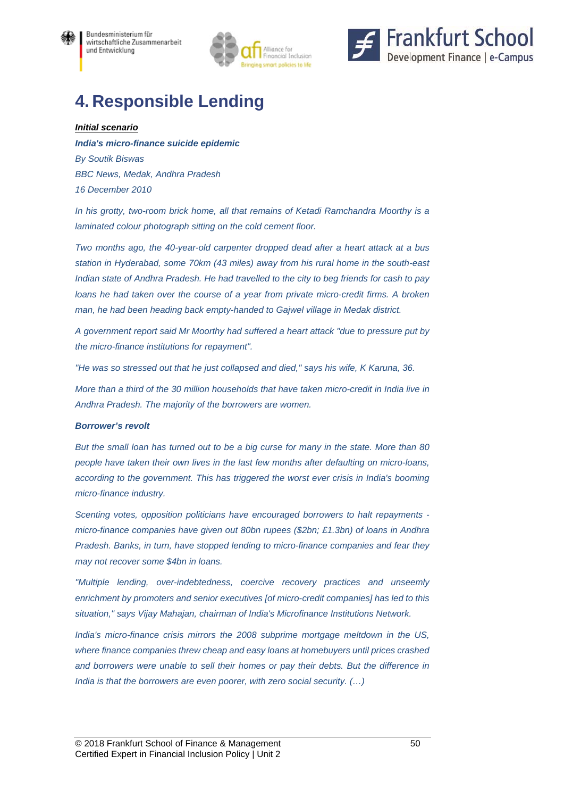



# **4. Responsible Lending**

#### *Initial scenario*

*India's micro-finance suicide epidemic By Soutik Biswas BBC News, Medak, Andhra Pradesh 16 December 2010* 

*In his grotty, two-room brick home, all that remains of Ketadi Ramchandra Moorthy is a laminated colour photograph sitting on the cold cement floor.* 

*Two months ago, the 40-year-old carpenter dropped dead after a heart attack at a bus station in Hyderabad, some 70km (43 miles) away from his rural home in the south-east Indian state of Andhra Pradesh. He had travelled to the city to beg friends for cash to pay*  loans he had taken over the course of a year from private micro-credit firms. A broken *man, he had been heading back empty-handed to Gajwel village in Medak district.* 

*A government report said Mr Moorthy had suffered a heart attack "due to pressure put by the micro-finance institutions for repayment".* 

*"He was so stressed out that he just collapsed and died," says his wife, K Karuna, 36.* 

*More than a third of the 30 million households that have taken micro-credit in India live in Andhra Pradesh. The majority of the borrowers are women.* 

#### *Borrower's revolt*

*But the small loan has turned out to be a big curse for many in the state. More than 80 people have taken their own lives in the last few months after defaulting on micro-loans, according to the government. This has triggered the worst ever crisis in India's booming micro-finance industry.* 

*Scenting votes, opposition politicians have encouraged borrowers to halt repayments micro-finance companies have given out 80bn rupees (\$2bn; £1.3bn) of loans in Andhra Pradesh. Banks, in turn, have stopped lending to micro-finance companies and fear they may not recover some \$4bn in loans.* 

*"Multiple lending, over-indebtedness, coercive recovery practices and unseemly enrichment by promoters and senior executives [of micro-credit companies] has led to this situation," says Vijay Mahajan, chairman of India's Microfinance Institutions Network.* 

*India's micro-finance crisis mirrors the 2008 subprime mortgage meltdown in the US, where finance companies threw cheap and easy loans at homebuyers until prices crashed and borrowers were unable to sell their homes or pay their debts. But the difference in India is that the borrowers are even poorer, with zero social security. (…)*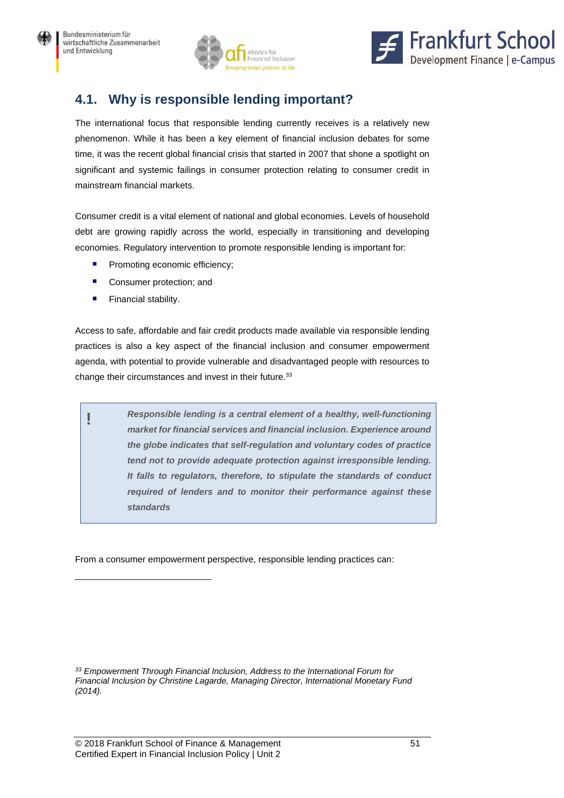



# **4.1. Why is responsible lending important?**

The international focus that responsible lending currently receives is a relatively new phenomenon. While it has been a key element of financial inclusion debates for some time, it was the recent global financial crisis that started in 2007 that shone a spotlight on significant and systemic failings in consumer protection relating to consumer credit in mainstream financial markets.

Consumer credit is a vital element of national and global economies. Levels of household debt are growing rapidly across the world, especially in transitioning and developing economies. Regulatory intervention to promote responsible lending is important for:

- **Promoting economic efficiency;**
- Consumer protection; and
- **Financial stability.**

 $\overline{a}$ 

Access to safe, affordable and fair credit products made available via responsible lending practices is also a key aspect of the financial inclusion and consumer empowerment agenda, with potential to provide vulnerable and disadvantaged people with resources to change their circumstances and invest in their future.<sup>33</sup>

**!** *Responsible lending is a central element of a healthy, well-functioning market for financial services and financial inclusion. Experience around the globe indicates that self-regulation and voluntary codes of practice tend not to provide adequate protection against irresponsible lending. It falls to regulators, therefore, to stipulate the standards of conduct required of lenders and to monitor their performance against these standards* 

From a consumer empowerment perspective, responsible lending practices can:

*33 Empowerment Through Financial Inclusion, Address to the International Forum for Financial Inclusion by Christine Lagarde, Managing Director, International Monetary Fund (2014).*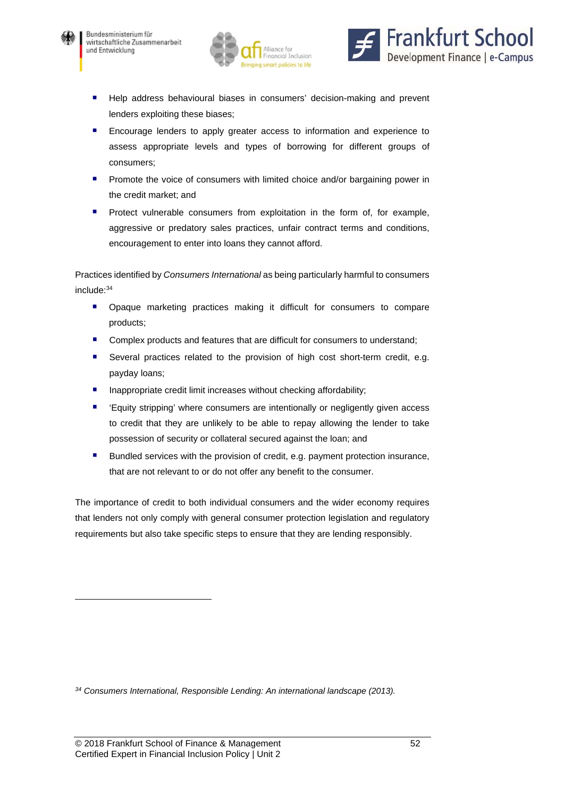

 $\overline{a}$ 





- **Help address behavioural biases in consumers' decision-making and prevent** lenders exploiting these biases;
- **Encourage lenders to apply greater access to information and experience to** assess appropriate levels and types of borrowing for different groups of consumers;
- Promote the voice of consumers with limited choice and/or bargaining power in the credit market; and
- Protect vulnerable consumers from exploitation in the form of, for example, aggressive or predatory sales practices, unfair contract terms and conditions, encouragement to enter into loans they cannot afford.

Practices identified by *Consumers International* as being particularly harmful to consumers include:34

- **•** Opaque marketing practices making it difficult for consumers to compare products;
- Complex products and features that are difficult for consumers to understand;
- Several practices related to the provision of high cost short-term credit, e.g. payday loans;
- $\blacksquare$  Inappropriate credit limit increases without checking affordability;
- 'Equity stripping' where consumers are intentionally or negligently given access to credit that they are unlikely to be able to repay allowing the lender to take possession of security or collateral secured against the loan; and
- Bundled services with the provision of credit, e.g. payment protection insurance, that are not relevant to or do not offer any benefit to the consumer.

The importance of credit to both individual consumers and the wider economy requires that lenders not only comply with general consumer protection legislation and regulatory requirements but also take specific steps to ensure that they are lending responsibly.

*34 Consumers International, Responsible Lending: An international landscape (2013).*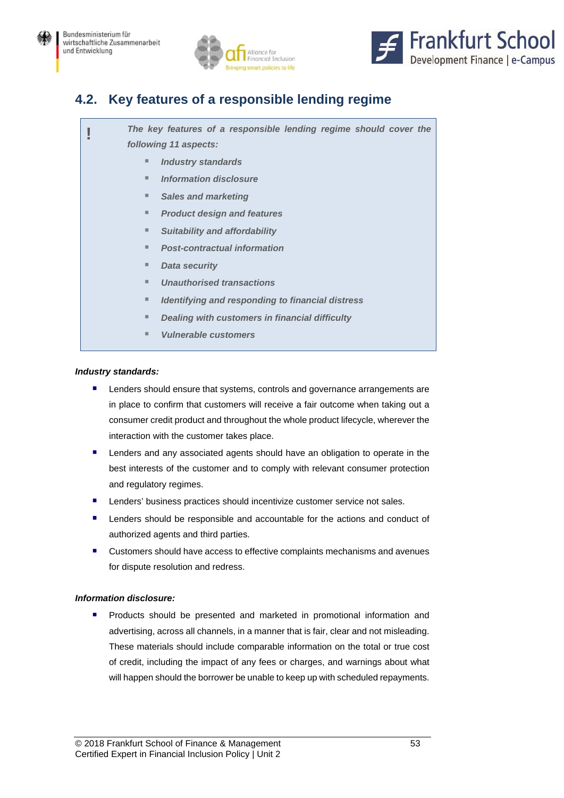



## **4.2. Key features of a responsible lending regime**

**!** *The key features of a responsible lending regime should cover the following 11 aspects:* 

- *Industry standards* 
	- *Information disclosure*
- *Sales and marketing*
- *Product design and features*
- *Suitability and affordability*
- *Post-contractual information*
- *Data security*
- *Unauthorised transactions*
- *Identifying and responding to financial distress*
- **Dealing with customers in financial difficulty**
- *Vulnerable customers*

#### *Industry standards:*

- Lenders should ensure that systems, controls and governance arrangements are in place to confirm that customers will receive a fair outcome when taking out a consumer credit product and throughout the whole product lifecycle, wherever the interaction with the customer takes place.
- **E** Lenders and any associated agents should have an obligation to operate in the best interests of the customer and to comply with relevant consumer protection and regulatory regimes.
- Lenders' business practices should incentivize customer service not sales.
- Lenders should be responsible and accountable for the actions and conduct of authorized agents and third parties.
- **E** Customers should have access to effective complaints mechanisms and avenues for dispute resolution and redress.

#### *Information disclosure:*

**Products should be presented and marketed in promotional information and** advertising, across all channels, in a manner that is fair, clear and not misleading. These materials should include comparable information on the total or true cost of credit, including the impact of any fees or charges, and warnings about what will happen should the borrower be unable to keep up with scheduled repayments.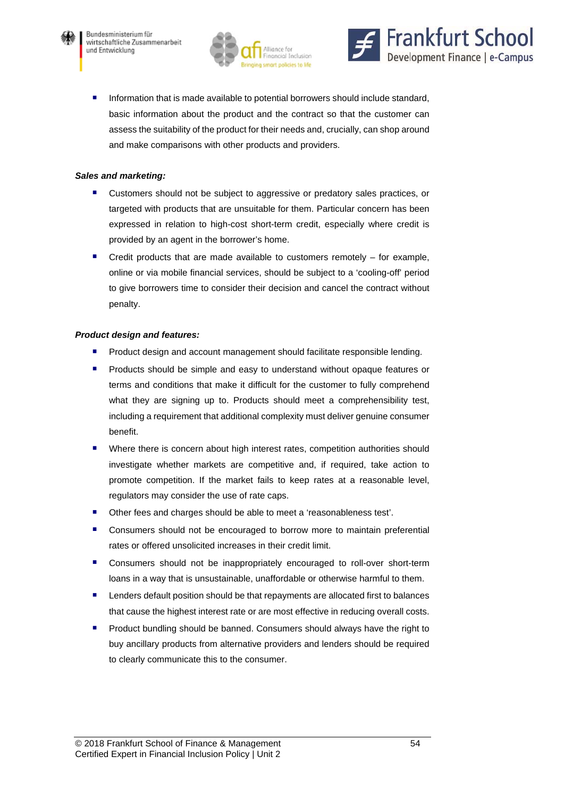





**Information that is made available to potential borrowers should include standard,** basic information about the product and the contract so that the customer can assess the suitability of the product for their needs and, crucially, can shop around and make comparisons with other products and providers.

#### *Sales and marketing:*

- Customers should not be subject to aggressive or predatory sales practices, or targeted with products that are unsuitable for them. Particular concern has been expressed in relation to high-cost short-term credit, especially where credit is provided by an agent in the borrower's home.
- Credit products that are made available to customers remotely for example, online or via mobile financial services, should be subject to a 'cooling-off' period to give borrowers time to consider their decision and cancel the contract without penalty.

#### *Product design and features:*

- Product design and account management should facilitate responsible lending.
- **Products should be simple and easy to understand without opaque features or** terms and conditions that make it difficult for the customer to fully comprehend what they are signing up to. Products should meet a comprehensibility test, including a requirement that additional complexity must deliver genuine consumer benefit.
- Where there is concern about high interest rates, competition authorities should investigate whether markets are competitive and, if required, take action to promote competition. If the market fails to keep rates at a reasonable level, regulators may consider the use of rate caps.
- Other fees and charges should be able to meet a 'reasonableness test'.
- Consumers should not be encouraged to borrow more to maintain preferential rates or offered unsolicited increases in their credit limit.
- **E** Consumers should not be inappropriately encouraged to roll-over short-term loans in a way that is unsustainable, unaffordable or otherwise harmful to them.
- Lenders default position should be that repayments are allocated first to balances that cause the highest interest rate or are most effective in reducing overall costs.
- Product bundling should be banned. Consumers should always have the right to buy ancillary products from alternative providers and lenders should be required to clearly communicate this to the consumer.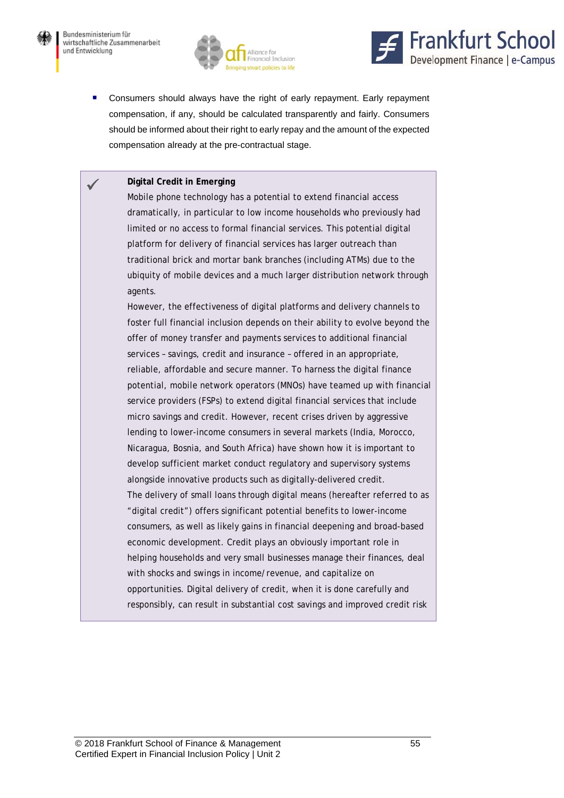





**Consumers should always have the right of early repayment. Early repayment** compensation, if any, should be calculated transparently and fairly. Consumers should be informed about their right to early repay and the amount of the expected compensation already at the pre-contractual stage.

#### **Digital Credit in Emerging**

Mobile phone technology has a potential to extend financial access dramatically, in particular to low income households who previously had limited or no access to formal financial services. This potential digital platform for delivery of financial services has larger outreach than traditional brick and mortar bank branches (including ATMs) due to the ubiquity of mobile devices and a much larger distribution network through agents.

However, the effectiveness of digital platforms and delivery channels to foster full financial inclusion depends on their ability to evolve beyond the offer of money transfer and payments services to additional financial services – savings, credit and insurance – offered in an appropriate, reliable, affordable and secure manner. To harness the digital finance potential, mobile network operators (MNOs) have teamed up with financial service providers (FSPs) to extend digital financial services that include micro savings and credit. However, recent crises driven by aggressive lending to lower-income consumers in several markets (India, Morocco, Nicaragua, Bosnia, and South Africa) have shown how it is important to develop sufficient market conduct regulatory and supervisory systems alongside innovative products such as digitally-delivered credit. The delivery of small loans through digital means (hereafter referred to as "digital credit") offers significant potential benefits to lower-income consumers, as well as likely gains in financial deepening and broad-based economic development. Credit plays an obviously important role in helping households and very small businesses manage their finances, deal with shocks and swings in income/revenue, and capitalize on opportunities. Digital delivery of credit, when it is done carefully and responsibly, can result in substantial cost savings and improved credit risk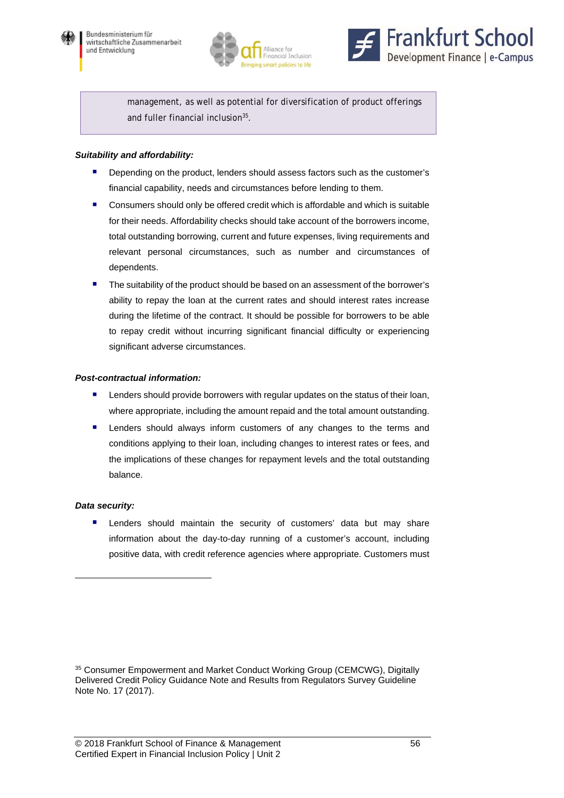





management, as well as potential for diversification of product offerings and fuller financial inclusion<sup>35</sup>.

#### *Suitability and affordability:*

- **Depending on the product, lenders should assess factors such as the customer's** financial capability, needs and circumstances before lending to them.
- Consumers should only be offered credit which is affordable and which is suitable for their needs. Affordability checks should take account of the borrowers income, total outstanding borrowing, current and future expenses, living requirements and relevant personal circumstances, such as number and circumstances of dependents.
- **The suitability of the product should be based on an assessment of the borrower's** ability to repay the loan at the current rates and should interest rates increase during the lifetime of the contract. It should be possible for borrowers to be able to repay credit without incurring significant financial difficulty or experiencing significant adverse circumstances.

#### *Post-contractual information:*

- Lenders should provide borrowers with regular updates on the status of their loan, where appropriate, including the amount repaid and the total amount outstanding.
- **E** Lenders should always inform customers of any changes to the terms and conditions applying to their loan, including changes to interest rates or fees, and the implications of these changes for repayment levels and the total outstanding balance.

#### *Data security:*

l

**E** Lenders should maintain the security of customers' data but may share information about the day-to-day running of a customer's account, including positive data, with credit reference agencies where appropriate. Customers must

<sup>35</sup> Consumer Empowerment and Market Conduct Working Group (CEMCWG), Digitally Delivered Credit Policy Guidance Note and Results from Regulators Survey Guideline Note No. 17 (2017).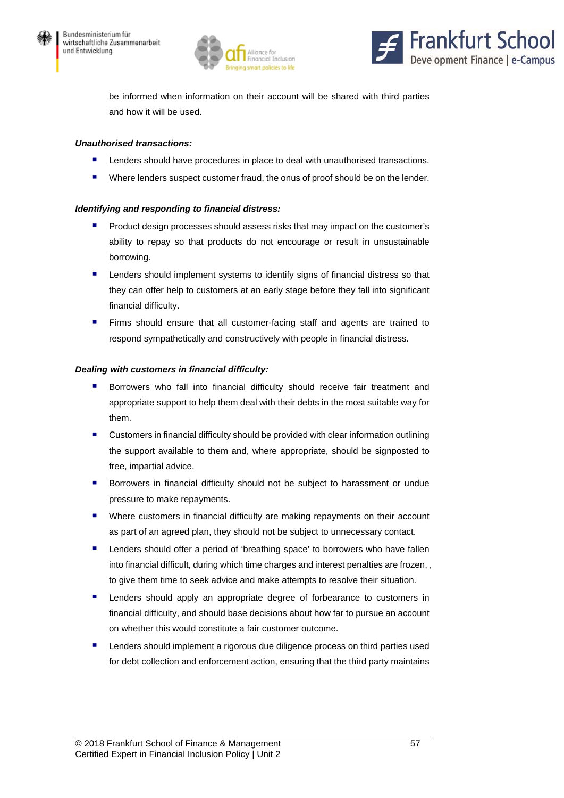





be informed when information on their account will be shared with third parties and how it will be used.

#### *Unauthorised transactions:*

- Lenders should have procedures in place to deal with unauthorised transactions.
- **Where lenders suspect customer fraud, the onus of proof should be on the lender.**

#### *Identifying and responding to financial distress:*

- **Product design processes should assess risks that may impact on the customer's** ability to repay so that products do not encourage or result in unsustainable borrowing.
- **E** Lenders should implement systems to identify signs of financial distress so that they can offer help to customers at an early stage before they fall into significant financial difficulty.
- **Firms should ensure that all customer-facing staff and agents are trained to** respond sympathetically and constructively with people in financial distress.

#### *Dealing with customers in financial difficulty:*

- **Borrowers who fall into financial difficulty should receive fair treatment and** appropriate support to help them deal with their debts in the most suitable way for them.
- **E** Customers in financial difficulty should be provided with clear information outlining the support available to them and, where appropriate, should be signposted to free, impartial advice.
- **Borrowers in financial difficulty should not be subject to harassment or undue** pressure to make repayments.
- Where customers in financial difficulty are making repayments on their account as part of an agreed plan, they should not be subject to unnecessary contact.
- Lenders should offer a period of 'breathing space' to borrowers who have fallen into financial difficult, during which time charges and interest penalties are frozen, , to give them time to seek advice and make attempts to resolve their situation.
- **E** Lenders should apply an appropriate degree of forbearance to customers in financial difficulty, and should base decisions about how far to pursue an account on whether this would constitute a fair customer outcome.
- Lenders should implement a rigorous due diligence process on third parties used for debt collection and enforcement action, ensuring that the third party maintains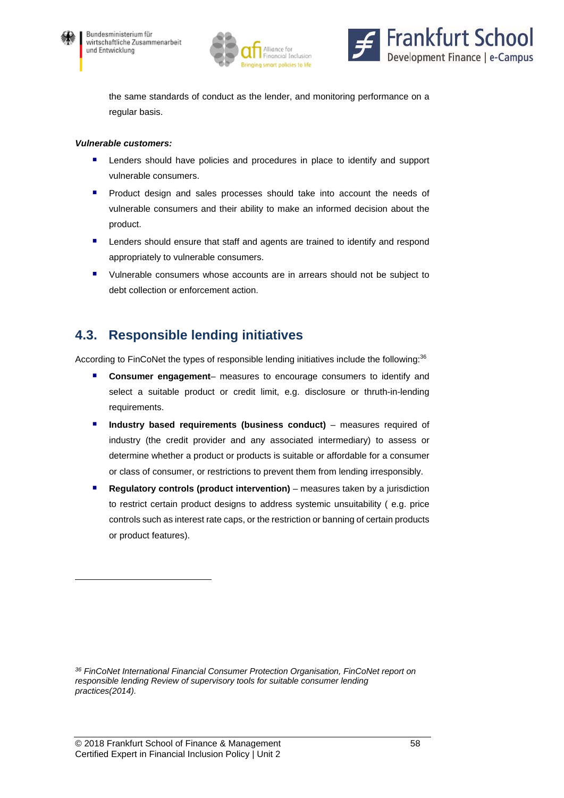

 $\overline{a}$ 





the same standards of conduct as the lender, and monitoring performance on a regular basis.

#### *Vulnerable customers:*

- Lenders should have policies and procedures in place to identify and support vulnerable consumers.
- **Product design and sales processes should take into account the needs of** vulnerable consumers and their ability to make an informed decision about the product.
- Lenders should ensure that staff and agents are trained to identify and respond appropriately to vulnerable consumers.
- Vulnerable consumers whose accounts are in arrears should not be subject to debt collection or enforcement action.

### **4.3. Responsible lending initiatives**

According to FinCoNet the types of responsible lending initiatives include the following:<sup>36</sup>

- **Consumer engagement** measures to encourage consumers to identify and select a suitable product or credit limit, e.g. disclosure or thruth-in-lending requirements.
- **Industry based requirements (business conduct)** measures required of industry (the credit provider and any associated intermediary) to assess or determine whether a product or products is suitable or affordable for a consumer or class of consumer, or restrictions to prevent them from lending irresponsibly.
- **Regulatory controls (product intervention)** measures taken by a jurisdiction to restrict certain product designs to address systemic unsuitability ( e.g. price controls such as interest rate caps, or the restriction or banning of certain products or product features).

*<sup>36</sup> FinCoNet International Financial Consumer Protection Organisation, FinCoNet report on responsible lending Review of supervisory tools for suitable consumer lending practices(2014).*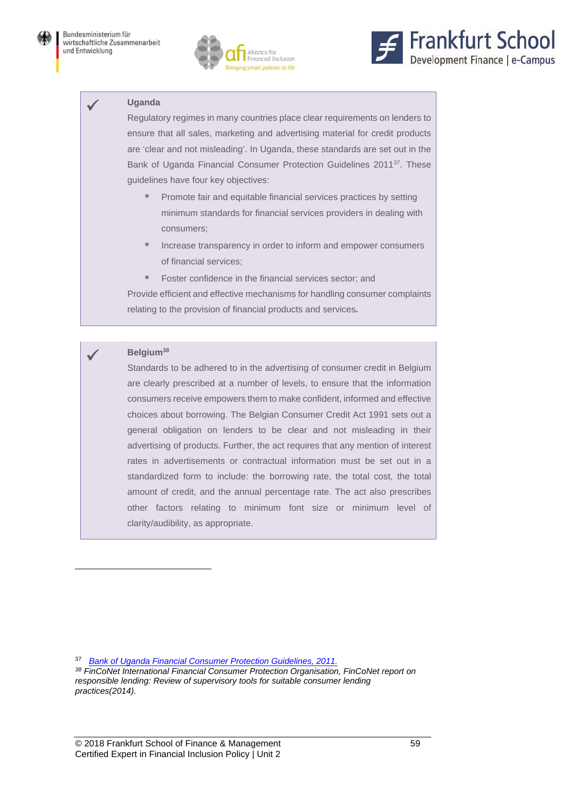



#### **Uganda**

Regulatory regimes in many countries place clear requirements on lenders to ensure that all sales, marketing and advertising material for credit products are 'clear and not misleading'. In Uganda, these standards are set out in the Bank of Uganda Financial Consumer Protection Guidelines 201137. These guidelines have four key objectives:

- **Promote fair and equitable financial services practices by setting** minimum standards for financial services providers in dealing with consumers;
- Increase transparency in order to inform and empower consumers of financial services;
- **Foster confidence in the financial services sector; and**

Provide efficient and effective mechanisms for handling consumer complaints relating to the provision of financial products and services*.* 

#### **Belgium38**

 $\overline{a}$ 

Standards to be adhered to in the advertising of consumer credit in Belgium are clearly prescribed at a number of levels, to ensure that the information consumers receive empowers them to make confident, informed and effective choices about borrowing. The Belgian Consumer Credit Act 1991 sets out a general obligation on lenders to be clear and not misleading in their advertising of products. Further, the act requires that any mention of interest rates in advertisements or contractual information must be set out in a standardized form to include: the borrowing rate, the total cost, the total amount of credit, and the annual percentage rate. The act also prescribes other factors relating to minimum font size or minimum level of clarity/audibility, as appropriate.

37 *Bank of Uganda Financial Consumer Protection Guidelines, 2011.*

*38 FinCoNet International Financial Consumer Protection Organisation, FinCoNet report on responsible lending: Review of supervisory tools for suitable consumer lending practices(2014).*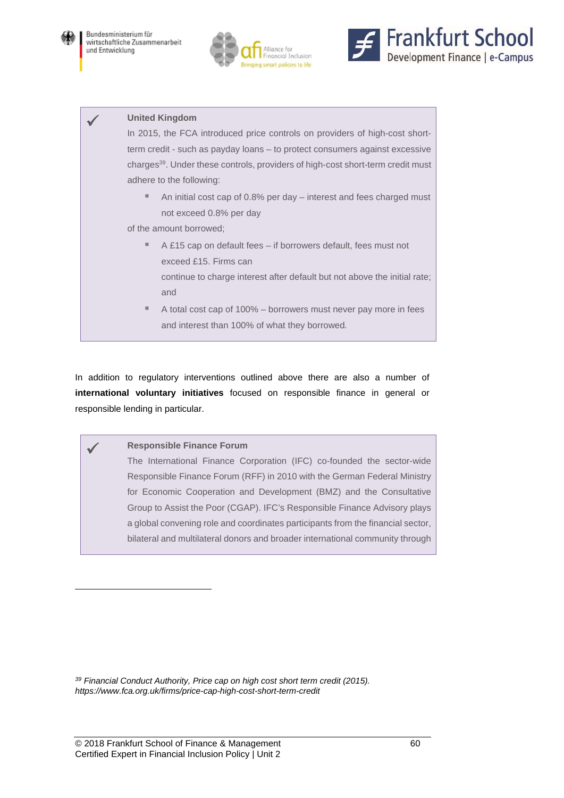





#### **United Kingdom**

In 2015, the FCA introduced price controls on providers of high-cost shortterm credit - such as payday loans – to protect consumers against excessive charges<sup>39</sup>. Under these controls, providers of high-cost short-term credit must adhere to the following:

■ An initial cost cap of 0.8% per day – interest and fees charged must not exceed 0.8% per day

of the amount borrowed;

- A £15 cap on default fees if borrowers default, fees must not exceed £15. Firms can continue to charge interest after default but not above the initial rate; and
- A total cost cap of 100% borrowers must never pay more in fees and interest than 100% of what they borrowed*.*

In addition to regulatory interventions outlined above there are also a number of **international voluntary initiatives** focused on responsible finance in general or responsible lending in particular.

#### **Responsible Finance Forum**

l

The International Finance Corporation (IFC) co-founded the sector-wide Responsible Finance Forum (RFF) in 2010 with the German Federal Ministry for Economic Cooperation and Development (BMZ) and the Consultative Group to Assist the Poor (CGAP). IFC's Responsible Finance Advisory plays a global convening role and coordinates participants from the financial sector, bilateral and multilateral donors and broader international community through

*39 Financial Conduct Authority, Price cap on high cost short term credit (2015). https://www.fca.org.uk/firms/price-cap-high-cost-short-term-credit*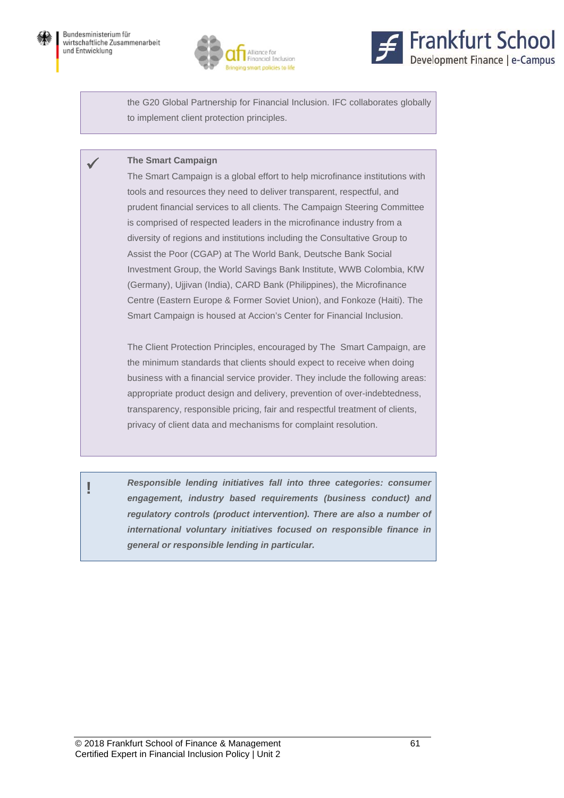





the G20 Global Partnership for Financial Inclusion. IFC collaborates globally to implement client protection principles.

#### **The Smart Campaign**

The Smart Campaign is a global effort to help microfinance institutions with tools and resources they need to deliver transparent, respectful, and prudent financial services to all clients. The Campaign Steering Committee is comprised of respected leaders in the microfinance industry from a diversity of regions and institutions including the Consultative Group to Assist the Poor (CGAP) at The World Bank, Deutsche Bank Social Investment Group, the World Savings Bank Institute, WWB Colombia, KfW (Germany), Ujjivan (India), CARD Bank (Philippines), the Microfinance Centre (Eastern Europe & Former Soviet Union), and Fonkoze (Haiti). The Smart Campaign is housed at Accion's Center for Financial Inclusion.

The Client Protection Principles, encouraged by The Smart Campaign, are the minimum standards that clients should expect to receive when doing business with a financial service provider. They include the following areas: appropriate product design and delivery, prevention of over-indebtedness, transparency, responsible pricing, fair and respectful treatment of clients, privacy of client data and mechanisms for complaint resolution.

**!** *Responsible lending initiatives fall into three categories: consumer engagement, industry based requirements (business conduct) and regulatory controls (product intervention). There are also a number of international voluntary initiatives focused on responsible finance in general or responsible lending in particular.*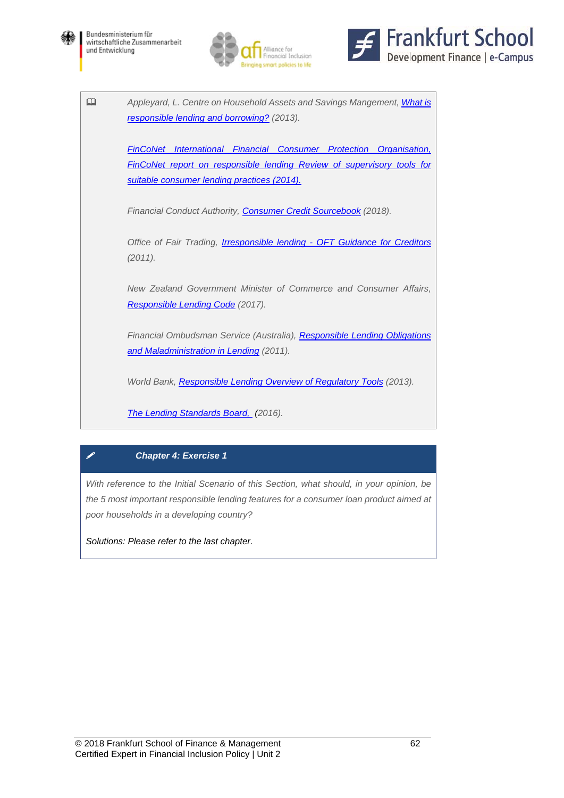







### *Chapter 4: Exercise 1*

*With reference to the Initial Scenario of this Section, what should, in your opinion, be the 5 most important responsible lending features for a consumer loan product aimed at poor households in a developing country?* 

*Solutions: Please refer to the last chapter.*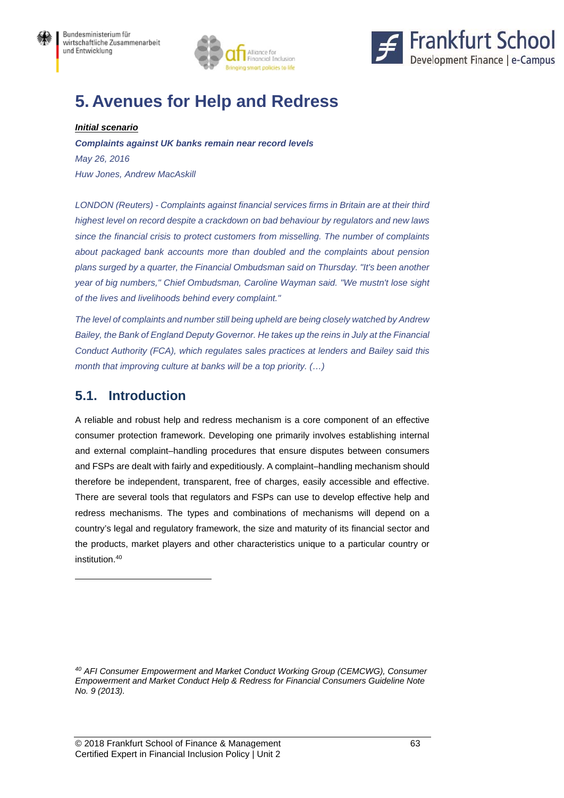



# **5. Avenues for Help and Redress**

#### *Initial scenario*

*Complaints against UK banks remain near record levels May 26, 2016 Huw Jones, Andrew MacAskill* 

*LONDON (Reuters) - Complaints against financial services firms in Britain are at their third highest level on record despite a crackdown on bad behaviour by regulators and new laws since the financial crisis to protect customers from misselling. The number of complaints about packaged bank accounts more than doubled and the complaints about pension plans surged by a quarter, the Financial Ombudsman said on Thursday. "It's been another year of big numbers," Chief Ombudsman, Caroline Wayman said. "We mustn't lose sight of the lives and livelihoods behind every complaint."* 

*The level of complaints and number still being upheld are being closely watched by Andrew Bailey, the Bank of England Deputy Governor. He takes up the reins in July at the Financial Conduct Authority (FCA), which regulates sales practices at lenders and Bailey said this month that improving culture at banks will be a top priority. (…)* 

## **5.1. Introduction**

l

A reliable and robust help and redress mechanism is a core component of an effective consumer protection framework. Developing one primarily involves establishing internal and external complaint–handling procedures that ensure disputes between consumers and FSPs are dealt with fairly and expeditiously. A complaint–handling mechanism should therefore be independent, transparent, free of charges, easily accessible and effective. There are several tools that regulators and FSPs can use to develop effective help and redress mechanisms. The types and combinations of mechanisms will depend on a country's legal and regulatory framework, the size and maturity of its financial sector and the products, market players and other characteristics unique to a particular country or institution.40

*<sup>40</sup> AFI Consumer Empowerment and Market Conduct Working Group (CEMCWG), Consumer Empowerment and Market Conduct Help & Redress for Financial Consumers Guideline Note No. 9 (2013).*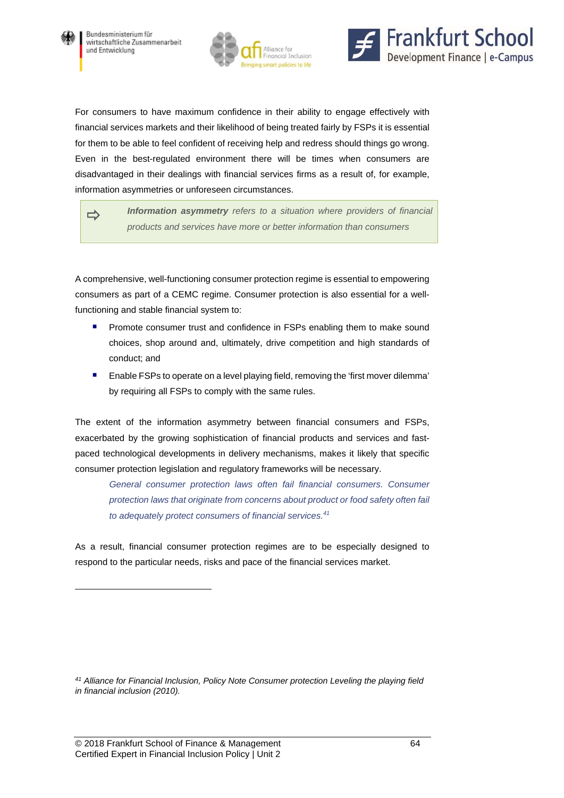

l





For consumers to have maximum confidence in their ability to engage effectively with financial services markets and their likelihood of being treated fairly by FSPs it is essential for them to be able to feel confident of receiving help and redress should things go wrong. Even in the best-regulated environment there will be times when consumers are disadvantaged in their dealings with financial services firms as a result of, for example, information asymmetries or unforeseen circumstances.

*Information asymmetry refers to a situation where providers of financial products and services have more or better information than consumers*

A comprehensive, well-functioning consumer protection regime is essential to empowering consumers as part of a CEMC regime. Consumer protection is also essential for a wellfunctioning and stable financial system to:

- **Promote consumer trust and confidence in FSPs enabling them to make sound** choices, shop around and, ultimately, drive competition and high standards of conduct; and
- Enable FSPs to operate on a level playing field, removing the 'first mover dilemma' by requiring all FSPs to comply with the same rules.

The extent of the information asymmetry between financial consumers and FSPs, exacerbated by the growing sophistication of financial products and services and fastpaced technological developments in delivery mechanisms, makes it likely that specific consumer protection legislation and regulatory frameworks will be necessary.

*General consumer protection laws often fail financial consumers. Consumer protection laws that originate from concerns about product or food safety often fail to adequately protect consumers of financial services.41*

As a result, financial consumer protection regimes are to be especially designed to respond to the particular needs, risks and pace of the financial services market.

*<sup>41</sup> Alliance for Financial Inclusion, Policy Note Consumer protection Leveling the playing field in financial inclusion (2010).*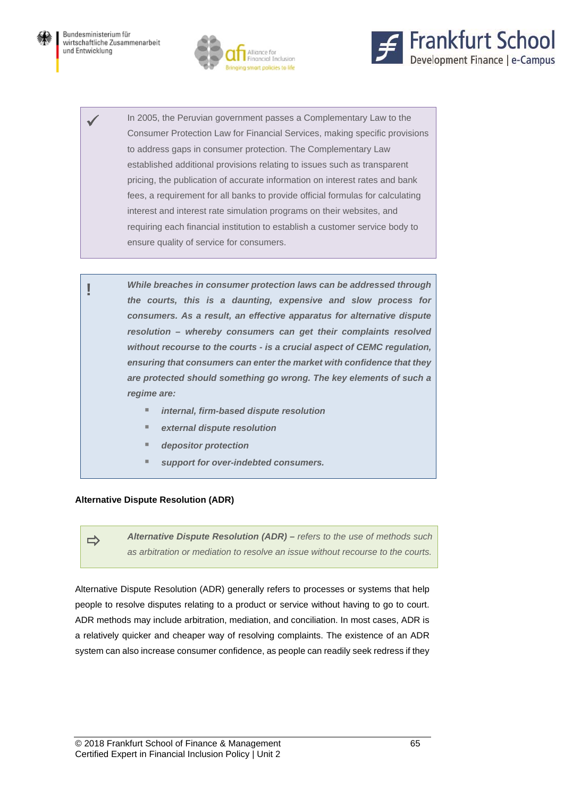



 In 2005, the Peruvian government passes a Complementary Law to the Consumer Protection Law for Financial Services, making specific provisions to address gaps in consumer protection. The Complementary Law established additional provisions relating to issues such as transparent pricing, the publication of accurate information on interest rates and bank fees, a requirement for all banks to provide official formulas for calculating interest and interest rate simulation programs on their websites, and requiring each financial institution to establish a customer service body to ensure quality of service for consumers.

**!** *While breaches in consumer protection laws can be addressed through the courts, this is a daunting, expensive and slow process for consumers. As a result, an effective apparatus for alternative dispute resolution – whereby consumers can get their complaints resolved without recourse to the courts - is a crucial aspect of CEMC regulation, ensuring that consumers can enter the market with confidence that they are protected should something go wrong. The key elements of such a regime are:* 

- *internal, firm-based dispute resolution*
- *external dispute resolution*
- *depositor protection*
- *support for over-indebted consumers.*

#### **Alternative Dispute Resolution (ADR)**

 *Alternative Dispute Resolution (ADR) – refers to the use of methods such as arbitration or mediation to resolve an issue without recourse to the courts.*

Alternative Dispute Resolution (ADR) generally refers to processes or systems that help people to resolve disputes relating to a product or service without having to go to court. ADR methods may include arbitration, mediation, and conciliation. In most cases, ADR is a relatively quicker and cheaper way of resolving complaints. The existence of an ADR system can also increase consumer confidence, as people can readily seek redress if they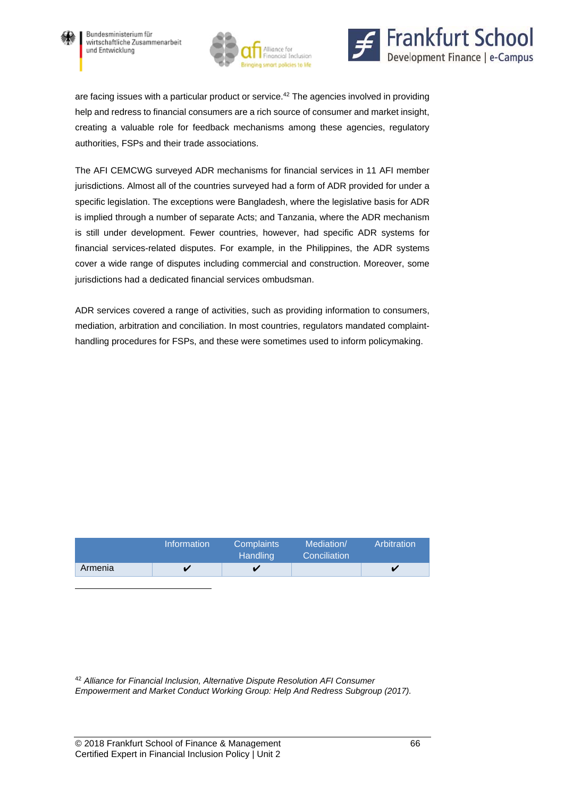

 $\overline{a}$ 





are facing issues with a particular product or service.<sup>42</sup> The agencies involved in providing help and redress to financial consumers are a rich source of consumer and market insight, creating a valuable role for feedback mechanisms among these agencies, regulatory authorities, FSPs and their trade associations.

The AFI CEMCWG surveyed ADR mechanisms for financial services in 11 AFI member jurisdictions. Almost all of the countries surveyed had a form of ADR provided for under a specific legislation. The exceptions were Bangladesh, where the legislative basis for ADR is implied through a number of separate Acts; and Tanzania, where the ADR mechanism is still under development. Fewer countries, however, had specific ADR systems for financial services-related disputes. For example, in the Philippines, the ADR systems cover a wide range of disputes including commercial and construction. Moreover, some jurisdictions had a dedicated financial services ombudsman.

ADR services covered a range of activities, such as providing information to consumers, mediation, arbitration and conciliation. In most countries, regulators mandated complainthandling procedures for FSPs, and these were sometimes used to inform policymaking.

|         | <b>Information</b> | <b>Complaints</b><br>Handling <sup>1</sup> | Mediation/<br>Conciliation | Arbitration |
|---------|--------------------|--------------------------------------------|----------------------------|-------------|
| Armenia |                    |                                            |                            |             |

<sup>42</sup> *Alliance for Financial Inclusion, Alternative Dispute Resolution AFI Consumer Empowerment and Market Conduct Working Group: Help And Redress Subgroup (2017).*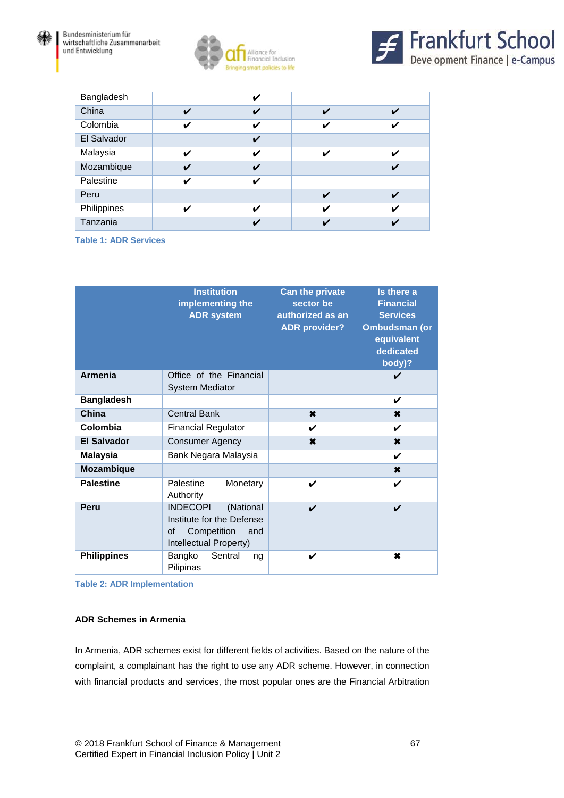





| Bangladesh  |   | v |                    |   |
|-------------|---|---|--------------------|---|
| China       | V | V | $\boldsymbol{\nu}$ | V |
| Colombia    | v | V | ✓                  | V |
| El Salvador |   | V |                    |   |
| Malaysia    | ✓ | V | ✔                  | ✔ |
| Mozambique  | V | ✓ |                    | ✔ |
| Palestine   | ✔ | ✔ |                    |   |
| Peru        |   |   | ✓                  |   |
| Philippines | ✔ | ✔ | $\boldsymbol{\nu}$ | V |
| Tanzania    |   |   |                    |   |

**Table 1: ADR Services**

|                    | <b>Institution</b><br>implementing the<br><b>ADR</b> system                                                     | <b>Can the private</b><br>sector be<br>authorized as an<br><b>ADR provider?</b> | Is there a<br><b>Financial</b><br><b>Services</b><br><b>Ombudsman (or</b><br>equivalent<br>dedicated<br>body)? |
|--------------------|-----------------------------------------------------------------------------------------------------------------|---------------------------------------------------------------------------------|----------------------------------------------------------------------------------------------------------------|
| <b>Armenia</b>     | Office of the Financial<br><b>System Mediator</b>                                                               |                                                                                 | V                                                                                                              |
| <b>Bangladesh</b>  |                                                                                                                 |                                                                                 | V                                                                                                              |
| China              | <b>Central Bank</b>                                                                                             | $\pmb{\times}$                                                                  | ×                                                                                                              |
| Colombia           | <b>Financial Regulator</b>                                                                                      | V                                                                               | V                                                                                                              |
| <b>El Salvador</b> | <b>Consumer Agency</b>                                                                                          | $\pmb{x}$                                                                       | ×                                                                                                              |
| <b>Malaysia</b>    | Bank Negara Malaysia                                                                                            |                                                                                 | V                                                                                                              |
| <b>Mozambique</b>  |                                                                                                                 |                                                                                 | $\boldsymbol{\ast}$                                                                                            |
| <b>Palestine</b>   | Palestine<br>Monetary<br>Authority                                                                              | V                                                                               | V                                                                                                              |
| Peru               | <b>INDECOPI</b><br>(National<br>Institute for the Defense<br>οf<br>Competition<br>and<br>Intellectual Property) | $\boldsymbol{\nu}$                                                              | V                                                                                                              |
| <b>Philippines</b> | Sentral<br>Bangko<br>ng<br>Pilipinas                                                                            | V                                                                               | ×                                                                                                              |

**Table 2: ADR Implementation** 

#### **ADR Schemes in Armenia**

In Armenia, ADR schemes exist for different fields of activities. Based on the nature of the complaint, a complainant has the right to use any ADR scheme. However, in connection with financial products and services, the most popular ones are the Financial Arbitration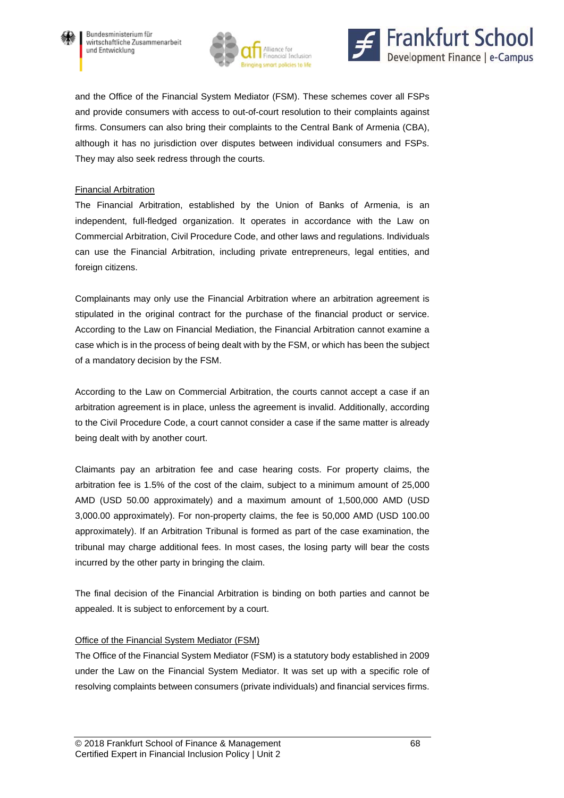





and the Office of the Financial System Mediator (FSM). These schemes cover all FSPs and provide consumers with access to out-of-court resolution to their complaints against firms. Consumers can also bring their complaints to the Central Bank of Armenia (CBA), although it has no jurisdiction over disputes between individual consumers and FSPs. They may also seek redress through the courts.

#### Financial Arbitration

The Financial Arbitration, established by the Union of Banks of Armenia, is an independent, full-fledged organization. It operates in accordance with the Law on Commercial Arbitration, Civil Procedure Code, and other laws and regulations. Individuals can use the Financial Arbitration, including private entrepreneurs, legal entities, and foreign citizens.

Complainants may only use the Financial Arbitration where an arbitration agreement is stipulated in the original contract for the purchase of the financial product or service. According to the Law on Financial Mediation, the Financial Arbitration cannot examine a case which is in the process of being dealt with by the FSM, or which has been the subject of a mandatory decision by the FSM.

According to the Law on Commercial Arbitration, the courts cannot accept a case if an arbitration agreement is in place, unless the agreement is invalid. Additionally, according to the Civil Procedure Code, a court cannot consider a case if the same matter is already being dealt with by another court.

Claimants pay an arbitration fee and case hearing costs. For property claims, the arbitration fee is 1.5% of the cost of the claim, subject to a minimum amount of 25,000 AMD (USD 50.00 approximately) and a maximum amount of 1,500,000 AMD (USD 3,000.00 approximately). For non-property claims, the fee is 50,000 AMD (USD 100.00 approximately). If an Arbitration Tribunal is formed as part of the case examination, the tribunal may charge additional fees. In most cases, the losing party will bear the costs incurred by the other party in bringing the claim.

The final decision of the Financial Arbitration is binding on both parties and cannot be appealed. It is subject to enforcement by a court.

#### Office of the Financial System Mediator (FSM)

The Office of the Financial System Mediator (FSM) is a statutory body established in 2009 under the Law on the Financial System Mediator. It was set up with a specific role of resolving complaints between consumers (private individuals) and financial services firms.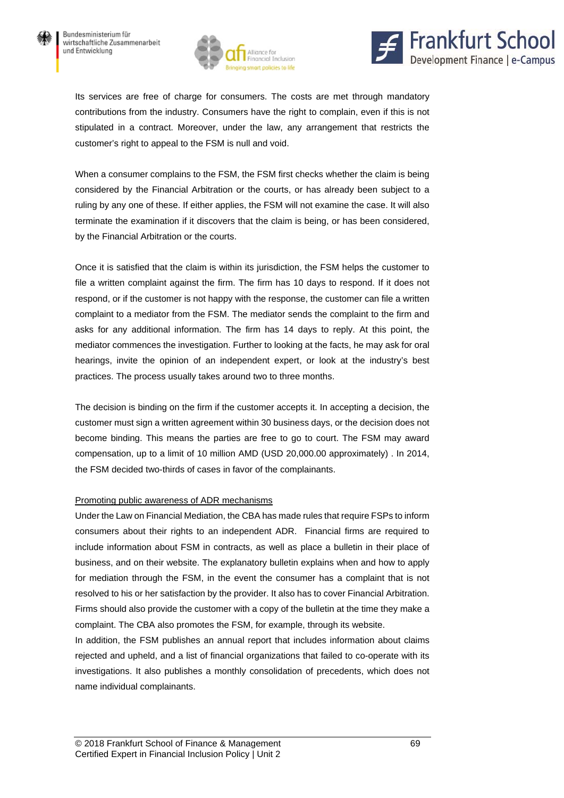



Its services are free of charge for consumers. The costs are met through mandatory contributions from the industry. Consumers have the right to complain, even if this is not stipulated in a contract. Moreover, under the law, any arrangement that restricts the customer's right to appeal to the FSM is null and void.

When a consumer complains to the FSM, the FSM first checks whether the claim is being considered by the Financial Arbitration or the courts, or has already been subject to a ruling by any one of these. If either applies, the FSM will not examine the case. It will also terminate the examination if it discovers that the claim is being, or has been considered, by the Financial Arbitration or the courts.

Once it is satisfied that the claim is within its jurisdiction, the FSM helps the customer to file a written complaint against the firm. The firm has 10 days to respond. If it does not respond, or if the customer is not happy with the response, the customer can file a written complaint to a mediator from the FSM. The mediator sends the complaint to the firm and asks for any additional information. The firm has 14 days to reply. At this point, the mediator commences the investigation. Further to looking at the facts, he may ask for oral hearings, invite the opinion of an independent expert, or look at the industry's best practices. The process usually takes around two to three months.

The decision is binding on the firm if the customer accepts it. In accepting a decision, the customer must sign a written agreement within 30 business days, or the decision does not become binding. This means the parties are free to go to court. The FSM may award compensation, up to a limit of 10 million AMD (USD 20,000.00 approximately) . In 2014, the FSM decided two-thirds of cases in favor of the complainants.

#### Promoting public awareness of ADR mechanisms

Under the Law on Financial Mediation, the CBA has made rules that require FSPs to inform consumers about their rights to an independent ADR. Financial firms are required to include information about FSM in contracts, as well as place a bulletin in their place of business, and on their website. The explanatory bulletin explains when and how to apply for mediation through the FSM, in the event the consumer has a complaint that is not resolved to his or her satisfaction by the provider. It also has to cover Financial Arbitration. Firms should also provide the customer with a copy of the bulletin at the time they make a complaint. The CBA also promotes the FSM, for example, through its website.

In addition, the FSM publishes an annual report that includes information about claims rejected and upheld, and a list of financial organizations that failed to co-operate with its investigations. It also publishes a monthly consolidation of precedents, which does not name individual complainants.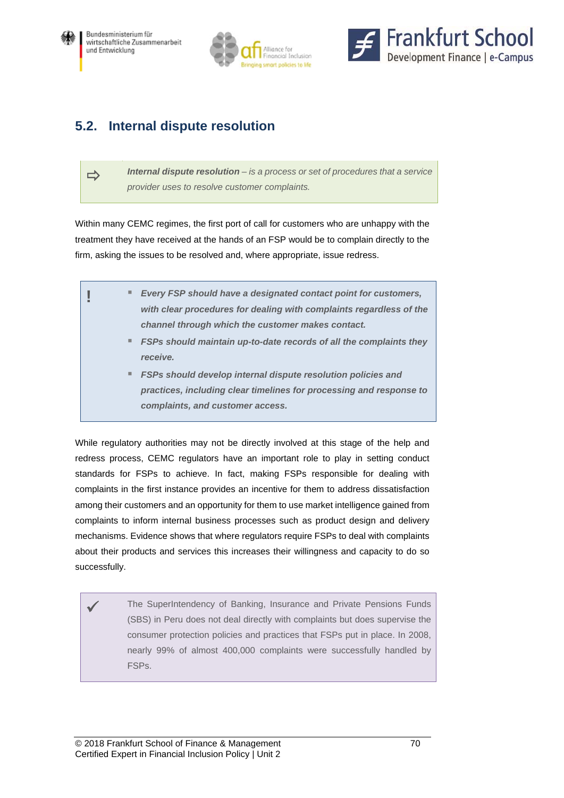





## **5.2. Internal dispute resolution**

 *Internal dispute resolution – is a process or set of procedures that a service provider uses to resolve customer complaints.*

Within many CEMC regimes, the first port of call for customers who are unhappy with the treatment they have received at the hands of an FSP would be to complain directly to the firm, asking the issues to be resolved and, where appropriate, issue redress.

|  | ■ Every FSP should have a designated contact point for customers,<br>with clear procedures for dealing with complaints regardless of the |
|--|------------------------------------------------------------------------------------------------------------------------------------------|
|  | channel through which the customer makes contact.                                                                                        |
|  | " FSPs should maintain up-to-date records of all the complaints they                                                                     |
|  | receive.                                                                                                                                 |
|  | ■ FSPs should develop internal dispute resolution policies and                                                                           |
|  | practices, including clear timelines for processing and response to                                                                      |
|  | complaints, and customer access.                                                                                                         |

While regulatory authorities may not be directly involved at this stage of the help and redress process, CEMC regulators have an important role to play in setting conduct standards for FSPs to achieve. In fact, making FSPs responsible for dealing with complaints in the first instance provides an incentive for them to address dissatisfaction among their customers and an opportunity for them to use market intelligence gained from complaints to inform internal business processes such as product design and delivery mechanisms. Evidence shows that where regulators require FSPs to deal with complaints about their products and services this increases their willingness and capacity to do so successfully.

 The SuperIntendency of Banking, Insurance and Private Pensions Funds (SBS) in Peru does not deal directly with complaints but does supervise the consumer protection policies and practices that FSPs put in place. In 2008, nearly 99% of almost 400,000 complaints were successfully handled by FSPs.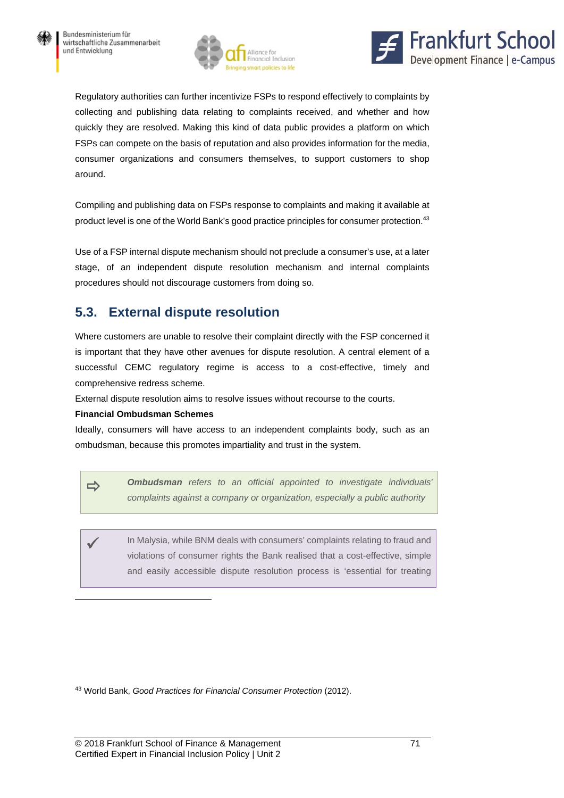



Regulatory authorities can further incentivize FSPs to respond effectively to complaints by collecting and publishing data relating to complaints received, and whether and how quickly they are resolved. Making this kind of data public provides a platform on which FSPs can compete on the basis of reputation and also provides information for the media, consumer organizations and consumers themselves, to support customers to shop around.

Compiling and publishing data on FSPs response to complaints and making it available at product level is one of the World Bank's good practice principles for consumer protection.<sup>43</sup>

Use of a FSP internal dispute mechanism should not preclude a consumer's use, at a later stage, of an independent dispute resolution mechanism and internal complaints procedures should not discourage customers from doing so.

# **5.3. External dispute resolution**

Where customers are unable to resolve their complaint directly with the FSP concerned it is important that they have other avenues for dispute resolution. A central element of a successful CEMC regulatory regime is access to a cost-effective, timely and comprehensive redress scheme.

External dispute resolution aims to resolve issues without recourse to the courts.

#### **Financial Ombudsman Schemes**

 $\overline{a}$ 

Ideally, consumers will have access to an independent complaints body, such as an ombudsman, because this promotes impartiality and trust in the system.

 *Ombudsman refers to an official appointed to investigate individuals' complaints against a company or organization, especially a public authority*

 In Malysia, while BNM deals with consumers' complaints relating to fraud and violations of consumer rights the Bank realised that a cost-effective, simple and easily accessible dispute resolution process is 'essential for treating

43 World Bank, *Good Practices for Financial Consumer Protection* (2012).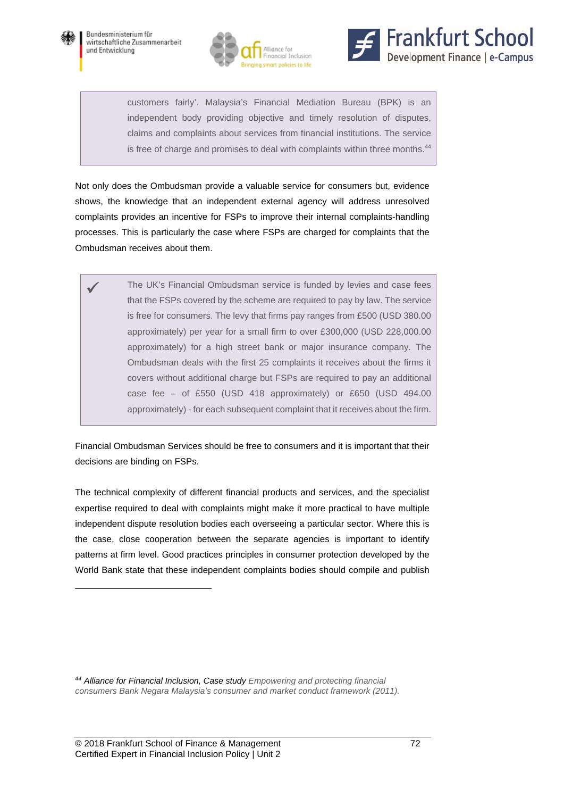

 $\overline{a}$ 





customers fairly'. Malaysia's Financial Mediation Bureau (BPK) is an independent body providing objective and timely resolution of disputes, claims and complaints about services from financial institutions. The service is free of charge and promises to deal with complaints within three months.<sup>44</sup>

Not only does the Ombudsman provide a valuable service for consumers but, evidence shows, the knowledge that an independent external agency will address unresolved complaints provides an incentive for FSPs to improve their internal complaints-handling processes. This is particularly the case where FSPs are charged for complaints that the Ombudsman receives about them.

 The UK's Financial Ombudsman service is funded by levies and case fees that the FSPs covered by the scheme are required to pay by law. The service is free for consumers. The levy that firms pay ranges from £500 (USD 380.00 approximately) per year for a small firm to over £300,000 (USD 228,000.00 approximately) for a high street bank or major insurance company. The Ombudsman deals with the first 25 complaints it receives about the firms it covers without additional charge but FSPs are required to pay an additional case fee – of £550 (USD 418 approximately) or £650 (USD 494.00 approximately) - for each subsequent complaint that it receives about the firm.

Financial Ombudsman Services should be free to consumers and it is important that their decisions are binding on FSPs.

The technical complexity of different financial products and services, and the specialist expertise required to deal with complaints might make it more practical to have multiple independent dispute resolution bodies each overseeing a particular sector. Where this is the case, close cooperation between the separate agencies is important to identify patterns at firm level. Good practices principles in consumer protection developed by the World Bank state that these independent complaints bodies should compile and publish

*<sup>44</sup> Alliance for Financial Inclusion, Case study Empowering and protecting financial consumers Bank Negara Malaysia's consumer and market conduct framework (2011).*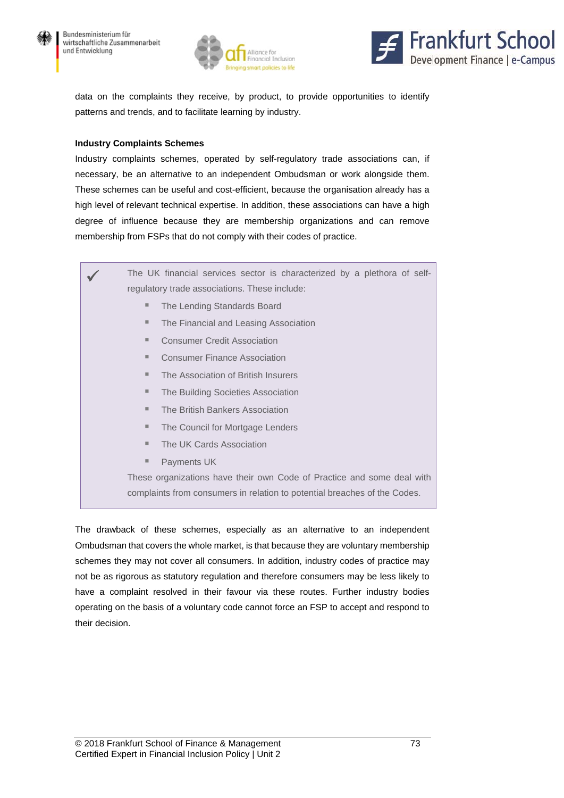



data on the complaints they receive, by product, to provide opportunities to identify patterns and trends, and to facilitate learning by industry.

#### **Industry Complaints Schemes**

Industry complaints schemes, operated by self-regulatory trade associations can, if necessary, be an alternative to an independent Ombudsman or work alongside them. These schemes can be useful and cost-efficient, because the organisation already has a high level of relevant technical expertise. In addition, these associations can have a high degree of influence because they are membership organizations and can remove membership from FSPs that do not comply with their codes of practice.

 The UK financial services sector is characterized by a plethora of selfregulatory trade associations. These include:

- The Lending Standards Board
- **The Financial and Leasing Association**
- Consumer Credit Association
- Consumer Finance Association
- **The Association of British Insurers**
- **The Building Societies Association**
- **The British Bankers Association**
- **The Council for Mortgage Lenders**
- The UK Cards Association
- Payments UK

These organizations have their own Code of Practice and some deal with complaints from consumers in relation to potential breaches of the Codes.

The drawback of these schemes, especially as an alternative to an independent Ombudsman that covers the whole market, is that because they are voluntary membership schemes they may not cover all consumers. In addition, industry codes of practice may not be as rigorous as statutory regulation and therefore consumers may be less likely to have a complaint resolved in their favour via these routes. Further industry bodies operating on the basis of a voluntary code cannot force an FSP to accept and respond to their decision.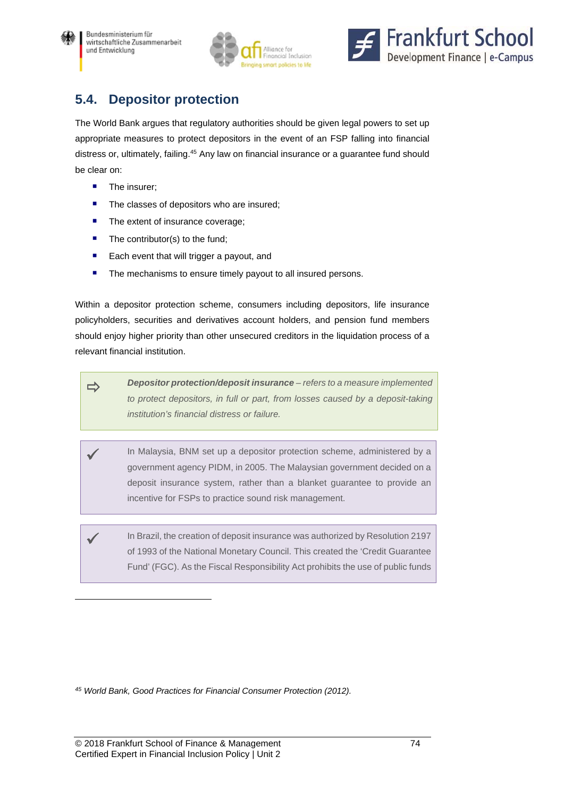



# **5.4. Depositor protection**

The World Bank argues that regulatory authorities should be given legal powers to set up appropriate measures to protect depositors in the event of an FSP falling into financial distress or, ultimately, failing.<sup>45</sup> Any law on financial insurance or a guarantee fund should be clear on:

**The insurer;** 

 $\overline{a}$ 

- The classes of depositors who are insured;
- The extent of insurance coverage;
- $\blacksquare$  The contributor(s) to the fund;
- **Each event that will trigger a payout, and**
- **The mechanisms to ensure timely payout to all insured persons.**

Within a depositor protection scheme, consumers including depositors, life insurance policyholders, securities and derivatives account holders, and pension fund members should enjoy higher priority than other unsecured creditors in the liquidation process of a relevant financial institution.

 *Depositor protection/deposit insurance – refers to a measure implemented*  to protect depositors, in full or part, from losses caused by a deposit-taking *institution's financial distress or failure.*

 In Malaysia, BNM set up a depositor protection scheme, administered by a government agency PIDM, in 2005. The Malaysian government decided on a deposit insurance system, rather than a blanket guarantee to provide an incentive for FSPs to practice sound risk management.

 In Brazil, the creation of deposit insurance was authorized by Resolution 2197 of 1993 of the National Monetary Council. This created the 'Credit Guarantee Fund' (FGC). As the Fiscal Responsibility Act prohibits the use of public funds

*45 World Bank, Good Practices for Financial Consumer Protection (2012).*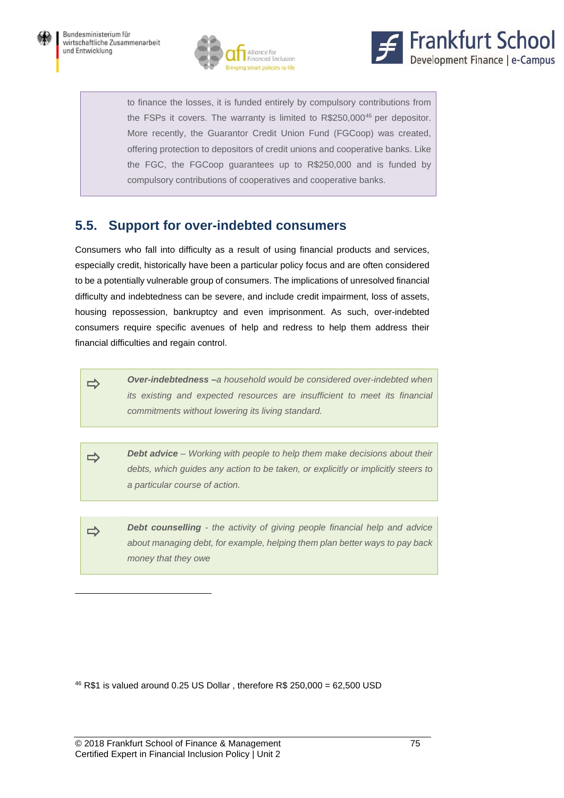



to finance the losses, it is funded entirely by compulsory contributions from the FSPs it covers. The warranty is limited to R\$250,000<sup>46</sup> per depositor. More recently, the Guarantor Credit Union Fund (FGCoop) was created, offering protection to depositors of credit unions and cooperative banks. Like the FGC, the FGCoop guarantees up to R\$250,000 and is funded by compulsory contributions of cooperatives and cooperative banks.

# **5.5. Support for over-indebted consumers**

Consumers who fall into difficulty as a result of using financial products and services, especially credit, historically have been a particular policy focus and are often considered to be a potentially vulnerable group of consumers. The implications of unresolved financial difficulty and indebtedness can be severe, and include credit impairment, loss of assets, housing repossession, bankruptcy and even imprisonment. As such, over-indebted consumers require specific avenues of help and redress to help them address their financial difficulties and regain control.

 *Over-indebtedness –a household would be considered over-indebted when its existing and expected resources are insufficient to meet its financial commitments without lowering its living standard.*

 *Debt advice – Working with people to help them make decisions about their debts, which guides any action to be taken, or explicitly or implicitly steers to a particular course of action.*

**Debt counselling** - the activity of giving people financial help and advice *about managing debt, for example, helping them plan better ways to pay back money that they owe*

<sup>46</sup> R\$1 is valued around 0.25 US Dollar, therefore R\$ 250,000 = 62,500 USD

 $\overline{a}$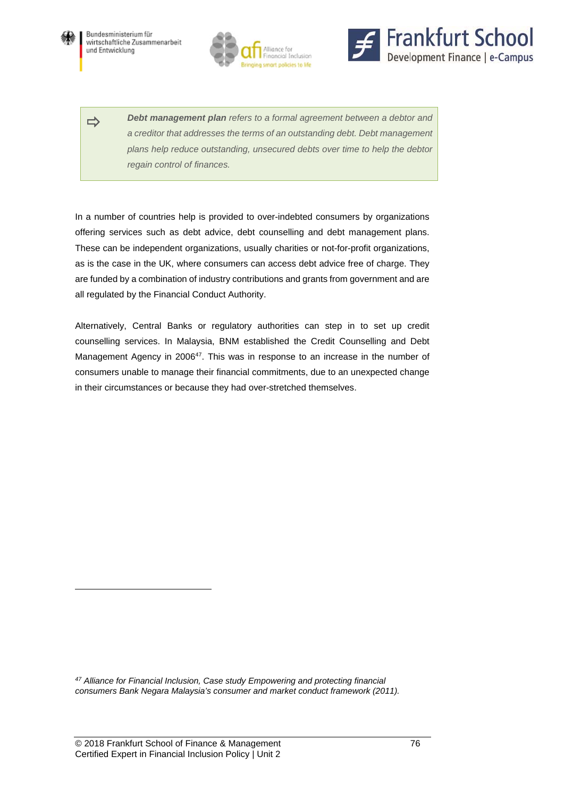

l





**Debt management plan** refers to a formal agreement between a debtor and *a creditor that addresses the terms of an outstanding debt. Debt management plans help reduce outstanding, unsecured debts over time to help the debtor regain control of finances.*

In a number of countries help is provided to over-indebted consumers by organizations offering services such as debt advice, debt counselling and debt management plans. These can be independent organizations, usually charities or not-for-profit organizations, as is the case in the UK, where consumers can access debt advice free of charge. They are funded by a combination of industry contributions and grants from government and are all regulated by the Financial Conduct Authority.

Alternatively, Central Banks or regulatory authorities can step in to set up credit counselling services. In Malaysia, BNM established the Credit Counselling and Debt Management Agency in 2006<sup>47</sup>. This was in response to an increase in the number of consumers unable to manage their financial commitments, due to an unexpected change in their circumstances or because they had over-stretched themselves.

*47 Alliance for Financial Inclusion, Case study Empowering and protecting financial consumers Bank Negara Malaysia's consumer and market conduct framework (2011).*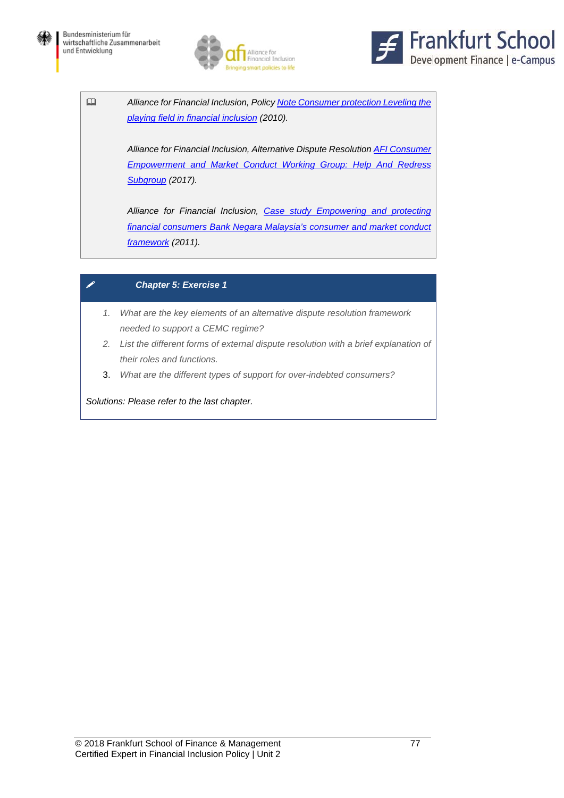



 *Alliance for Financial Inclusion, Policy Note Consumer protection Leveling the playing field in financial inclusion (2010).* 

> *Alliance for Financial Inclusion, Alternative Dispute Resolution AFI Consumer Empowerment and Market Conduct Working Group: Help And Redress Subgroup (2017).*

> *Alliance for Financial Inclusion, Case study Empowering and protecting financial consumers Bank Negara Malaysia's consumer and market conduct framework (2011).*

### *Chapter 5: Exercise 1*

- *1. What are the key elements of an alternative dispute resolution framework needed to support a CEMC regime?*
- *2. List the different forms of external dispute resolution with a brief explanation of their roles and functions.*
- 3. *What are the different types of support for over-indebted consumers?*

*Solutions: Please refer to the last chapter.*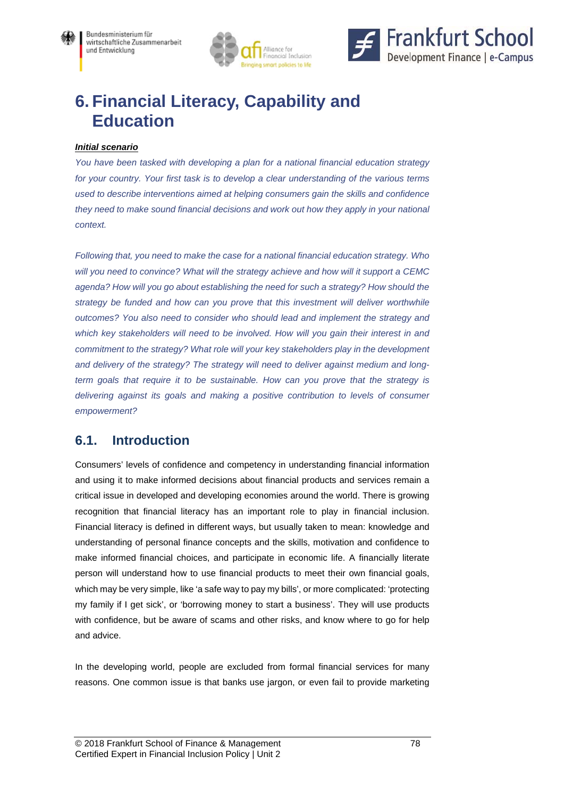



# **6. Financial Literacy, Capability and Education**

#### *Initial scenario*

*You have been tasked with developing a plan for a national financial education strategy for your country. Your first task is to develop a clear understanding of the various terms used to describe interventions aimed at helping consumers gain the skills and confidence they need to make sound financial decisions and work out how they apply in your national context.* 

*Following that, you need to make the case for a national financial education strategy. Who will you need to convince? What will the strategy achieve and how will it support a CEMC agenda? How will you go about establishing the need for such a strategy? How should the strategy be funded and how can you prove that this investment will deliver worthwhile outcomes? You also need to consider who should lead and implement the strategy and which key stakeholders will need to be involved. How will you gain their interest in and commitment to the strategy? What role will your key stakeholders play in the development and delivery of the strategy? The strategy will need to deliver against medium and longterm goals that require it to be sustainable. How can you prove that the strategy is delivering against its goals and making a positive contribution to levels of consumer empowerment?* 

# **6.1. Introduction**

Consumers' levels of confidence and competency in understanding financial information and using it to make informed decisions about financial products and services remain a critical issue in developed and developing economies around the world. There is growing recognition that financial literacy has an important role to play in financial inclusion. Financial literacy is defined in different ways, but usually taken to mean: knowledge and understanding of personal finance concepts and the skills, motivation and confidence to make informed financial choices, and participate in economic life. A financially literate person will understand how to use financial products to meet their own financial goals, which may be very simple, like 'a safe way to pay my bills', or more complicated: 'protecting my family if I get sick', or 'borrowing money to start a business'. They will use products with confidence, but be aware of scams and other risks, and know where to go for help and advice.

In the developing world, people are excluded from formal financial services for many reasons. One common issue is that banks use jargon, or even fail to provide marketing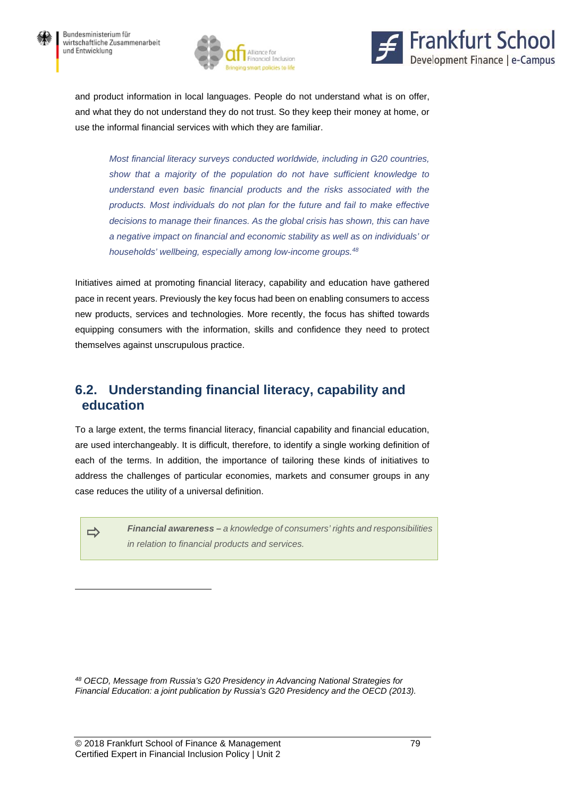



and product information in local languages. People do not understand what is on offer, and what they do not understand they do not trust. So they keep their money at home, or use the informal financial services with which they are familiar.

*Most financial literacy surveys conducted worldwide, including in G20 countries, show that a majority of the population do not have sufficient knowledge to understand even basic financial products and the risks associated with the products. Most individuals do not plan for the future and fail to make effective decisions to manage their finances. As the global crisis has shown, this can have a negative impact on financial and economic stability as well as on individuals' or households' wellbeing, especially among low-income groups.48*

Initiatives aimed at promoting financial literacy, capability and education have gathered pace in recent years. Previously the key focus had been on enabling consumers to access new products, services and technologies. More recently, the focus has shifted towards equipping consumers with the information, skills and confidence they need to protect themselves against unscrupulous practice.

## **6.2. Understanding financial literacy, capability and education**

To a large extent, the terms financial literacy, financial capability and financial education, are used interchangeably. It is difficult, therefore, to identify a single working definition of each of the terms. In addition, the importance of tailoring these kinds of initiatives to address the challenges of particular economies, markets and consumer groups in any case reduces the utility of a universal definition.

l

 *Financial awareness – a knowledge of consumers' rights and responsibilities in relation to financial products and services.*

*48 OECD, Message from Russia's G20 Presidency in Advancing National Strategies for Financial Education: a joint publication by Russia's G20 Presidency and the OECD (2013).*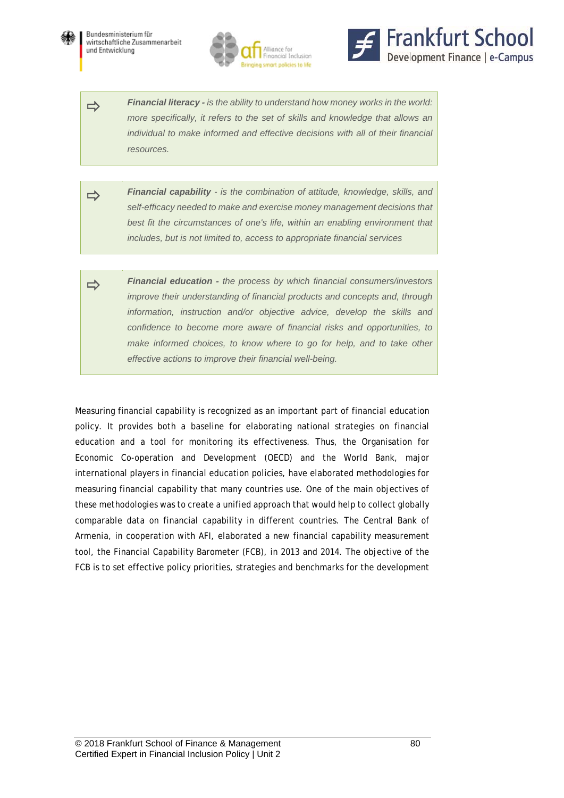





**Financial literacy** - *is the ability to understand how money works in the world: more specifically, it refers to the set of skills and knowledge that allows an individual to make informed and effective decisions with all of their financial resources.*

- *Financial capability is the combination of attitude, knowledge, skills, and self-efficacy needed to make and exercise money management decisions that best fit the circumstances of one's life, within an enabling environment that includes, but is not limited to, access to appropriate financial services*
- *Financial education the process by which financial consumers/investors improve their understanding of financial products and concepts and, through information, instruction and/or objective advice, develop the skills and confidence to become more aware of financial risks and opportunities, to*  make informed choices, to know where to go for help, and to take other *effective actions to improve their financial well-being.*

Measuring financial capability is recognized as an important part of financial education policy. It provides both a baseline for elaborating national strategies on financial education and a tool for monitoring its effectiveness. Thus, the Organisation for Economic Co-operation and Development (OECD) and the World Bank, major international players in financial education policies, have elaborated methodologies for measuring financial capability that many countries use. One of the main objectives of these methodologies was to create a unified approach that would help to collect globally comparable data on financial capability in different countries. The Central Bank of Armenia, in cooperation with AFI, elaborated a new financial capability measurement tool, the Financial Capability Barometer (FCB), in 2013 and 2014. The objective of the FCB is to set effective policy priorities, strategies and benchmarks for the development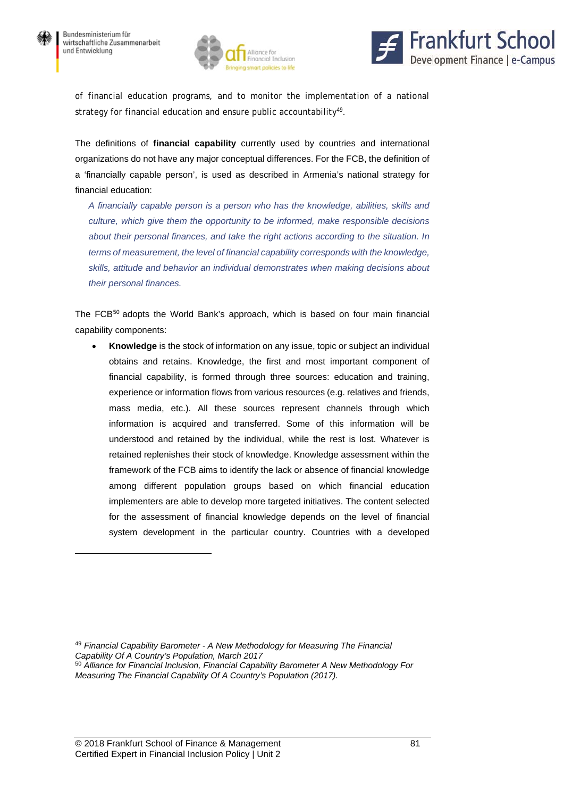$\overline{a}$ 





of financial education programs, and to monitor the implementation of a national strategy for financial education and ensure public accountability<sup>49</sup>.

The definitions of **financial capability** currently used by countries and international organizations do not have any major conceptual differences. For the FCB, the definition of a 'financially capable person', is used as described in Armenia's national strategy for financial education:

*A financially capable person is a person who has the knowledge, abilities, skills and culture, which give them the opportunity to be informed, make responsible decisions about their personal finances, and take the right actions according to the situation. In terms of measurement, the level of financial capability corresponds with the knowledge, skills, attitude and behavior an individual demonstrates when making decisions about their personal finances.* 

The FCB<sup>50</sup> adopts the World Bank's approach, which is based on four main financial capability components:

 **Knowledge** is the stock of information on any issue, topic or subject an individual obtains and retains. Knowledge, the first and most important component of financial capability, is formed through three sources: education and training, experience or information flows from various resources (e.g. relatives and friends, mass media, etc.). All these sources represent channels through which information is acquired and transferred. Some of this information will be understood and retained by the individual, while the rest is lost. Whatever is retained replenishes their stock of knowledge. Knowledge assessment within the framework of the FCB aims to identify the lack or absence of financial knowledge among different population groups based on which financial education implementers are able to develop more targeted initiatives. The content selected for the assessment of financial knowledge depends on the level of financial system development in the particular country. Countries with a developed

<sup>49</sup> *Financial Capability Barometer - A New Methodology for Measuring The Financial Capability Of A Country's Population, March 2017*

<sup>50</sup> *Alliance for Financial Inclusion, Financial Capability Barometer A New Methodology For Measuring The Financial Capability Of A Country's Population (2017).*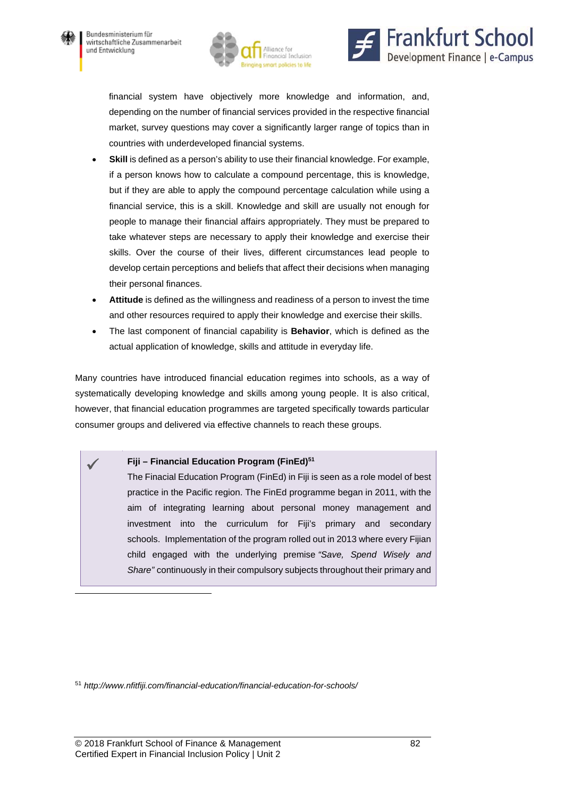

 $\overline{a}$ 





financial system have objectively more knowledge and information, and, depending on the number of financial services provided in the respective financial market, survey questions may cover a significantly larger range of topics than in countries with underdeveloped financial systems.

- Skill is defined as a person's ability to use their financial knowledge. For example, if a person knows how to calculate a compound percentage, this is knowledge, but if they are able to apply the compound percentage calculation while using a financial service, this is a skill. Knowledge and skill are usually not enough for people to manage their financial affairs appropriately. They must be prepared to take whatever steps are necessary to apply their knowledge and exercise their skills. Over the course of their lives, different circumstances lead people to develop certain perceptions and beliefs that affect their decisions when managing their personal finances.
- **Attitude** is defined as the willingness and readiness of a person to invest the time and other resources required to apply their knowledge and exercise their skills.
- The last component of financial capability is **Behavior**, which is defined as the actual application of knowledge, skills and attitude in everyday life.

Many countries have introduced financial education regimes into schools, as a way of systematically developing knowledge and skills among young people. It is also critical, however, that financial education programmes are targeted specifically towards particular consumer groups and delivered via effective channels to reach these groups.

#### Fiji – Financial Education Program (FinEd)<sup>51</sup>

The Finacial Education Program (FinEd) in Fiji is seen as a role model of best practice in the Pacific region. The FinEd programme began in 2011, with the aim of integrating learning about personal money management and investment into the curriculum for Fiji's primary and secondary schools. Implementation of the program rolled out in 2013 where every Fijian child engaged with the underlying premise *"Save, Spend Wisely and Share"* continuously in their compulsory subjects throughout their primary and

<sup>51</sup> *http://www.nfitfiji.com/financial-education/financial-education-for-schools/*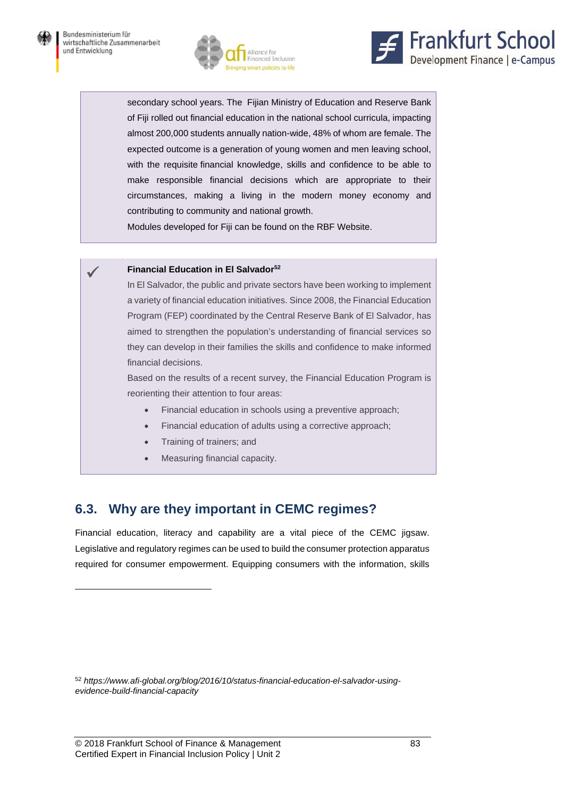



secondary school years. The Fijian Ministry of Education and Reserve Bank of Fiji rolled out financial education in the national school curricula, impacting almost 200,000 students annually nation-wide, 48% of whom are female. The expected outcome is a generation of young women and men leaving school, with the requisite financial knowledge, skills and confidence to be able to make responsible financial decisions which are appropriate to their circumstances, making a living in the modern money economy and contributing to community and national growth.

Modules developed for Fiji can be found on the RBF Website.

#### **Financial Education in El Salvador52**

In El Salvador, the public and private sectors have been working to implement a variety of financial education initiatives. Since 2008, the Financial Education Program (FEP) coordinated by the Central Reserve Bank of El Salvador, has aimed to strengthen the population's understanding of financial services so they can develop in their families the skills and confidence to make informed financial decisions.

Based on the results of a recent survey, the Financial Education Program is reorienting their attention to four areas:

- Financial education in schools using a preventive approach;
- Financial education of adults using a corrective approach;
- Training of trainers; and
- Measuring financial capacity.

# **6.3. Why are they important in CEMC regimes?**

Financial education, literacy and capability are a vital piece of the CEMC jigsaw. Legislative and regulatory regimes can be used to build the consumer protection apparatus required for consumer empowerment. Equipping consumers with the information, skills

l

<sup>52</sup> *https://www.afi-global.org/blog/2016/10/status-financial-education-el-salvador-usingevidence-build-financial-capacity*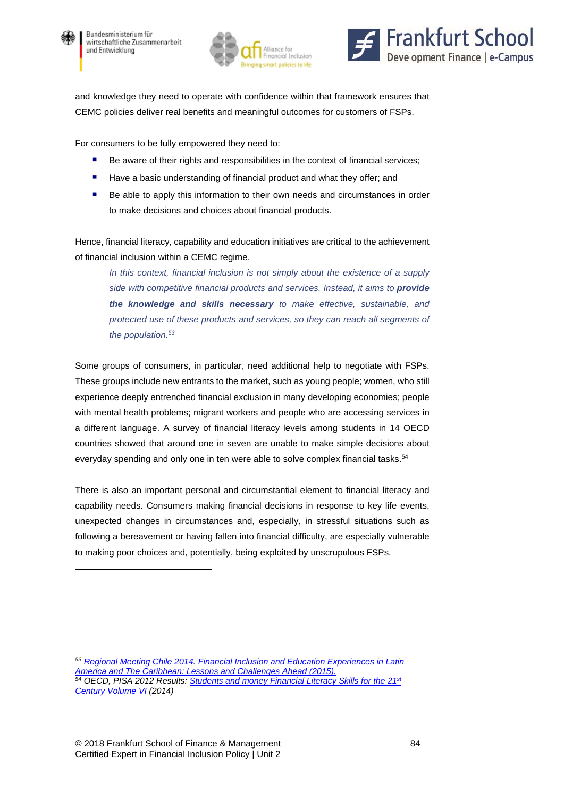

l





and knowledge they need to operate with confidence within that framework ensures that CEMC policies deliver real benefits and meaningful outcomes for customers of FSPs.

For consumers to be fully empowered they need to:

- Be aware of their rights and responsibilities in the context of financial services;
- Have a basic understanding of financial product and what they offer; and
- Be able to apply this information to their own needs and circumstances in order to make decisions and choices about financial products.

Hence, financial literacy, capability and education initiatives are critical to the achievement of financial inclusion within a CEMC regime.

*In this context, financial inclusion is not simply about the existence of a supply side with competitive financial products and services. Instead, it aims to provide the knowledge and skills necessary to make effective, sustainable, and protected use of these products and services, so they can reach all segments of the population.53*

Some groups of consumers, in particular, need additional help to negotiate with FSPs. These groups include new entrants to the market, such as young people; women, who still experience deeply entrenched financial exclusion in many developing economies; people with mental health problems; migrant workers and people who are accessing services in a different language. A survey of financial literacy levels among students in 14 OECD countries showed that around one in seven are unable to make simple decisions about everyday spending and only one in ten were able to solve complex financial tasks.<sup>54</sup>

There is also an important personal and circumstantial element to financial literacy and capability needs. Consumers making financial decisions in response to key life events, unexpected changes in circumstances and, especially, in stressful situations such as following a bereavement or having fallen into financial difficulty, are especially vulnerable to making poor choices and, potentially, being exploited by unscrupulous FSPs.

*<sup>53</sup> Regional Meeting Chile 2014. Financial Inclusion and Education Experiences in Latin America and The Caribbean: Lessons and Challenges Ahead (2015).*  54 OECD, PISA 2012 Results: **Students and money Financial Literacy Skills for the 21st** *Century Volume VI (2014)*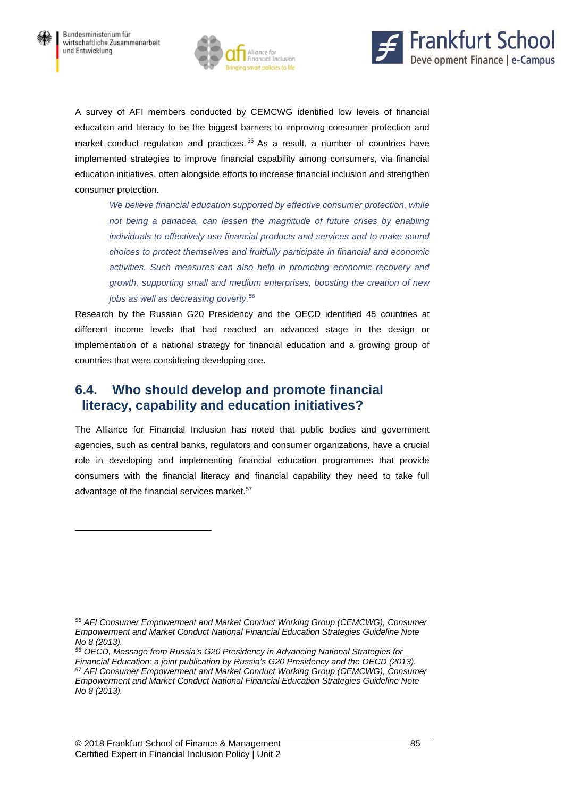$\overline{a}$ 





A survey of AFI members conducted by CEMCWG identified low levels of financial education and literacy to be the biggest barriers to improving consumer protection and market conduct regulation and practices.<sup>55</sup> As a result, a number of countries have implemented strategies to improve financial capability among consumers, via financial education initiatives, often alongside efforts to increase financial inclusion and strengthen consumer protection.

*We believe financial education supported by effective consumer protection, while*  not being a panacea, can lessen the magnitude of future crises by enabling *individuals to effectively use financial products and services and to make sound choices to protect themselves and fruitfully participate in financial and economic activities. Such measures can also help in promoting economic recovery and growth, supporting small and medium enterprises, boosting the creation of new jobs as well as decreasing poverty.56*

Research by the Russian G20 Presidency and the OECD identified 45 countries at different income levels that had reached an advanced stage in the design or implementation of a national strategy for financial education and a growing group of countries that were considering developing one.

## **6.4. Who should develop and promote financial literacy, capability and education initiatives?**

The Alliance for Financial Inclusion has noted that public bodies and government agencies, such as central banks, regulators and consumer organizations, have a crucial role in developing and implementing financial education programmes that provide consumers with the financial literacy and financial capability they need to take full advantage of the financial services market.<sup>57</sup>

*<sup>55</sup> AFI Consumer Empowerment and Market Conduct Working Group (CEMCWG), Consumer Empowerment and Market Conduct National Financial Education Strategies Guideline Note No 8 (2013).* 

*<sup>56</sup> OECD, Message from Russia's G20 Presidency in Advancing National Strategies for Financial Education: a joint publication by Russia's G20 Presidency and the OECD (2013).*<br><sup>57</sup> AFI Consumer Empowerment and Market Conduct Working Group (CEMCWG), Consumer *Empowerment and Market Conduct National Financial Education Strategies Guideline Note No 8 (2013).*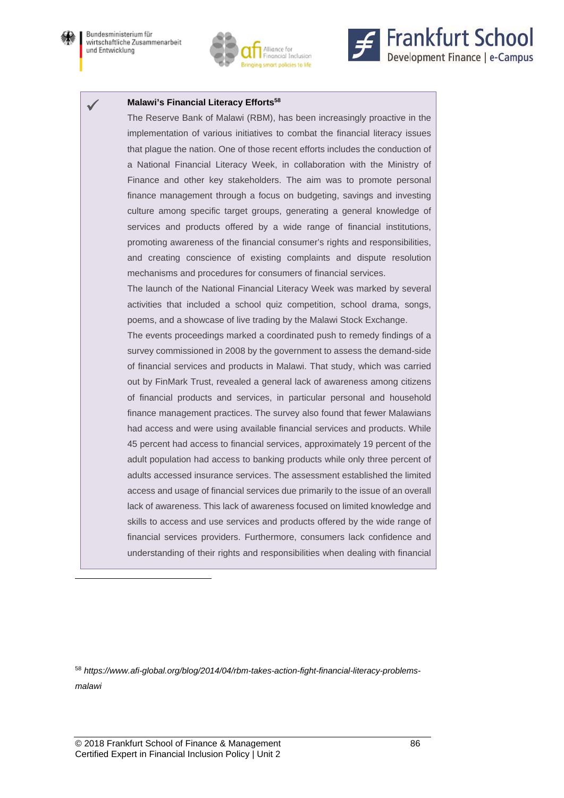

 $\overline{a}$ 





#### **Malawi's Financial Literacy Efforts58**

The Reserve Bank of Malawi (RBM), has been increasingly proactive in the implementation of various initiatives to combat the financial literacy issues that plague the nation. One of those recent efforts includes the conduction of a National Financial Literacy Week, in collaboration with the Ministry of Finance and other key stakeholders. The aim was to promote personal finance management through a focus on budgeting, savings and investing culture among specific target groups, generating a general knowledge of services and products offered by a wide range of financial institutions, promoting awareness of the financial consumer's rights and responsibilities, and creating conscience of existing complaints and dispute resolution mechanisms and procedures for consumers of financial services.

The launch of the National Financial Literacy Week was marked by several activities that included a school quiz competition, school drama, songs, poems, and a showcase of live trading by the Malawi Stock Exchange.

The events proceedings marked a coordinated push to remedy findings of a survey commissioned in 2008 by the government to assess the demand-side of financial services and products in Malawi. That study, which was carried out by FinMark Trust, revealed a general lack of awareness among citizens of financial products and services, in particular personal and household finance management practices. The survey also found that fewer Malawians had access and were using available financial services and products. While 45 percent had access to financial services, approximately 19 percent of the adult population had access to banking products while only three percent of adults accessed insurance services. The assessment established the limited access and usage of financial services due primarily to the issue of an overall lack of awareness. This lack of awareness focused on limited knowledge and skills to access and use services and products offered by the wide range of financial services providers. Furthermore, consumers lack confidence and understanding of their rights and responsibilities when dealing with financial

<sup>58</sup> *https://www.afi-global.org/blog/2014/04/rbm-takes-action-fight-financial-literacy-problemsmalawi*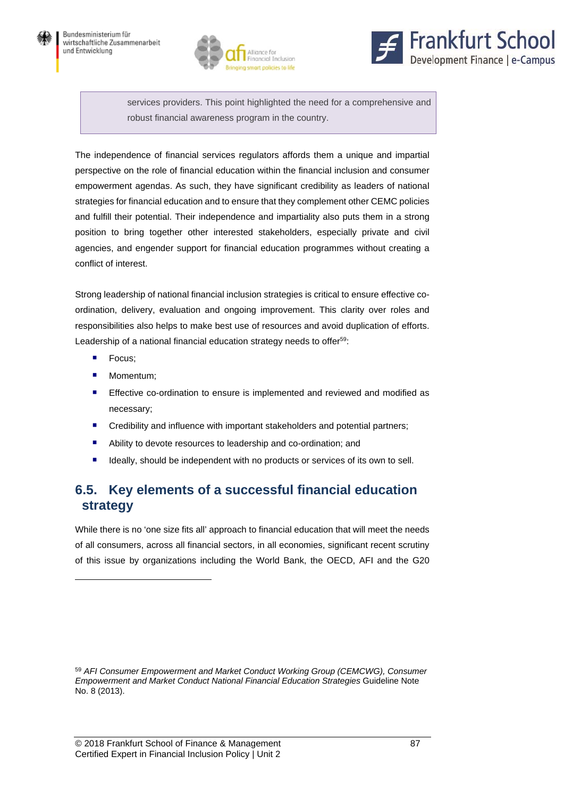



services providers. This point highlighted the need for a comprehensive and robust financial awareness program in the country.

The independence of financial services regulators affords them a unique and impartial perspective on the role of financial education within the financial inclusion and consumer empowerment agendas. As such, they have significant credibility as leaders of national strategies for financial education and to ensure that they complement other CEMC policies and fulfill their potential. Their independence and impartiality also puts them in a strong position to bring together other interested stakeholders, especially private and civil agencies, and engender support for financial education programmes without creating a conflict of interest.

Strong leadership of national financial inclusion strategies is critical to ensure effective coordination, delivery, evaluation and ongoing improvement. This clarity over roles and responsibilities also helps to make best use of resources and avoid duplication of efforts. Leadership of a national financial education strategy needs to offer<sup>59</sup>:

**Focus**;

 $\overline{a}$ 

- **Momentum**;
- **Effective co-ordination to ensure is implemented and reviewed and modified as** necessary;
- **EXP** Credibility and influence with important stakeholders and potential partners;
- Ability to devote resources to leadership and co-ordination; and
- **If** Ideally, should be independent with no products or services of its own to sell.

# **6.5. Key elements of a successful financial education strategy**

While there is no 'one size fits all' approach to financial education that will meet the needs of all consumers, across all financial sectors, in all economies, significant recent scrutiny of this issue by organizations including the World Bank, the OECD, AFI and the G20

<sup>59</sup> *AFI Consumer Empowerment and Market Conduct Working Group (CEMCWG), Consumer Empowerment and Market Conduct National Financial Education Strategies* Guideline Note No. 8 (2013).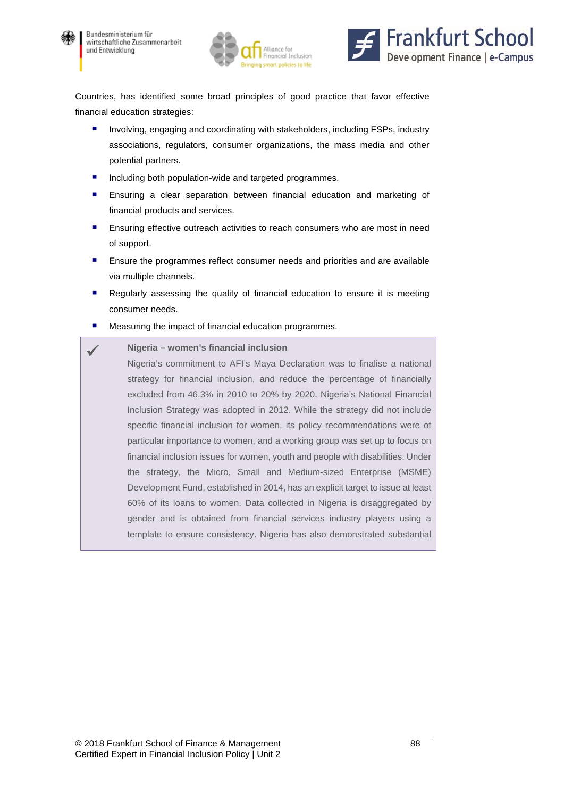





Countries, has identified some broad principles of good practice that favor effective financial education strategies:

- **Involving, engaging and coordinating with stakeholders, including FSPs, industry** associations, regulators, consumer organizations, the mass media and other potential partners.
- **Including both population-wide and targeted programmes.**
- Ensuring a clear separation between financial education and marketing of financial products and services.
- **Ensuring effective outreach activities to reach consumers who are most in need** of support.
- **Ensure the programmes reflect consumer needs and priorities and are available** via multiple channels.
- Regularly assessing the quality of financial education to ensure it is meeting consumer needs.
- Measuring the impact of financial education programmes.

#### **Nigeria – women's financial inclusion**

Nigeria's commitment to AFI's Maya Declaration was to finalise a national strategy for financial inclusion, and reduce the percentage of financially excluded from 46.3% in 2010 to 20% by 2020. Nigeria's National Financial Inclusion Strategy was adopted in 2012. While the strategy did not include specific financial inclusion for women, its policy recommendations were of particular importance to women, and a working group was set up to focus on financial inclusion issues for women, youth and people with disabilities. Under the strategy, the Micro, Small and Medium-sized Enterprise (MSME) Development Fund, established in 2014, has an explicit target to issue at least 60% of its loans to women. Data collected in Nigeria is disaggregated by gender and is obtained from financial services industry players using a template to ensure consistency. Nigeria has also demonstrated substantial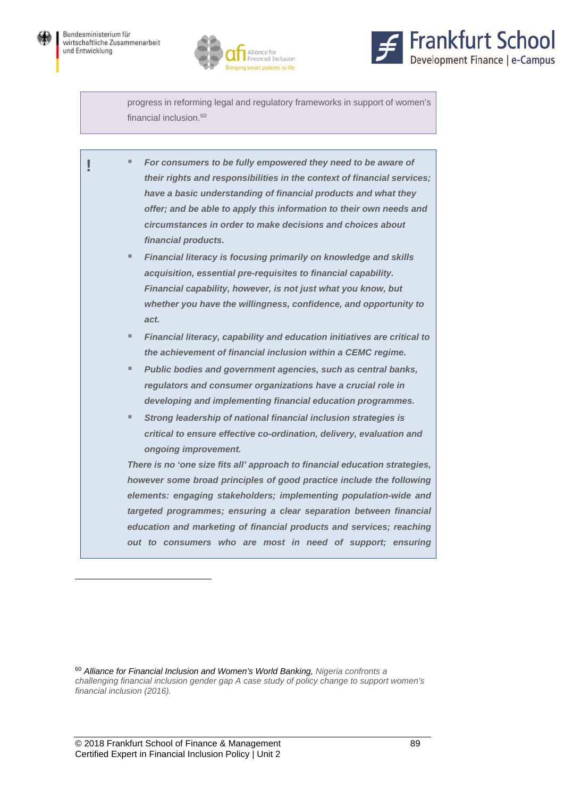



progress in reforming legal and regulatory frameworks in support of women's financial inclusion.<sup>60</sup>

|                                                                      | For consumers to be fully empowered they need to be aware of                |  |
|----------------------------------------------------------------------|-----------------------------------------------------------------------------|--|
|                                                                      | their rights and responsibilities in the context of financial services;     |  |
|                                                                      | have a basic understanding of financial products and what they              |  |
|                                                                      | offer; and be able to apply this information to their own needs and         |  |
|                                                                      | circumstances in order to make decisions and choices about                  |  |
|                                                                      | financial products.                                                         |  |
| ٠                                                                    | Financial literacy is focusing primarily on knowledge and skills            |  |
|                                                                      | acquisition, essential pre-requisites to financial capability.              |  |
|                                                                      | Financial capability, however, is not just what you know, but               |  |
|                                                                      | whether you have the willingness, confidence, and opportunity to            |  |
|                                                                      | act.                                                                        |  |
| ш                                                                    | Financial literacy, capability and education initiatives are critical to    |  |
|                                                                      | the achievement of financial inclusion within a CEMC regime.                |  |
| ш                                                                    | Public bodies and government agencies, such as central banks,               |  |
|                                                                      | regulators and consumer organizations have a crucial role in                |  |
|                                                                      | developing and implementing financial education programmes.                 |  |
|                                                                      | Strong leadership of national financial inclusion strategies is             |  |
|                                                                      | critical to ensure effective co-ordination, delivery, evaluation and        |  |
|                                                                      | ongoing improvement.                                                        |  |
|                                                                      | There is no 'one size fits all' approach to financial education strategies, |  |
| however some broad principles of good practice include the following |                                                                             |  |
| elements: engaging stakeholders; implementing population-wide and    |                                                                             |  |
| targeted programmes; ensuring a clear separation between financial   |                                                                             |  |
|                                                                      | education and marketing of financial products and services; reaching        |  |
|                                                                      | out to consumers who are most in need of support; ensuring                  |  |
|                                                                      |                                                                             |  |

<sup>60</sup> *Alliance for Financial Inclusion and Women's World Banking, Nigeria confronts a challenging financial inclusion gender gap A case study of policy change to support women's financial inclusion (2016).*

l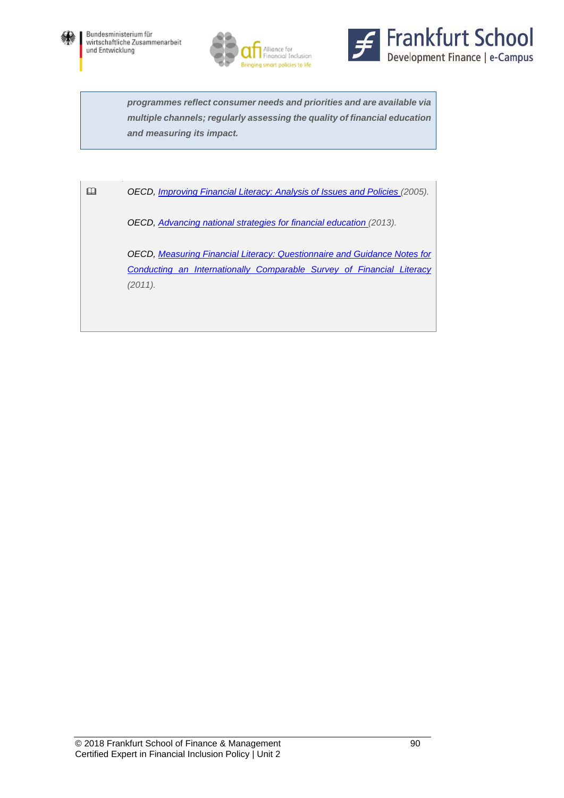





*programmes reflect consumer needs and priorities and are available via multiple channels; regularly assessing the quality of financial education and measuring its impact.* 

*OECD, Improving Financial Literacy: Analysis of Issues and Policies (2005).* 

*OECD, Advancing national strategies for financial education (2013).* 

*OECD, Measuring Financial Literacy: Questionnaire and Guidance Notes for Conducting an Internationally Comparable Survey of Financial Literacy (2011).*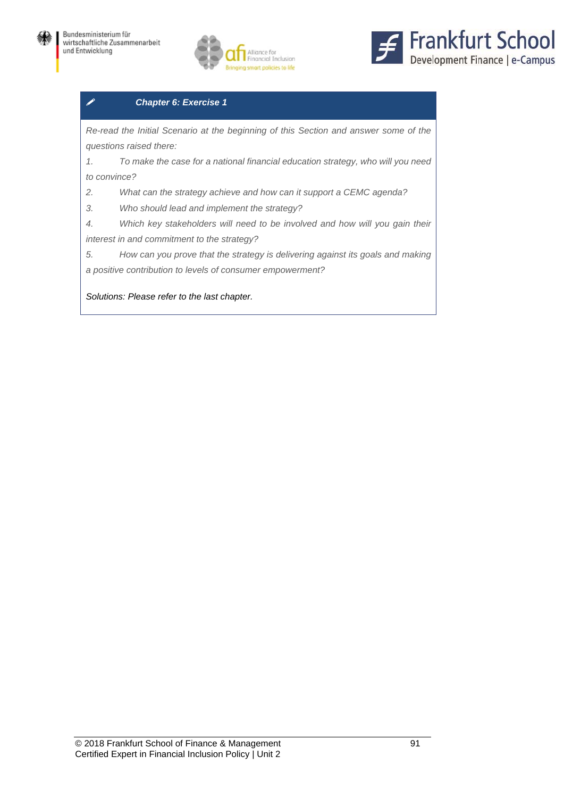



### *Chapter 6: Exercise 1*

*Re-read the Initial Scenario at the beginning of this Section and answer some of the questions raised there:* 

*1. To make the case for a national financial education strategy, who will you need to convince?* 

*2. What can the strategy achieve and how can it support a CEMC agenda?* 

*3. Who should lead and implement the strategy?* 

*4. Which key stakeholders will need to be involved and how will you gain their interest in and commitment to the strategy?* 

*5. How can you prove that the strategy is delivering against its goals and making a positive contribution to levels of consumer empowerment?*

*Solutions: Please refer to the last chapter.*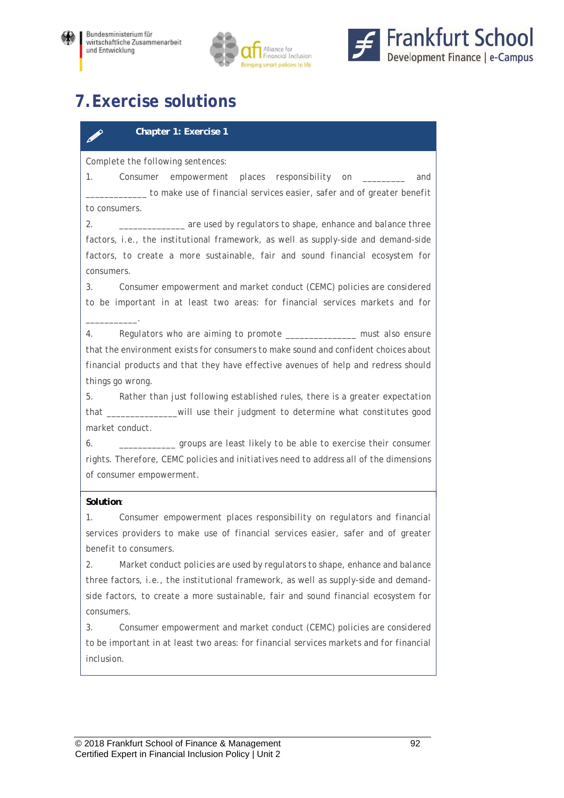



# **7.Exercise solutions**

### *Chapter 1: Exercise 1*

*Complete the following sentences:* 

*1. Consumer empowerment places responsibility on \_\_\_\_\_\_\_\_\_ and \_\_\_\_\_\_\_\_\_\_\_\_\_ to make use of financial services easier, safer and of greater benefit to consumers.* 

*2. \_\_\_\_\_\_\_\_\_\_\_\_\_\_ are used by regulators to shape, enhance and balance three*  factors, *i.e.*, the institutional framework, as well as supply-side and demand-side factors, to create a more sustainable, fair and sound financial ecosystem for *consumers.* 

*3. Consumer empowerment and market conduct (CEMC) policies are considered to be important in at least two areas: for financial services markets and for* 

*4. Regulators who are aiming to promote \_\_\_\_\_\_\_\_\_\_\_\_\_\_\_ must also ensure that the environment exists for consumers to make sound and confident choices about financial products and that they have effective avenues of help and redress should things go wrong.* 

*5. Rather than just following established rules, there is a greater expectation that \_\_\_\_\_\_\_\_\_\_\_\_\_\_\_will use their judgment to determine what constitutes good market conduct.* 

*6. \_\_\_\_\_\_\_\_\_\_\_\_ groups are least likely to be able to exercise their consumer rights. Therefore, CEMC policies and initiatives need to address all of the dimensions of consumer empowerment.*

### *Solution:*

*\_\_\_\_\_\_\_\_\_\_\_.* 

*1. Consumer empowerment places responsibility on regulators and financial*  services providers to make use of financial services easier, safer and of greater *benefit to consumers.* 

*2. Market conduct policies are used by regulators to shape, enhance and balance three factors, i.e., the institutional framework, as well as supply-side and demandside factors, to create a more sustainable, fair and sound financial ecosystem for consumers.* 

*3. Consumer empowerment and market conduct (CEMC) policies are considered to be important in at least two areas: for financial services markets and for financial inclusion.*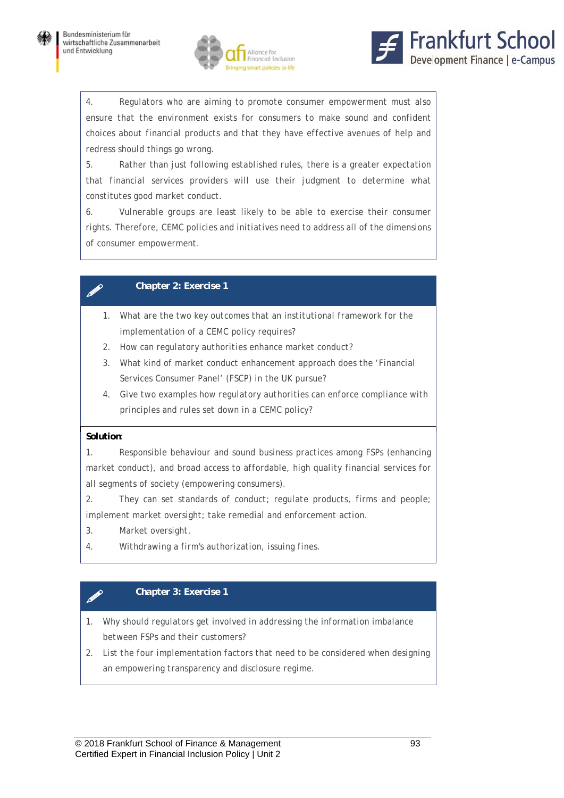



*4. Regulators who are aiming to promote consumer empowerment must also* ensure that the environment exists for consumers to make sound and confident *choices about financial products and that they have effective avenues of help and redress should things go wrong.* 

*5. Rather than just following established rules, there is a greater expectation that financial services providers will use their judgment to determine what constitutes good market conduct.* 

*6. Vulnerable groups are least likely to be able to exercise their consumer rights. Therefore, CEMC policies and initiatives need to address all of the dimensions of consumer empowerment.*

### *Chapter 2: Exercise 1*

- *1. What are the two key outcomes that an institutional framework for the implementation of a CEMC policy requires?*
- *2. How can regulatory authorities enhance market conduct?*
- *3. What kind of market conduct enhancement approach does the 'Financial Services Consumer Panel' (FSCP) in the UK pursue?*
- *4. Give two examples how regulatory authorities can enforce compliance with principles and rules set down in a CEMC policy?*

### *Solution:*

*1. Responsible behaviour and sound business practices among FSPs (enhancing market conduct), and broad access to affordable, high quality financial services for all segments of society (empowering consumers).* 

*2. They can set standards of conduct; regulate products, firms and people; implement market oversight; take remedial and enforcement action.* 

- *3. Market oversight.*
- *4. Withdrawing a firm's authorization, issuing fines.*

### *Chapter 3: Exercise 1*

- *1. Why should regulators get involved in addressing the information imbalance between FSPs and their customers?*
- *2. List the four implementation factors that need to be considered when designing an empowering transparency and disclosure regime.*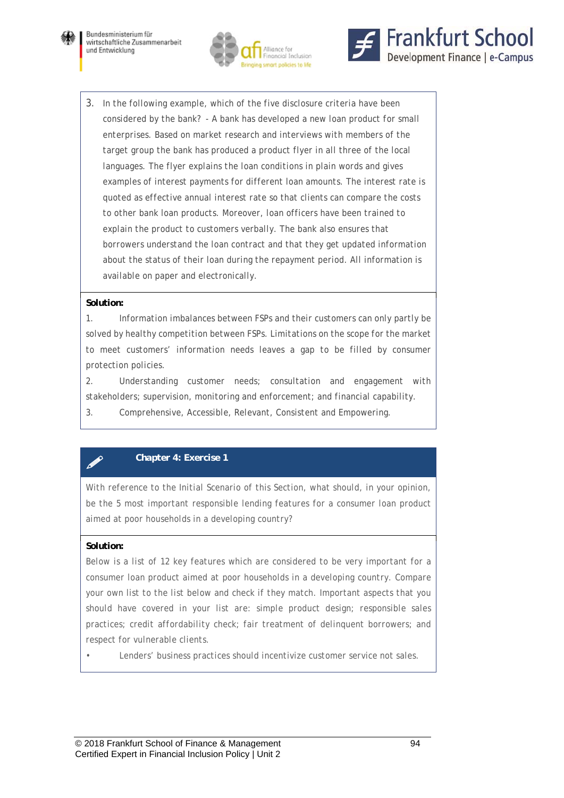





*3. In the following example, which of the five disclosure criteria have been considered by the bank? - A bank has developed a new loan product for small enterprises. Based on market research and interviews with members of the target group the bank has produced a product flyer in all three of the local languages. The flyer explains the loan conditions in plain words and gives examples of interest payments for different loan amounts. The interest rate is quoted as effective annual interest rate so that clients can compare the costs to other bank loan products. Moreover, loan officers have been trained to explain the product to customers verbally. The bank also ensures that borrowers understand the loan contract and that they get updated information about the status of their loan during the repayment period. All information is available on paper and electronically.* 

#### *Solution:*

*1. Information imbalances between FSPs and their customers can only partly be solved by healthy competition between FSPs. Limitations on the scope for the market*  to meet customers' information needs leaves a gap to be filled by consumer *protection policies.* 

*2. Understanding customer needs; consultation and engagement with stakeholders; supervision, monitoring and enforcement; and financial capability. 3. Comprehensive, Accessible, Relevant, Consistent and Empowering.*

### *Chapter 4: Exercise 1*

*With reference to the Initial Scenario of this Section, what should, in your opinion, be the 5 most important responsible lending features for a consumer loan product aimed at poor households in a developing country?* 

#### *Solution:*

*Below is a list of 12 key features which are considered to be very important for a consumer loan product aimed at poor households in a developing country. Compare your own list to the list below and check if they match. Important aspects that you should have covered in your list are: simple product design; responsible sales practices; credit affordability check; fair treatment of delinquent borrowers; and respect for vulnerable clients.* 

*• Lenders' business practices should incentivize customer service not sales.*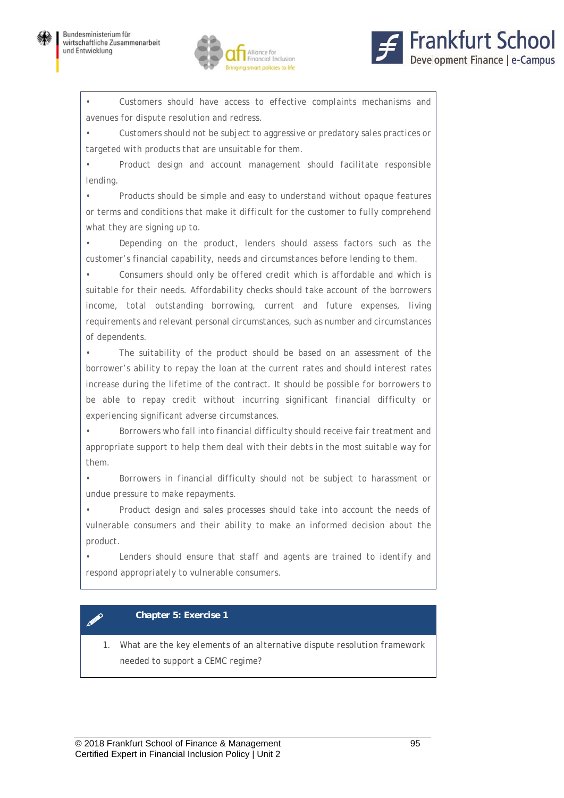



*• Customers should have access to effective complaints mechanisms and avenues for dispute resolution and redress.* 

*• Customers should not be subject to aggressive or predatory sales practices or targeted with products that are unsuitable for them.* 

*• Product design and account management should facilitate responsible lending.* 

*• Products should be simple and easy to understand without opaque features or terms and conditions that make it difficult for the customer to fully comprehend what they are signing up to.* 

*• Depending on the product, lenders should assess factors such as the customer's financial capability, needs and circumstances before lending to them.* 

*• Consumers should only be offered credit which is affordable and which is suitable for their needs. Affordability checks should take account of the borrowers income, total outstanding borrowing, current and future expenses, living requirements and relevant personal circumstances, such as number and circumstances of dependents.* 

*• The suitability of the product should be based on an assessment of the borrower's ability to repay the loan at the current rates and should interest rates increase during the lifetime of the contract. It should be possible for borrowers to be able to repay credit without incurring significant financial difficulty or experiencing significant adverse circumstances.* 

*• Borrowers who fall into financial difficulty should receive fair treatment and appropriate support to help them deal with their debts in the most suitable way for them.* 

*• Borrowers in financial difficulty should not be subject to harassment or undue pressure to make repayments.* 

*• Product design and sales processes should take into account the needs of vulnerable consumers and their ability to make an informed decision about the product.* 

*• Lenders should ensure that staff and agents are trained to identify and respond appropriately to vulnerable consumers.*

### *Chapter 5: Exercise 1*

*1. What are the key elements of an alternative dispute resolution framework needed to support a CEMC regime?*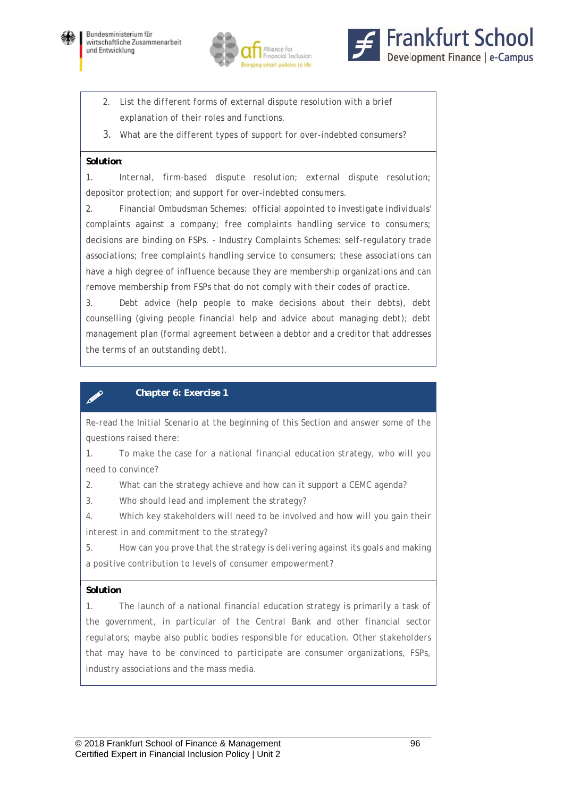





- *2. List the different forms of external dispute resolution with a brief explanation of their roles and functions.*
- 3. *What are the different types of support for over-indebted consumers?*

#### *Solution:*

*1. Internal, firm-based dispute resolution; external dispute resolution; depositor protection; and support for over-indebted consumers.* 

*2. Financial Ombudsman Schemes: official appointed to investigate individuals' complaints against a company; free complaints handling service to consumers; decisions are binding on FSPs. - Industry Complaints Schemes: self-regulatory trade associations; free complaints handling service to consumers; these associations can have a high degree of influence because they are membership organizations and can remove membership from FSPs that do not comply with their codes of practice.* 

*3. Debt advice (help people to make decisions about their debts), debt counselling (giving people financial help and advice about managing debt); debt management plan (formal agreement between a debtor and a creditor that addresses the terms of an outstanding debt).*

### *Chapter 6: Exercise 1*

*Re-read the Initial Scenario at the beginning of this Section and answer some of the questions raised there:* 

*1. To make the case for a national financial education strategy, who will you need to convince?* 

*2. What can the strategy achieve and how can it support a CEMC agenda?* 

*3. Who should lead and implement the strategy?* 

*4. Which key stakeholders will need to be involved and how will you gain their interest in and commitment to the strategy?* 

*5. How can you prove that the strategy is delivering against its goals and making a positive contribution to levels of consumer empowerment?*

### *Solution*

*1. The launch of a national financial education strategy is primarily a task of the government, in particular of the Central Bank and other financial sector regulators; maybe also public bodies responsible for education. Other stakeholders that may have to be convinced to participate are consumer organizations, FSPs, industry associations and the mass media.*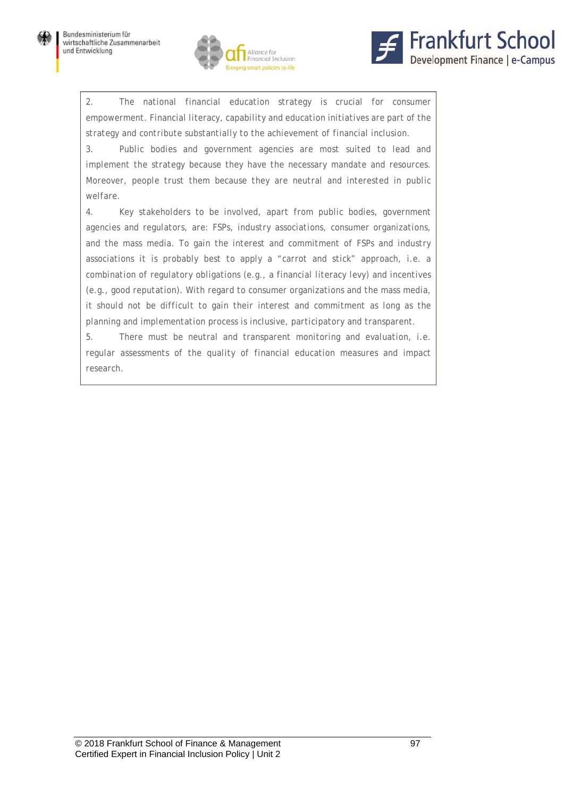



2. The national financial education strategy is crucial for consumer *empowerment. Financial literacy, capability and education initiatives are part of the strategy and contribute substantially to the achievement of financial inclusion.* 

*3. Public bodies and government agencies are most suited to lead and implement the strategy because they have the necessary mandate and resources. Moreover, people trust them because they are neutral and interested in public welfare.* 

*4. Key stakeholders to be involved, apart from public bodies, government agencies and regulators, are: FSPs, industry associations, consumer organizations, and the mass media. To gain the interest and commitment of FSPs and industry associations it is probably best to apply a "carrot and stick" approach, i.e. a combination of regulatory obligations (e.g., a financial literacy levy) and incentives (e.g., good reputation). With regard to consumer organizations and the mass media, it should not be difficult to gain their interest and commitment as long as the planning and implementation process is inclusive, participatory and transparent.* 

*5. There must be neutral and transparent monitoring and evaluation, i.e. regular assessments of the quality of financial education measures and impact research.*